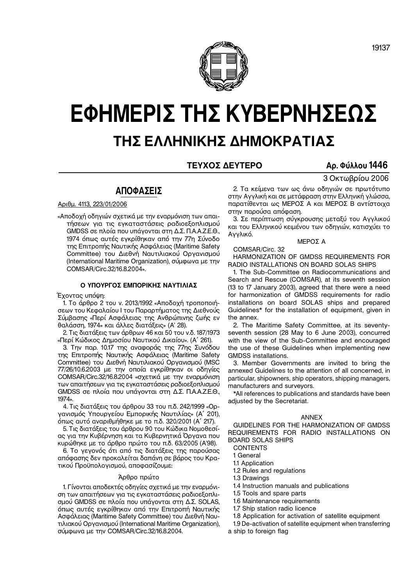# **ΤΗΣ ΕΛΛΗΝΙΚΗΣ ΔΗΜΟΚΡΑΤΙΑΣ**

# **ΤΕΥΧΟΣ ΔΕΥΤΕΡΟ Αρ. Φύλλου 1446**

3 Οκτωβρίου 2006

# **ΑΠΟΦΑΣΕΙΣ**

Αριθμ. 4113, 223/01/2006

«Αποδοχή οδηγιών σχετικά με την εναρμόνιση των απαι− τήσεων για τις εγκαταστάσεις ραδιοεξοπλισμού GMDSS σε πλοία που υπάγονται στη Δ.Σ. Π.Α.Α.Ζ.Ε.Θ., 1974 όπως αυτές εγκρίθηκαν από την 77η Σύνοδο της Επιτροπής Ναυτικής Ασφάλειας (Maritime Safety Committee) του Διεθνή Ναυτιλιακού Οργανισμού (International Maritime Organization), σύμφωνα με την COMSAR/Circ.32/16.8.2004».

#### **Ο ΥΠΟΥΡΓΟΣ ΕΜΠΟΡΙΚΗΣ ΝΑΥΤΙΛΙΑΣ**

Έχοντας υπόψη:

1. Το άρθρο 2 του ν. 2013/1992 «Αποδοχή τροποποιή− σεων του Κεφαλαίου Ι του Παραρτήματος της Διεθνούς Σύμβασης «Περί Ασφάλειας της Ανθρώπινης ζωής εν θαλάσση, 1974» και άλλες διατάξεις» (Α' 28).

2. Τις διατάξεις των άρθρων 46 και 50 του ν.δ. 187/1973 «Περί Κώδικος Δημοσίου Ναυτικού Δικαίου». (Α΄ 261).

3. Την παρ. 10.17 της αναφοράς της 77ης Συνόδου της Επιτροπής Ναυτικής Ασφάλειας (Maritime Safety Committee) του Διεθνή Ναυτιλιακού Οργανισμού (MSC 77/26/10.6.2003 με την οποία εγκρίθηκαν οι οδηγίες COMSAR/Circ.32/16.8.2004 «σχετικά με την εναρμόνιση των απαιτήσεων για τις εγκαταστάσεις ραδιοεξοπλισμού GMDSS σε πλοία που υπάγονται στη Δ.Σ. Π.Α.Α.Ζ.Ε.Θ., 1974».

4. Τις διατάξεις του άρθρου 33 του π.δ. 242/1999 «Ορ− γανισμός Υπουργείου Εμπορικής Ναυτιλίας» (Α΄ 201), όπως αυτό αναριθμήθηκε με το π.δ. 320/2001 (Α΄ 217).

5. Τις διατάξεις του άρθρου 90 του Κώδικα Νομοθεσί− ας για την Κυβέρνηση και τα Κυβερνητικά Όργανα που κυρώθηκε με το άρθρο πρώτο του π.δ. 63/2005 (Α'98).

6. Το γεγονός ότι από τις διατάξεις της παρούσας απόφασης δεν προκαλείται δαπάνη σε βάρος του Κρα− τικού Προϋπολογισμού, αποφασίζουμε:

#### Άρθρο πρώτο

1. Γίνονται αποδεκτές οδηγίες σχετικά με την εναρμόνι− ση των απαιτήσεων για τις εγκαταστάσεις ραδιοεξοπλι− σμού GMDSS σε πλοία που υπάγονται στη Δ.Σ. SOLAS, όπως αυτές εγκρίθηκαν από την Επιτροπή Ναυτικής Ασφάλειας (Maritime Safety Committee) του Διεθνή Ναυ− τιλιακού Οργανισμού (International Maritime Organization), σύμφωνα με την COMSAR/Circ.32/16.8.2004.

2. Τα κείμενα των ως άνω οδηγιών σε πρωτότυπο στην Αγγλική και σε μετάφραση στην Ελληνική γλώσσα, παρατίθενται ως ΜΕΡΟΣ Α και ΜΕΡΟΣ Β αντίστοιχα στην παρούσα απόφαση.

3. Σε περίπτωση σύγκρουσης μεταξύ του Αγγλικού και του Ελληνικού κειμένου των οδηγιών, κατισχύει το Αγγλικό.

ΜΕΡΟΣ Α

COMSAR/Circ. 32 HARMONIZATION OF GMDSS REQUIREMENTS FOR RADIO INSTALLATIONS ON BOARD SOLAS SHIPS

1. The Sub−Committee on Radiocommunications and Search and Rescue (COMSAR), at its seventh session (13 to 17 January 2003), agreed that there were a need for harmonization of GMDSS requirements for radio installations on board SOLAS ships and prepared Guidelines\* for the installation of equipment, given in the annex.

2. The Maritime Safety Committee, at its seventy− seventh session (28 May to 6 June 2003), concurred with the view of the Sub−Committee and encouraged the use of these Guidelines when implementing new GMDSS installations.

3. Member Governments are invited to bring the annexed Guidelines to the attention of all concerned, in particular, shipowners, ship operators, shipping managers, manufacturers and surveyors.

\*All references to publications and standards have been adjusted by the Secretariat.

#### ANNEX

GUIDELINES FOR THE HARMONIZATION OF GMDSS REQUIREMENTS FOR RADIO INSTALLATIONS ON BOARD SOLAS SHIPS

**CONTENTS** 

1 General

- 1.1 Application
- 1.2 Rules and regulations

1.3 Drawings

1.4 Instruction manuals and publications

1.5 Tools and spare parts

- 1.6 Maintenance requirements
- 1.7 Ship station radio licence
- 1.8 Application for activation of satellite equipment

1.9 De−activation of satellite equipment when transferring

a ship to foreign flag

**ΕΦΗΜΕΡΙΣ ΤΗΣ ΚΥΒΕΡΝΗΣΕΩΣ**

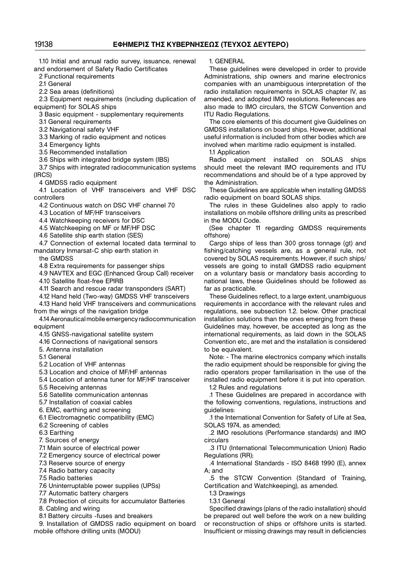1.10 Initial and annual radio survey, issuance, renewal and endorsement of Safety Radio Certificates

2 Functional requirements

2.1 General

2.2 Sea areas (definitions)

2.3 Equipment requirements (including duplication of equipment) for SOLAS ships

3 Basic equipment − supplementary requirements

3.1 General requirements

3.2 Navigational safety VHF

3.3 Marking of radio equipment and notices

3.4 Emergency lights

3.5 Recommended installation

3.6 Ships with integrated bridge system (IBS)

3.7 Ships with integrated radiocommunication systems (IRCS)

4 GMDSS radio equipment

4.1 Location of VHF transceivers and VHF DSC controllers

4.2 Continuous watch on DSC VHF channel 70

4.3 Location of MF/HF transceivers

4.4 Watchkeeping receivers for DSC

4.5 Watchkeeping on MF or MF/HF DSC

4.6 Satellite ship earth station (SES)

4.7 Connection of external located data terminal to mandatory Inmarsat−C ship earth station in

the GMDSS

4.8 Extra requirements for passenger ships

4.9 NAVTEX and EGC (Enhanced Group Call) receiver 4.10 Satellite float−free EPIRB

4.11 Search and rescue radar transponders (SART)

4.12 Hand held (Two−way) GMDSS VHF transceivers

4.13 Hand held VHF transceivers and communications from the wings of the navigation bridge

4.14 Aeronautical mobile emergency radiocommunication equipment

4.15 GNSS−navigational satellite system

4.16 Connections of navigational sensors

5. Antenna installation

5.1 General

5.2 Location of VHF antennas

5.3 Location and choice of MF/HF antennas

5.4 Location of antenna tuner for MF/HF transceiver

5.5 Receiving antennas

5.6 Satellite communication antennas

5.7 Installation of coaxial cables

6. EMC, earthing and screening

6.1 Electromagnetic compatibility (EMC)

6.2 Screening of cables

6.3 Earthing

7. Sources of energy

7.1 Main source of electrical power

7.2 Emergency source of electrical power

7.3 Reserve source of energy

7.4 Radio battery capacity

7.5 Radio batteries

7.6 Uninterruptable power supplies (UPSs)

7.7 Automatic battery chargers

7.8 Protection of circuits for accumulator Batteries

8. Cabling and wiring

8.1 Battery circuits −fuses and breakers

9. Installation of GMDSS radio equipment on board mobile offshore drilling units (MODU)

1. GENERAL

These guidelines were developed in order to provide Administrations, ship owners and marine electronics companies with an unambiguous interpretation of the radio installation requirements in SOLAS chapter IV, as amended, and adopted IMO resolutions. References are also made to IMO circulars, the STCW Convention and ITU Radio Regulations.

The core elements of this document give Guidelines on GMDSS installations on board ships. However, additional useful information is included from other bodies which are involved when maritime radio equipment is installed.

1.1 Application

Radio equipment installed on SOLAS ships should meet the relevant IMO requirements and ITU recommendations and should be of a type approved by the Administration.

These Guidelines are applicable when installing GMDSS radio equipment on board SOLAS ships.

The rules in these Guidelines also apply to radio installations on mobile offshore drilling units as prescribed in the MODU Code.

(See chapter 11 regarding GMDSS requirements offshore)

Cargo ships of less than 300 gross tonnage (gt) and fishing/catching vessels are, as a general rule, not covered by SOLAS requirements. However, if such ships/ vessels are going to install GMDSS radio equipment on a voluntary basis or mandatory basis according to national laws, these Guidelines should be followed as far as practicable.

These Guidelines reflect, to a large extent, unambiguous requirements in accordance with the relevant rules and regulations, see subsection 1.2. below. Other practical installation solutions than the ones emerging from these Guidelines may, however, be accepted as long as the international requirements, as laid down in the SOLAS Convention etc., are met and the installation is considered to be equivalent.

Note: − The marine electronics company which installs the radio equipment should be responsible for giving the radio operators proper familiarisation in the use of the installed radio equipment before it is put into operation. 1.2 Rules and regulations

.1 These Guidelines are prepared in accordance with the following conventions, regulations, instructions and guidelines:

.1 the International Convention for Safety of Life at Sea, SOLAS 1974, as amended;

.2 IMO resolutions (Performance standards) and IMO circulars

.3 ITU (International Telecommunication Union) Radio Regulations (RR);

.4 International Standards − ISO 8468 1990 (E), annex A; and

.5 the STCW Convention (Standard of Training, Certification and Watchkeeping), as amended.

1.3 Drawings

1.3.1 General

Specified drawings (plans of the radio installation) should be prepared out well before the work on a new building or reconstruction of ships or offshore units is started. Insufficient or missing drawings may result in deficiencies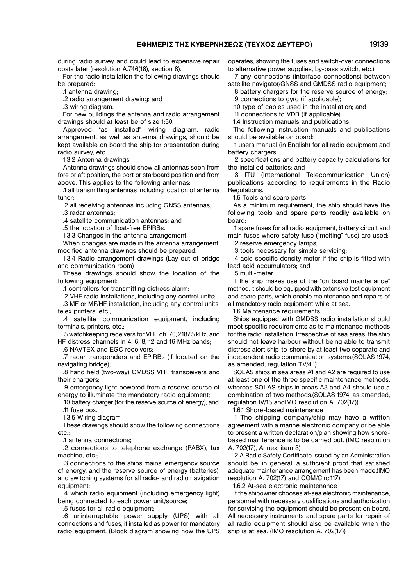during radio survey and could lead to expensive repair costs later (resolution A.746(18), section 8).

For the radio installation the following drawings should be prepared:

.1 antenna drawing;

.2 radio arrangement drawing; and

.3 wiring diagram.

For new buildings the antenna and radio arrangement drawings should at least be of size 1:50.

Approved "as installed" wiring diagram, radio arrangement, as well as antenna drawings, should be kept available on board the ship for presentation during radio survey, etc.

1.3.2 Antenna drawings

Antenna drawings should show all antennas seen from fore or aft position, the port or starboard position and from above. This applies to the following antennas:

.1 all transmitting antennas including location of antenna tuner;

.2 all receiving antennas including GNSS antennas;

.3 radar antennas;

.4 satellite communication antennas; and

.5 the location of float−free EPIRBs.

1.3.3 Changes in the antenna arrangement

When changes are made in the antenna arrangement, modified antenna drawings should be prepared.

1.3.4 Radio arrangement drawings (Lay−out of bridge and communication room)

These drawings should show the location of the following equipment:

.1 controllers for transmitting distress alarm;

.2 VHF radio installations, including any control units;

.3 MF or MF/HF installation, including any control units, telex printers, etc.;

.4 satellite communication equipment, including terminals, printers, etc.;

.5 watchkeeping receivers for VHF ch. 70, 2187.5 kHz, and HF distress channels in 4, 6, 8, 12 and 16 MHz bands;

.6 NAVTEX and EGC receivers;

.7 radar transponders and EPIRBs (if located on the navigating bridge);

.8 hand held (two−way) GMDSS VHF transceivers and their chargers;

.9 emergency light powered from a reserve source of energy to illuminate the mandatory radio equipment;

.10 battery charger (for the reserve source of energy); and .11 fuse box.

1.3.5 Wiring diagram

These drawings should show the following connections etc.:

.1 antenna connections;

.2 connections to telephone exchange (PABX), fax machine, etc.;

.3 connections to the ships mains, emergency source of energy, and the reserve source of energy (batteries), and switching systems for all radio− and radio navigation equipment;

.4 which radio equipment (including emergency light) being connected to each power unit/source;

.5 fuses for all radio equipment;

.6 uninterruptable power supply (UPS) with all connections and fuses, if installed as power for mandatory radio equipment. (Block diagram showing how the UPS

operates, showing the fuses and switch−over connections to alternative power supplies, by−pass switch, etc.);

.7 any connections (interface connections) between satellite navigator/GNSS and GMDSS radio equipment:

.8 battery chargers for the reserve source of energy;

.9 connections to gyro (if applicable);

.10 type of cables used in the installation; and

.11 connections to VDR (if applicable). 1.4 Instruction manuals and publications

The following instruction manuals and publications should be available on board:

.1 users manual (in English) for all radio equipment and battery chargers;

.2 specifications and battery capacity calculations for the installed batteries; and

.3 ITU (International Telecommunication Union) publications according to requirements in the Radio Regulations.

1.5 Tools and spare parts

As a minimum requirement, the ship should have the following tools and spare parts readily available on board:

.1 spare fuses for all radio equipment, battery circuit and main fuses where safety fuse ("melting" fuse) are used;

.2 reserve emergency lamps;

.3 tools necessary for simple servicing;

.4 acid specific density meter if the ship is fitted with lead acid accumulators; and

.5 multi−meter.

If the ship makes use of the "on board maintenance" method, it should be equipped with extensive test equipment and spare parts, which enable maintenance and repairs of all mandatory radio equipment while at sea.

1.6 Maintenance requirements

Ships equipped with GMDSS radio installation should meet specific requirements as to maintenance methods for the radio installation. Irrespective of sea areas, the ship should not leave harbour without being able to transmit distress alert ship−to−shore by at least two separate and independent radio communication systems.(SOLAS 1974, as amended, regulation TV/4.1)

SOLAS ships in sea areas A1 and A2 are required to use at least one of the three specific maintenance methods, whereas SOLAS ships in areas A3 and A4 should use a combination of two methods.(SOLAS 1974, as amended, regulation IV/15 andIMO resolution A. 702(17))

1.6.1 Shore−based maintenance

.1 The shipping company/ship may have a written agreement with a marine electronic company or be able to present a written declaration/plan showing how shore− based maintenance is to be carried out. (IMO resolution A. 702(17), Annex, item 3)

.2 A Radio Safety Certificate issued by an Administration should be, in general, a sufficient proof that satisfied adequate maintenance arrangement has been made.(IMO resolution A. 702(17) and COM/Circ.117)

1.6.2 At−sea electronic maintenance

If the shipowner chooses at−sea electronic maintenance, personnel with necessary qualifications and authorization for servicing the equipment should be present on board. All necessary instruments and spare parts for repair of all radio equipment should also be available when the ship is at sea. (IMO resolution A. 702(17))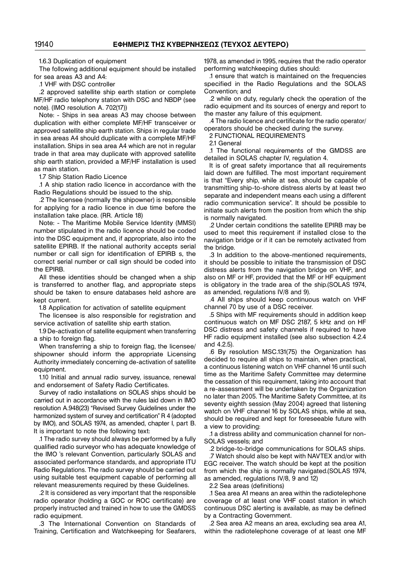1.6.3 Duplication of equipment

The following additional equipment should be installed for sea areas A3 and A4:

.1 VHF with DSC controller

.2 approved satellite ship earth station or complete MF/HF radio telephony station with DSC and NBDP (see note). (IMO resolution A. 702(17))

Note: − Ships in sea areas A3 may choose between duplication with either complete MF/HF transceiver or approved satellite ship earth station. Ships in regular trade in sea areas A4 should duplicate with a complete MF/HF installation. Ships in sea area A4 which are not in regular trade in that area may duplicate with approved satellite ship earth station, provided a MF/HF installation is used as main station.

1.7 Ship Station Radio Licence

.1 A ship station radio licence in accordance with the Radio Regulations should be issued to the ship.

.2 The licensee (normally the shipowner) is responsible for applying for a radio licence in due time before the installation take place. (RR. Article 18)

Note: − The Maritime Mobile Service Identity (MMSI) number stipulated in the radio licence should be coded into the DSC equipment and, if appropriate, also into the satellite EPIRB. If the national authority accepts serial number or call sign for identification of EPIRB s, the correct serial number or call sign should be coded into the EPIRB.

All these identities should be changed when a ship is transferred to another flag, and appropriate steps should be taken to ensure databases held ashore are kept current.

1.8 Application for activation of satellite equipment

The licensee is also responsible for registration and service activation of satellite ship earth station.

1.9 De−activation of satellite equipment when transferring a ship to foreign flag.

When transferring a ship to foreign flag, the licensee/ shipowner should inform the appropriate Licensing Authority immediately concerning de−activation of satellite equipment.

1.10 Initial and annual radio survey, issuance, renewal and endorsement of Safety Radio Certificates.

Survey of radio installations on SOLAS ships should be carried out in accordance with the rules laid down in ΙΜΟ resolution A.948(23) "Revised Survey Guidelines under the harmonized system of survey and certification" R 4 (adopted by ΙΜΟ), and SOLAS 1974, as amended, chapter I, part B. It is important to note the following text:

.1 The radio survey should always be performed by a fully qualified radio surveyor who has adequate knowledge of the ΙΜΟ 's relevant Convention, particularly SOLAS and associated performance standards, and appropriate ITU Radio Regulations. The radio survey should be carried out using suitable test equipment capable of performing all relevant measurements required by these Guidelines.

.2 It is considered as very important that the responsible radio operator (holding a GOC or ROC certificate) are properly instructed and trained in how to use the GMDSS radio equipment.

.3 The International Convention on Standards of Training, Certification and Watchkeeping for Seafarers,

1978, as amended in 1995, requires that the radio operator performing watchkeeping duties should:

.1 ensure that watch is maintained on the frequencies specified in the Radio Regulations and the SOLAS Convention; and

.2 while on duty, regularly check the operation of the radio equipment and its sources of energy and report to the master any failure of this equipment.

.4 The radio licence and certificate for the radio operator/ operators should be checked during the survey.

2 FUNCTIONAL REQUIREMENTS

21 General

.1 The functional requirements of the GMDSS are detailed in SOLAS chapter IV, regulation 4.

It is of great safety importance that all requirements laid down are fulfilled. The most important requirement is that "Every ship, while at sea, should be capable of transmitting ship−to−shore distress alerts by at least two separate and independent means each using a different radio communication service". It should be possible to initiate such alerts from the position from which the ship is normally navigated.

.2 Under certain conditions the satellite EPIRB may be used to meet this requirement if installed close to the navigation bridge or if it can be remotely activated from the bridge.

.3 In addition to the above−mentioned requirements, it should be possible to initiate the transmission of DSC distress alerts from the navigation bridge on VHF, and also on MF or HF, provided that the MF or HF equipment is obligatory in the trade area of the ship.(SOLAS 1974, as amended, regulations IV/8 and 9).

.4 All ships should keep continuous watch on VHF channel 70 by use of a DSC receiver.

.5 Ships with MF requirements should in addition keep continuous watch on MF DSC 2187, 5 kHz and on HF DSC distress and safety channels if required to have HF radio equipment installed (see also subsection 4.2.4 and 4.2.5).

.6 By resolution MSC.131(75) the Organization has decided to require all ships to maintain, when practical, a continuous listening watch on VHF channel 16 until such time as the Maritime Safety Committee may determine the cessation of this requirement, taking into account that a re−assessment will be undertaken by the Organization no later than 2005. The Maritime Safety Committee, at its seventy eighth session (May 2004) agreed that listening watch on VHF channel 16 by SOLAS ships, while at sea, should be required and kept for foreseeable future with a view to providing:

.1 a distress ability and communication channel for non− SOLAS vessels; and

.2 bridge−to−bridge communications for SOLAS ships. .7 Watch should also be kept with NAVTEX and/or with EGC receiver. The watch should be kept at the position from which the ship is normally navigated.(SOLAS 1974, as amended, regulations IV/8, 9 and 12)

2.2 Sea areas (definitions)

.1 Sea area A1 means an area within the radiotelephone coverage of at least one VHF coast station in which continuous DSC alerting is available, as may be defined by a Contracting Government.

.2 Sea area A2 means an area, excluding sea area A1, within the radiotelephone coverage of at least one MF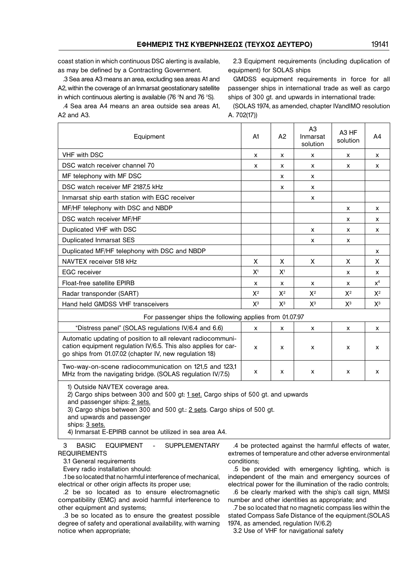coast station in which continuous DSC alerting is available, as may be defined by a Contracting Government.

.3 Sea area A3 means an area, excluding sea areas A1 and A2, within the coverage of an Inmarsat geostationary satellite in which continuous alerting is available (76 °N and 76 °S).

.4 Sea area A4 means an area outside sea areas A1, A2 and A3.

2.3 Equipment requirements (including duplication of equipment) for SOLAS ships

GMDSS equipment requirements in force for all passenger ships in international trade as well as cargo ships of 300 gt. and upwards in international trade:

(SOLAS 1974, as amended, chapter IVandIMO resolution A. 702(17))

| Equipment                                                                                                                                                                                | A1 | A <sub>2</sub>     | A <sub>3</sub><br>Inmarsat<br>solution | A <sub>3</sub> HF<br>solution | A4    |
|------------------------------------------------------------------------------------------------------------------------------------------------------------------------------------------|----|--------------------|----------------------------------------|-------------------------------|-------|
| <b>VHF with DSC</b>                                                                                                                                                                      | x  | X                  | x                                      | x                             | x     |
| DSC watch receiver channel 70                                                                                                                                                            | x  | х                  | x                                      | x                             | x     |
| MF telephony with MF DSC                                                                                                                                                                 |    | X                  | X                                      |                               |       |
| DSC watch receiver MF 2187,5 kHz                                                                                                                                                         |    | х                  | x                                      |                               |       |
| Inmarsat ship earth station with EGC receiver                                                                                                                                            |    |                    | x                                      |                               |       |
| MF/HF telephony with DSC and NBDP                                                                                                                                                        |    |                    |                                        | x                             | x     |
| DSC watch receiver MF/HF                                                                                                                                                                 |    |                    |                                        | x                             | x     |
| Duplicated VHF with DSC                                                                                                                                                                  |    |                    | x                                      | x                             | X     |
| <b>Duplicated Inmarsat SES</b>                                                                                                                                                           |    |                    | x                                      | x                             |       |
| Duplicated MF/HF telephony with DSC and NBDP                                                                                                                                             |    |                    |                                        |                               | x     |
| NAVTEX receiver 518 kHz                                                                                                                                                                  | X  | X                  | X                                      | X                             | X     |
| <b>EGC</b> receiver                                                                                                                                                                      |    | X <sup>1</sup>     |                                        | x                             | x     |
| <b>Float-free satellite EPIRB</b>                                                                                                                                                        |    | x                  | X                                      | x                             | $x^4$ |
| Radar transponder (SART)                                                                                                                                                                 |    | $X^2$              | $X^2$                                  | $X^2$                         | $X^2$ |
| Hand held GMDSS VHF transceivers                                                                                                                                                         |    | $X^3$              | $X^3$                                  | $X^3$                         | $X^3$ |
| For passenger ships the following applies from 01.07.97                                                                                                                                  |    |                    |                                        |                               |       |
| "Distress panel" (SOLAS regulations IV/6.4 and 6.6)                                                                                                                                      |    | X                  | x                                      | x                             | X     |
| Automatic updating of position to all relevant radiocommuni-<br>cation equipment regulation IV/6.5. This also applies for car-<br>go ships from 01.07.02 (chapter IV, new regulation 18) |    | $\pmb{\mathsf{X}}$ | x                                      | $\pmb{\times}$                | x     |
| Two-way-on-scene radiocommunication on 121,5 and 123,1<br>MHz from the navigating bridge. (SOLAS regulation IV/7.5)                                                                      |    | х                  | x                                      | x                             | x     |
| 1) Outside NAVTEX coverage area.<br>2) Cargo ships between 300 and 500 gt: 1 set. Cargo ships of 500 gt. and upwards<br>and passenger ships: 2 sets.                                     |    |                    |                                        |                               |       |

3) Cargo ships between 300 and 500 gt.: 2 sets. Cargo ships of 500 gt.

and upwards and passenger

ships: 3 sets.

4) Inmarsat E−EPIRB cannot be utilized in sea area A4.

3 BASIC EQUIPMENT - SUPPLEMENTARY REQUIREMENTS

3.1 General requirements

Every radio installation should:

.1 be so located that no harmful interference of mechanical, electrical or other origin affects its proper use;

.2 be so located as to ensure electromagnetic compatibility (EMC) and avoid harmful interference to other equipment and systems;

.3 be so located as to ensure the greatest possible degree of safety and operational availability, with warning notice when appropriate;

.4 be protected against the harmful effects of water, extremes of temperature and other adverse environmental conditions;

.5 be provided with emergency lighting, which is independent of the main and emergency sources of electrical power for the illumination of the radio controls;

.6 be clearly marked with the ship's call sign, MMSI number and other identities as appropriate; and

.7 be so located that no magnetic compass lies within the stated Compass Safe Distance of the equipment.(SOLAS 1974, as amended, regulation IV/6.2)

3.2 Use of VHF for navigational safety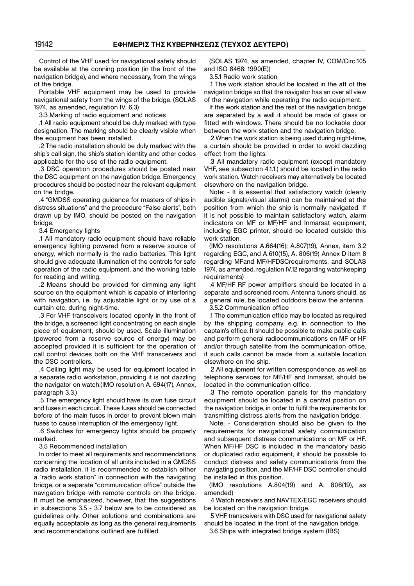Control of the VHF used for navigational safety should be available at the conning position (in the front of the navigation bridge), and where necessary, from the wings of the bridge.

Portable VHF equipment may be used to provide navigational safety from the wings of the bridge. (SOLAS 1974, as amended, regulation IV. 6.3)

3.3 Marking of radio equipment and notices

.1 All radio equipment should be duly marked with type designation. The marking should be clearly visible when the equipment has been installed.

.2 The radio installation should be duly marked with the ship's call sign, the ship's station identity and other codes applicable for the use of the radio equipment.

.3 DSC operation procedures should be posted near the DSC equipment on the navigation bridge. Emergency procedures should be posted near the relevant equipment on the bridge.

.4 "GMDSS operating guidance for masters of ships in distress situations" and the procedure "False alerts", both drawn up by IMO, should be posted on the navigation bridge.

3.4 Emergency lights

.1 All mandatory radio equipment should have reliable emergency lighting powered from a reserve source of energy, which normally is the radio batteries. This light should give adequate illumination of the controls for safe operation of the radio equipment, and the working table for reading and writing.

.2 Means should be provided for dimming any light source on the equipment which is capable of interfering with navigation, i.e. by adjustable light or by use of a curtain etc. during night−time.

.3 For VHF transceivers located openly in the front of the bridge, a screened light concentrating on each single piece of equipment, should by used. Scale illumination (powered from a reserve source of energy) may be accepted provided it is sufficient for the operation of call control devices both on the VHF transceivers and the DSC controllers.

.4 Ceiling light may be used for equipment located in a separate radio workstation, providing it is not dazzling the navigator on watch.(IMO resolution A. 694(17), Annex, paragraph 3.3.)

.5 The emergency light should have its own fuse circuit and fuses in each circuit. These fuses should be connected before of the main fuses in order to prevent blown main fuses to cause interruption of the emergency light.

.6 Switches for emergency lights should be properly marked.

3.5 Recommended installation

In order to meet all requirements and recommendations concerning the location of all units included in a GMDSS radio installation, it is recommended to establish either a "radio work station" in connection with the navigating bridge, or a separate "communication office" outside the navigation bridge with remote controls on the bridge. It must be emphasized, however, that the suggestions in subsections 3.5 − 3.7 below are to be considered as guidelines only. Other solutions and combinations are equally acceptable as long as the general requirements and recommendations outlined are fulfilled.

(SOLAS 1974, as amended, chapter IV, COM/Circ.105 and ISO 8468: 1990(E))

3.5.1 Radio work station

.1 The work station should be located in the aft of the navigation bridge so that the navigator has an over all view of the navigation while operating the radio equipment.

If the work station and the rest of the navigation bridge are separated by a wall it should be made of glass or fitted with windows. There should be no lockable door between the work station and the navigation bridge.

.2 When the work station is being used during night−time, a curtain should be provided in order to avoid dazzling effect from the lights.

.3 All mandatory radio equipment (except mandatory VHF, see subsection 4.1.1.) should be located in the radio work station. Watch receivers may alternatively be located elsewhere on the navigation bridge.

Note: − It is essential that satisfactory watch (clearly audible signals/visual alarms) can be maintained at the position from which the ship is normally navigated. If it is not possible to maintain satisfactory watch, alarm indicators on MF or MF/HF and Inmarsat equipment, including EGC printer, should be located outside this work station.

(IMO resolutions A.664(16); A.807(19), Annex, item 3.2 regarding EGC, and A.610(15), A. 806(19) Annex D item 8 regarding MFand MF/HFDSCrequirements, and SOLAS 1974, as amended, regulation IV.12 regarding watchkeeping requirements)

.4 MF/HF RF power amplifiers should be located in a separate and screened room. Antenna tuners should, as a general rule, be located outdoors below the antenna.

3.5.2 Communication office

.1 The communication office may be located as required by the shipping company, e.g. in connection to the captain's office. It should be possible to make public calls and perform general radiocommunications on MF or HF and/or through satellite from the communication office, if such calls cannot be made from a suitable location elsewhere on the ship.

.2 All equipment for written correspondence, as well as telephone services for MF/HF and Inmarsat, should be located in the communication office.

.3 The remote operation panels for the mandatory equipment should be located in a central position on the navigation bridge, in order to fulfil the requirements for transmitting distress alerts from the navigation bridge.

Note: − Consideration should also be given to the requirements for navigational safety communication and subsequent distress communications on MF or HF. When MF/HF DSC is included in the mandatory basic or duplicated radio equipment, it should be possible to conduct distress and safety communications from the navigating position, and the MF/HF DSC controller should be installed in this position.

(IMO resolutions A.804(19) and A. 806(19), as amended)

.4 Watch receivers and NAVTEX/EGC receivers should be located on the navigation bridge.

.5 VHF transceivers with DSC used for navigational safety should be located in the front of the navigation bridge. 3.6 Ships with integrated bridge system (IBS)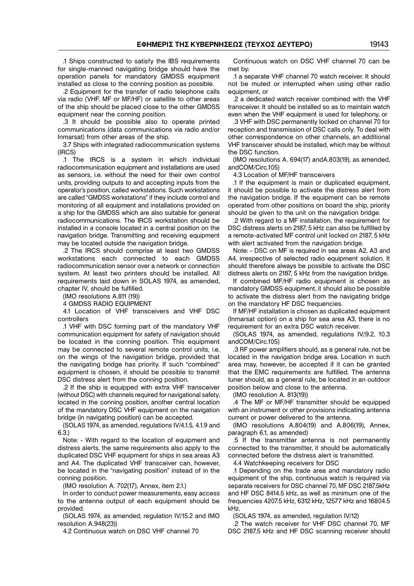.1 Ships constructed to satisfy the IBS requirements for single−manned navigating bridge should have the operation panels for mandatory GMDSS equipment installed as close to the conning position as possible.

.2 Equipment for the transfer of radio telephone calls via radio (VHF, MF or MF/HF) or satellite to other areas of the ship should be placed close to the other GMDSS equipment near the conning position.

.3 It should be possible also to operate printed communications (data communications via radio and/or Inmarsat) from other areas of the ship.

3.7 Ships with integrated radiocommunication systems (IRCS)

.1 The IRCS is a system in which individual radiocommunication equipment and installations are used as sensors, i.e. without the need for their own control units, providing outputs to and accepting inputs from the operator's position, called workstations. Such workstations are called "GMDSS workstations" if they include control and monitoring of all equipment and installations provided on a ship for the GMDSS which are also suitable for general radiocommunications. The IRCS workstation should be installed in a console located in a central position on the navigation bridge. Transmitting and receiving equipment may be located outside the navigation bridge.

.2 The IRCS should comprise at least two GMDSS workstations each connected to each GMDSS radiocommunication sensor over a network or connection system. At least two printers should be installed. All requirements laid down in SOLAS 1974, as amended, chapter IV, should be fulfilled.

(IMO resolutions A.811 (19))

4 GMDSS RADIO EQUIPMENT

4.1 Location of VHF transceivers and VHF DSC controllers

.1 VHF with DSC forming part of the mandatory VHF communication equipment for safety of navigation should be located in the conning position. This equipment may be connected to several remote control units, i.e. on the wings of the navigation bridge, provided that the navigating bridge has priority. If such "combined" equipment is chosen, it should be possible to transmit DSC distress alert from the conning position.

.2 If the ship is equipped with extra VHF transceiver (without DSC) with channels required for navigational safety, located in the conning position, another central location of the mandatory DSC VHF equipment on the navigation bridge (in navigating position) can be accepted.

(SOLAS 1974, as amended, regulations IV/4.1.5, 4.1.9 and 6.3.)

Note: − With regard to the location of equipment and distress alerts, the same requirements also apply to the duplicated DSC VHF equipment for ships in sea areas A3 and A4. The duplicated VHF transceiver can, however, be located in the "navigating position" instead of in the conning position.

(IMO resolution A. 702(17), Annex, item 2.1.)

In order to conduct power measurements, easy access to the antenna output of each equipment should be provided.

(SOLAS 1974, as amended, regulation IV/15.2 and IMO resolution A.948(23))

4.2 Continuous watch on DSC VHF channel 70

Continuous watch on DSC VHF channel 70 can be met by:

.1 a separate VHF channel 70 watch receiver. It should not be muted or interrupted when using other radio equipment, or

.2 a dedicated watch receiver combined with the VHF transceiver. It should be installed so as to maintain watch even when the VHF equipment is used for telephony, or

.3 VHF with DSC permanently locked on channel 70 for reception and transmission of DSC calls only. To deal with other correspondence on other channels, an additional VHF transceiver should be installed, which may be without the DSC function.

(IMO resolutions A. 694(17) andA.803(19), as amended, andCOM/Circ.105)

4.3 Location of MF/HF transceivers

.1 If the equipment is main or duplicated equipment, it should be possible to activate the distress alert from the navigation bridge. If the equipment can be remote operated from other positions on board the ship, priority should be given to the unit on the navigation bridge.

.2 With regard to a MF installation, the requirement for DSC distress alerts on 2187, 5 kHz can also be fulfilled by a remote−activated MF control unit locked on 2187, 5 kHz with alert activated from the navigation bridge.

Note: − DSC on MF is required in sea areas A2, A3 and A4, irrespective of selected radio equipment solution. It should therefore always be possible to activate the DSC distress alerts on 2187, 5 kHz from the navigation bridge.

If combined MF/HF radio equipment is chosen as mandatory GMDSS equipment, it should also be possible to activate the distress alert from the navigating bridge on the mandatory HF DSC frequencies.

If MF/HF installation is chosen as duplicated equipment (Inmarsat option) on a ship for sea area A3, there is no requirement for an extra DSC watch receiver.

(SOLAS 1974, as amended, regulations IV/9.2, 10.3 andCOM/Circ.105)

.3 RF power amplifiers should, as a general rule, not be located in the navigation bridge area. Location in such area may, however, be accepted if it can be granted that the EMC requirements are fulfilled. The antenna tuner should, as a general rule, be located in an outdoor position below and close to the antenna.

(IMO resolution A. 813(19))

.4 The MF or MF/HF transmitter should be equipped with an instrument or other provisions indicating antenna current or power delivered to the antenna.

(IMO resolutions A.804(19) and A.806(19), Annex, paragraph 6.1, as amended)

.5 If the transmitter antenna is not permanently connected to the transmitter, it should be automatically connected before the distress alert is transmitted.

4.4 Watchkeeping receivers for DSC

.1 Depending on the trade area and mandatory radio equipment of the ship, continuous watch is required via separate receivers for DSC channel 70, MF DSC 2187.5kHz and HF DSC 8414.5 kHz, as well as minimum one of the frequencies 4207.5 kHz, 6312 kHz, 12577 kHz and 16804.5 kHz.

(SOLAS 1974, as amended, regulation IV/12)

.2 The watch receiver for VHF DSC channel 70, MF DSC 2187.5 kHz and HF DSC scanning receiver should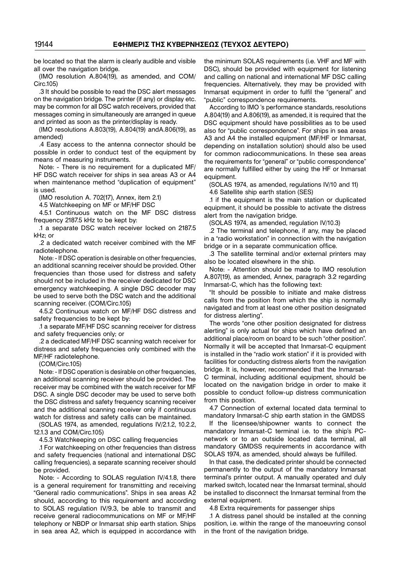be located so that the alarm is clearly audible and visible all over the navigation bridge.

(IMO resolution A.804(19), as amended, and COM/ Circ.105)

.3 It should be possible to read the DSC alert messages on the navigation bridge. The printer (if any) or display etc. may be common for all DSC watch receivers, provided that messages coming in simultaneously are arranged in queue and printed as soon as the printer/display is ready.

(IMO resolutions A.803(19), A.804(19) andA.806(19), as amended)

.4 Easy access to the antenna connector should be possible in order to conduct test of the equipment by means of measuring instruments.

Note: − There is no requirement for a duplicated MF/ HF DSC watch receiver for ships in sea areas A3 or A4 when maintenance method "duplication of equipment" is used.

(IMO resolution A. 702(17), Annex, item 2.1)

4.5 Watchkeeping on MF or MF/HF DSC

4.5.1 Continuous watch on the MF DSC distress frequency 2187.5 kHz to be kept by:

.1 a separate DSC watch receiver locked on 2187.5 kHz; or

.2 a dedicated watch receiver combined with the MF radiotelephone.

Note: − If DSC operation is desirable on other frequencies, an additional scanning receiver should be provided. Other frequencies than those used for distress and safety should not be included in the receiver dedicated for DSC emergency watchkeeping. A single DSC decoder may be used to serve both the DSC watch and the additional scanning receiver. (COM/Circ.105)

4.5.2 Continuous watch on MF/HF DSC distress and safety frequencies to be kept by:

.1 a separate MF/HF DSC scanning receiver for distress and safety frequencies only; or

.2 a dedicated MF/HF DSC scanning watch receiver for distress and safety frequencies only combined with the MF/HF radiotelephone.

(COM/Circ.105)

Note: − If DSC operation is desirable on other frequencies, an additional scanning receiver should be provided. The receiver may be combined with the watch receiver for MF DSC. A single DSC decoder may be used to serve both the DSC distress and safety frequency scanning receiver and the additional scanning receiver only if continuous watch for distress and safety calls can be maintained.

(SOLAS 1974, as amended, regulations IV/2.1.2, 10.2.2, 12.1.3 and COM/Circ.105)

4.5.3 Watchkeeping on DSC calling frequencies

.1 For watchkeeping on other frequencies than distress and safety frequencies (national and international DSC calling frequencies), a separate scanning receiver should be provided.

Note: − According to SOLAS regulation IV/4.1.8, there is a general requirement for transmitting and receiving "General radio communications". Ships in sea areas A2 should, according to this requirement and according to SOLAS regulation IV/9.3, be able to transmit and receive general radiocommunications on MF or MF/HF telephony or NBDP or Inmarsat ship earth station. Ships in sea area A2, which is equipped in accordance with

the minimum SOLAS requirements (i.e. VHF and MF with DSC), should be provided with equipment for listening and calling on national and international MF DSC calling frequencies. Alternatively, they may be provided with Inmarsat equipment in order to fulfil the "general" and "public" correspondence requirements.

According to IMO 's performance standards, resolutions A.804(19) and A.806(19), as amended, it is required that the DSC equipment should have possibilities as to be used also for "public correspondence". For ships in sea areas A3 and A4 the installed equipment (MF/HF or Inmarsat, depending on installation solution) should also be used for common radiocommunications. In these sea areas the requirements for "general" or "public correspondence" are normally fulfilled either by using the HF or Inmarsat equipment.

(SOLAS 1974, as amended, regulations IV/10 and 11)

4.6 Satellite ship earth station (SES)

.1 if the equipment is the main station or duplicated equipment, it should be possible to activate the distress alert from the navigation bridge.

(SOLAS 1974, as amended, regulation IV/10.3)

.2 The terminal and telephone, if any, may be placed in a "radio workstation" in connection with the navigation bridge or in a separate communication office.

.3 The satellite terminal and/or external printers may also be located elsewhere in the ship.

Note: − Attention should be made to IMO resolution A.807(19), as amended, Annex, paragraph 3.2 regarding Inmarsat−C, which has the following text:

"It should be possible to initiate and make distress calls from the position from which the ship is normally navigated and from at least one other position designated for distress alerting".

The words "one other position designated for distress alerting" is only actual for ships which have defined an additional place/room on board to be such "other position". Normally it will be accepted that Inmarsat−C equipment is installed in the "radio work station" if it is provided with facilities for conducting distress alerts from the navigation bridge. It is, however, recommended that the Inmarsat− C terminal, including additional equipment, should be located on the navigation bridge in order to make it possible to conduct follow−up distress communication from this position.

4.7 Connection of external located data terminal to mandatory Inmarsat−C ship earth station in the GMDSS

If the licensee/shipowner wants to connect the mandatory Inmarsat−C terminal i.e. to the ship's PC− network or to an outside located data terminal, all mandatory GMDSS requirements in accordance with SOLAS 1974, as amended, should always be fulfilled.

In that case, the dedicated printer should be connected permanently to the output of the mandatory Inmarsat terminal's printer output. A manually operated and duly marked switch, located near the Inmarsat terminal, should be installed to disconnect the Inmarsat terminal from the external equipment.

4.8 Extra requirements for passenger ships

.1 A distress panel should be installed at the conning position, i.e. within the range of the manoeuvring consol in the front of the navigation bridge.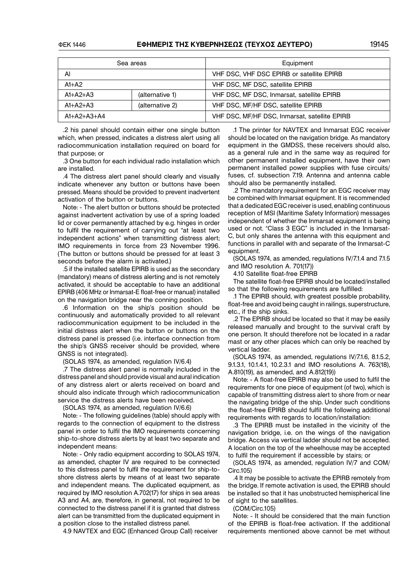#### ΦΕΚ 1446 **ΕΦΗΜΕΡΙΣ ΤΗΣ ΚΥΒΕΡΝΗΣΕΩΣ (ΤΕΥΧΟΣ ΔΕΥΤΕΡΟ)** 19145

|                               | Sea areas       | Equipment                                     |  |
|-------------------------------|-----------------|-----------------------------------------------|--|
| Al                            |                 | VHF DSC, VHF DSC EPIRB or satellite EPIRB     |  |
| $A1+A2$                       |                 | VHF DSC, MF DSC, satellite EPIRB              |  |
| $A1+A2+A3$                    | (alternative 1) | VHF DSC, MF DSC, Inmarsat, satellite EPIRB    |  |
| $A1+A2+A3$<br>(alternative 2) |                 | VHF DSC, MF/HF DSC, satellite EPIRB           |  |
| $A1+A2+A3+A4$                 |                 | VHF DSC, MF/HF DSC, Inmarsat, satellite EPIRB |  |

.2 his panel should contain either one single button which, when pressed, indicates a distress alert using all radiocommunication installation required on board for that purpose; or

.3 One button for each individual radio installation which are installed.

.4 The distress alert panel should clearly and visually indicate whenever any button or buttons have been pressed. Means should be provided to prevent inadvertent activation of the button or buttons.

Note: − The alert button or buttons should be protected against inadvertent activation by use of a spring loaded lid or cover permanently attached by e.g. hinges in order to fulfil the requirement of carrying out "at least two independent actions" when transmitting distress alert; IMO requirements in force from 23 November 1996. (The button or buttons should be pressed for at least 3 seconds before the alarm is activated.)

.5 if the installed satellite EPIRB is used as the secondary (mandatory) means of distress alerting and is not remotely activated, it should be acceptable to have an additional EPIRB (406 MHz or Inmarsat−Ε float−free or manual) installed on the navigation bridge near the conning position.

.6 Information on the ship's position should be continuously and automatically provided to all relevant radiocommunication equipment to be included in the initial distress alert when the button or buttons on the distress panel is pressed (i.e. interface connection from the ship's GNSS receiver should be provided, where GNSS is not integrated).

(SOLAS 1974, as amended, regulation IV/6.4)

.7 The distress alert panel is normally included in the distress panel and should provide visual and aural indication of any distress alert or alerts received on board and should also indicate through which radiocommunication service the distress alerts have been received.

(SOLAS 1974, as amended, regulation IV/6.6)

Note: − The following guidelines (table) should apply with regards to the connection of equipment to the distress panel in order to fulfil the ΙΜΟ requirements concerning ship−to−shore distress alerts by at least two separate and independent means:

Note: − Only radio equipment according to SOLAS 1974, as amended, chapter IV are required to be connected to this distress panel to fulfil the requirement for ship−to− shore distress alerts by means of at least two separate and independent means. The duplicated equipment, as required by IMO resolution A.702(17) for ships in sea areas A3 and A4, are, therefore, in general, not required to be connected to the distress panel if it is granted that distress alert can be transmitted from the duplicated equipment in a position close to the installed distress panel.

4.9 NAVTEX and EGC (Enhanced Group Call) receiver

.1 The printer for NAVTEX and Inmarsat EGC receiver should be located on the navigation bridge. As mandatory equipment in the GMDSS, these receivers should also, as a general rule and in the same way as required for other permanent installed equipment, have their own permanent installed power supplies with fuse circuits/ fuses, cf. subsection 7.19. Antenna and antenna cable should also be permanently installed.

.2 The mandatory requirement for an EGC receiver may be combined with Inmarsat equipment. It is recommended that a dedicated EGC receiver is used, enabling continuous reception of MSI (Maritime Safety Information) messages independent of whether the Inmarsat equipment is being used or not. "Class 3 EGC" is included in the Inmarsat− C, but only shares the antenna with this equipment and functions in parallel with and separate of the Inmarsat−C equipment.

(SOLAS 1974, as amended, regulations IV/7.1.4 and 7.1.5 and IMO resolution A. 701(17))

4.10 Satellite float−free EPIRB

The satellite float−free EPIRB should be located/installed so that the following requirements are fulfilled:

.1 The EPIRB should, with greatest possible probability, float−free and avoid being caught in railings, superstructure, etc., if the ship sinks.

.2 The EPIRB should be located so that it may be easily released manually and brought to the survival craft by one person. It should therefore not be located in a radar mast or any other places which can only be reached by vertical ladder.

(SOLAS 1974, as amended, regulations IV/7.1.6, 8.1.5.2, 9.1.3.1, 10.1.4.1, 10.2.3.1 and IMO resolutions A. 763(18), A.810(19), as amended, and A.812(19))

Note: − A float−free EPIRB may also be used to fulfil the requirements for one piece of equipment (of two), which is capable of transmitting distress alert to shore from or near the navigating bridge of the ship. Under such conditions the float−free EPIRB should fulfil the following additional requirements with regards to location/installation:

.3 The EPIRB must be installed in the vicinity of the navigation bridge, i.e. on the wings of the navigation bridge. Access via vertical ladder should not be accepted. A location on the top of the wheelhouse may be accepted to fulfil the requirement if accessible by stairs; or

(SOLAS 1974, as amended, regulation IV/7 and COM/ Circ.105)

.4 It may be possible to activate the EPIRB remotely from the bridge. If remote activation is used, the EPIRB should be installed so that it has unobstructed hemispherical line of sight to the satellites.

(COM/Circ.105)

Note: − It should be considered that the main function of the EPIRB is float−free activation. If the additional requirements mentioned above cannot be met without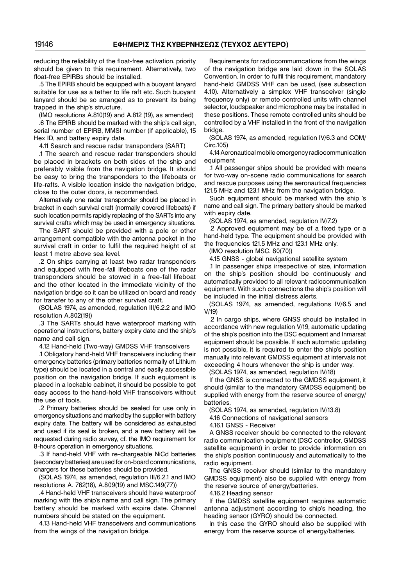reducing the reliability of the float−free activation, priority should be given to this requirement. Alternatively, two float−free EPIRBs should be installed.

.5 The EPIRB should be equipped with a buoyant lanyard suitable for use as a tether to life raft etc. Such buoyant lanyard should be so arranged as to prevent its being trapped in the ship's structure.

(IMO resolutions A.810(19) and A.812 (19), as amended)

.6 The EPIRB should be marked with the ship's call sign, serial number of EPIRB, MMSI number (if applicable), 15 Hex ID, and battery expiry date.

4.11 Search and rescue radar transponders (SART)

.1 The search and rescue radar transponders should be placed in brackets on both sides of the ship and preferably visible from the navigation bridge. It should be easy to bring the transponders to the lifeboats or life−rafts. A visible location inside the navigation bridge, close to the outer doors, is recommended.

Alternatively one radar transponder should be placed in bracket in each survival craft (normally covered lifeboats) if such location permits rapidly replacing of the SARTs into any survival crafts which may be used in emergency situations.

The SART should be provided with a pole or other arrangement compatible with the antenna pocket in the survival craft in order to fulfil the required height of at least 1 metre above sea level.

.2 On ships carrying at least two radar transponders and equipped with free−fall lifeboats one of the radar transponders should be stowed in a free−fall lifeboat and the other located in the immediate vicinity of the navigation bridge so it can be utilized on board and ready for transfer to any of the other survival craft.

(SOLAS 1974, as amended, regulation III/6.2.2 and lMO resolution A.802(19))

.3 The SARTs should have waterproof marking with operational instructions, battery expiry date and the ship's name and call sign.

4.12 Hand−held (Two−way) GMDSS VHF transceivers

.1 Obligatory hand−held VHF transceivers including their emergency batteries (primary batteries normally of Lithium type) should be located in a central and easily accessible position on the navigation bridge. If such equipment is placed in a lockable cabinet, it should be possible to get easy access to the hand−held VHF transceivers without the use of tools.

.2 Primary batteries should be sealed for use only in emergency situations and marked by the supplier with battery expiry date. The battery will be considered as exhausted and used if its seal is broken, and a new battery will be requested during radio survey, cf. the IMO requirement for 8-hours operation in emergency situations.

.3 If hand−held VHF with re−chargeable NiCd batteries (secondary batteries) are used for on−board communications, chargers for these batteries should be provided.

(SOLAS 1974, as amended, regulation III/6.2.1 and IMO resolutions A. 762(18), A.809(19) and MSC.149(77))

.4 Hand−held VHF transceivers should have waterproof marking with the ship's name and call sign. The primary battery should be marked with expire date. Channel numbers should be stated on the equipment.

4.13 Hand−held VHF transceivers and communications from the wings of the navigation bridge.

Requirements for radiocommumcations from the wings of the navigation bridge are laid down in the SOLAS Convention. In order to fulfil this requirement, mandatory hand−held GMDSS VHF can be used, (see subsection 4.10). Alternatively a simplex VHF transceiver (single frequency only) or remote controlled units with channel selector, loudspeaker and microphone may be installed in these positions. These remote controlled units should be controlled by a VHF installed in the front of the navigation bridge.

(SOLAS 1974, as amended, regulation IV/6.3 and COM/ Circ.105)

4.14 Aeronautical mobile emergency radiocommunication equipment

.1 All passenger ships should be provided with means for two−way on−scene radio communications for search and rescue purposes using the aeronautical frequencies 121.5 MHz and 123.1 MHz from the navigation bridge.

Such equipment should be marked with the ship 's name and call sign. The primary battery should be marked with expiry date.

(SOLAS 1974, as amended, regulation IV/7.2)

.2 Approved equipment may be of a fixed type or a hand−held type. The equipment should be provided with the frequencies 121.5 MHz and 123.1 MHz only.

(IMO resolution MSC. 80(70))

4.15 GNSS − global navigational satellite system

.1 In passenger ships irrespective of size, information on the ship's position should be continuously and automatically provided to all relevant radiocommunication equipment. With such connections the ship's position will be included in the initial distress alerts.

(SOLAS 1974, as amended, regulations IV/6.5 and V/19)

.2 In cargo ships, where GNSS should be installed in accordance with new regulation V/19, automatic updating of the ship's position into the DSC equipment and Inmarsat equipment should be possible. If such automatic updating is not possible, it is required to enter the ship's position manually into relevant GMDSS equipment at intervals not exceeding 4 hours whenever the ship is under way.

(SOLAS 1974, as amended, regulation IV/18)

If the GNSS is connected to the GMDSS equipment, it should (similar to the mandatory GMDSS equipment) be supplied with energy from the reserve source of energy/ batteries.

(SOLAS 1974, as amended, regulation IV/13.8)

4.16 Connections of navigational sensors

4.16.1 GNSS − Receiver

A GNSS receiver should be connected to the relevant radio communication equipment (DSC controller, GMDSS satellite equipment) in order to provide information on the ship's position continuously and automatically to the radio equipment.

The GNSS receiver should (similar to the mandatory GMDSS equipment) also be supplied with energy from the reserve source of energy/batteries.

4.16.2 Heading sensor

If the GMDSS satellite equipment requires automatic antenna adjustment according to ship's heading, the heading sensor (GYRO) should be connected.

In this case the GYRO should also be supplied with energy from the reserve source of energy/batteries.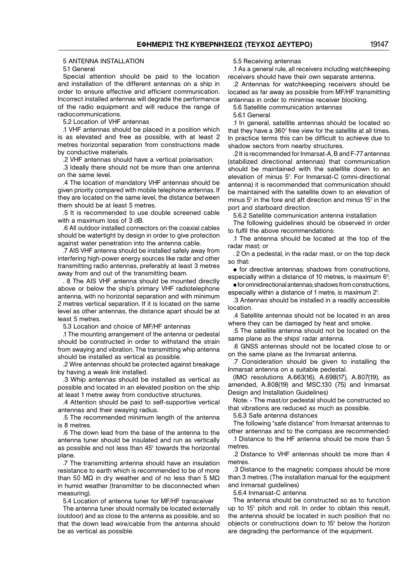#### 5 ANTENNA INSTALLATION

5.1 General

Special attention should be paid to the location and installation of the different antennas on a ship in order to ensure effective and efficient communication. Incorrect installed antennas will degrade the performance of the radio equipment and will reduce the range of radiocommunications.

5.2 Location of VHF antennas

.1 VHF antennas should be placed in a position which is as elevated and free as possible, with at least 2 metres horizontal separation from constructions made by conductive materials.

.2 VHF antennas should have a vertical polarisation.

.3 Ideally there should not be more than one antenna on the same level.

.4 The location of mandatory VHF antennas should be given priority compared with mobile telephone antennas. If they are located on the same level, the distance between them should be at least 5 metres.

.5 It is recommended to use double screened cable with a maximum loss of 3 dB.

.6 All outdoor installed connectors on the coaxial cables should be watertight by design in order to give protection against water penetration into the antenna cable.

.7 AIS VHF antenna should be installed safely away from interfering high−power energy sources like radar and other transmitting radio antennas, preferably at least 3 metres away from and out of the transmitting beam.

. 8 The AIS VHF antenna should be mounted directly above or below the ship's primary VHF radiotelephone antenna, with no horizontal separation and with minimum 2 metres vertical separation. If it is located on the same level as other antennas, the distance apart should be at least 5 metres.

5.3 Location and choice of MF/HF antennas

.1 The mounting arrangement of the antenna or pedestal should be constructed in order to withstand the strain from swaying and vibration. The transmitting whip antenna should be installed as vertical as possible.

.2 Wire antennas should be protected against breakage by having a weak link installed.

.3 Whip antennas should be installed as vertical as possible and located in an elevated position on the ship at least 1 metre away from conductive structures.

.4 Attention should be paid to self−supportive vertical antennas and their swaying radius.

.5 The recommended minimum length of the antenna is 8 metres.

.6 The down lead from the base of the antenna to the antenna tuner should be insulated and run as vertically as possible and not less than 45° towards the horizontal plane.

.7 The transmitting antenna should have an insulation resistance to earth which is recommended to be of more than 50 MΩ in dry weather and of no less than 5 MΩ in humid weather (transmitter to be disconnected when measuring).

5.4 Location of antenna tuner for MF/HF transceiver

The antenna tuner should normally be located externally (outdoor) and as close to the antenna as possible, and so that the down lead wire/cable from the antenna should be as vertical as possible.

5.5 Receiving antennas

.1 As a general rule, all receivers including watchkeeping receivers should have their own separate antenna.

.2 Antennas for watchkeeping receivers should be located as far away as possible from MF/HF transmitting antennas in order to minimise receiver blocking.

5.6 Satellite communication antennas

5.6.1 General

.1 In general, satellite antennas should be located so that they have a 360° free view for the satellite at all times. In practice terms this can be difficult to achieve due to shadow sectors from nearby structures.

.2 It is recommended for Inmarsat−Α, Β and F−77 antennas (stabilized directional antennas) that communication should be maintained with the satellite down to an elevation of minus 5°. For Inmarsat−C (omni−directional antenna) it is recommended that communication should be maintained with the satellite down to an elevation of minus 5° in the fore and aft direction and minus 15° in the port and starboard direction.

5.6.2 Satellite communication antenna installation

The following guidelines should be observed in order to fulfil the above recommendations:

.1 The antenna should be located at the top of the radar mast; or

. 2 On a pedestal, in the radar mast, or on the top deck so that:

• for directive antennas; shadows from constructions, especially within a distance of 10 metres, is maximum 6°;

• for omnidirectional antennas; shadows from constructions, especially within a distance of 1 metre, is maximum 2°.

.3 Antennas should be installed in a readily accessible location.

.4 Satellite antennas should not be located in an area where they can be damaged by heat and smoke.

.5 The satellite antenna should not be located on the same plane as the ships' radar antenna.

.6 GNSS antennas should not be located close to or on the same plane as the Inmarsat antenna.

.7 Consideration should be given to installing the Inmarsat antenna on a suitable pedestal.

(IMO resolutions A.663(16), A.698(17), A.807(19), as amended, A.808(19) and MSC.130 (75) and Inmarsat Design and Installation Guidelines)

Note: − The mast/or pedestal should be constructed so that vibrations are reduced as much as possible.

5.6.3 Safe antenna distances

The following "safe distance" from Inmarsat antennas to other antennas and to the compass are recommended:

.1 Distance to the HF antenna should be more than 5 metres.

.2 Distance to VHF antennas should be more than 4 metres.

.3 Distance to the magnetic compass should be more than 3 metres. (The installation manual for the equipment and Inmarsat guidelines)

5.6.4 Inmarsat−C antenna

The antenna should be constructed so as to function up to 15° pitch and roll. In order to obtain this result, the antenna should be located in such position that no objects or constructions down to 15° below the horizon are degrading the performance of the equipment.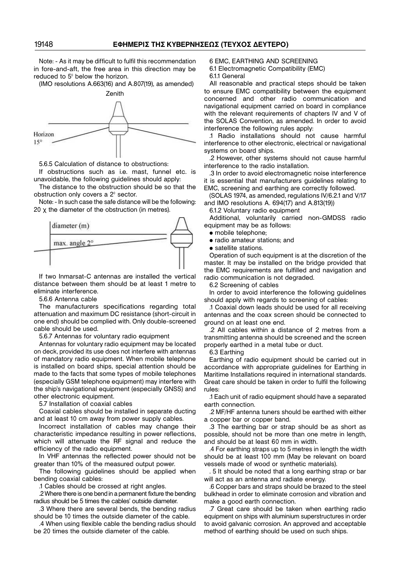Note: − As it may be difficult to fulfil this recommendation in fore−and−aft, the free area in this direction may be reduced to 5° below the horizon.

(IMO resolutions A.663(16) and A.807(19), as amended)



5.6.5 Calculation of distance to obstructions:

If obstructions such as i.e. mast, funnel etc. is unavoidable, the following guidelines should apply:

The distance to the obstruction should be so that the obstruction only covers a 2° sector.

Note: − In such case the safe distance will be the following: 20  $\times$  the diameter of the obstruction (in metres).



If two Inmarsat−C antennas are installed the vertical distance between them should be at least 1 metre to eliminate interference.

5.6.6 Antenna cable

The manufacturers specifications regarding total attenuation and maximum DC resistance (short−circuit in one end) should be complied with. Only double−screened cable should be used.

5.6.7 Antennas for voluntary radio equipment

Antennas for voluntary radio equipment may be located on deck, provided its use does not interfere with antennas of mandatory radio equipment. When mobile telephone is installed on board ships, special attention should be made to the facts that some types of mobile telephones (especially GSM telephone equipment) may interfere with the ship's navigational equipment (especially GNSS) and other electronic equipment.

5.7 Installation of coaxial cables

Coaxial cables should be installed in separate ducting and at least 10 cm away from power supply cables.

Incorrect installation of cables may change their characteristic impedance resulting in power reflections, which will attenuate the RF signal and reduce the efficiency of the radio equipment.

In VHF antennas the reflected power should not be greater than 10% of the measured output power.

The following guidelines should be applied when bending coaxial cables:

.1 Cables should be crossed at right angles.

.2 Where there is one bend in a permanent fixture the bending radius should be 5 times the cables' outside diameter.

.3 Where there are several bends, the bending radius should be 10 times the outside diameter of the cable.

.4 When using flexible cable the bending radius should be 20 times the outside diameter of the cable.

6 EMC, EARTHING AND SCREENING

6.1 Electromagnetic Compatibility (EMC) 6.1.1 General

All reasonable and practical steps should be taken to ensure EMC compatibility between the equipment concerned and other radio communication and navigational equipment carried on board in compliance with the relevant requirements of chapters IV and V of the SOLAS Convention, as amended. In order to avoid interference the following rules apply:

.1 Radio installations should not cause harmful interference to other electronic, electrical or navigational systems on board ships.

.2 However, other systems should not cause harmful interference to the radio installation.

.3 In order to avoid electromagnetic noise interference it is essential that manufacturers guidelines relating to EMC, screening and earthing are correctly followed.

(SOLAS 1974, as amended, regulations IV/6.2.1 and V/17 and IMO resolutions A. 694(17) and A.813(19))

6.1.2 Voluntary radio equipment

Additional, voluntarily carried non−GMDSS radio equipment may be as follows:

• mobile telephone;

• radio amateur stations; and

• satellite stations.

Operation of such equipment is at the discretion of the master. It may be installed on the bridge provided that the EMC requirements are fulfilled and navigation and radio communication is not degraded.

6.2 Screening of cables

In order to avoid interference the following guidelines should apply with regards to screening of cables:

.1 Coaxial down leads should be used for all receiving antennas and the coax screen should be connected to ground on at least one end.

.2 All cables within a distance of 2 metres from a transmitting antenna should be screened and the screen properly earthed in a metal tube or duct.

6.3 Earthing

Earthing of radio equipment should be carried out in accordance with appropriate guidelines for Earthing in Maritime Installations required in international standards. Great care should be taken in order to fulfil the following rules:

.1 Each unit of radio equipment should have a separated earth connection.

.2 MF/HF antenna tuners should be earthed with either a copper bar or copper band.

.3 The earthing bar or strap should be as short as possible, should not be more than one metre in length, and should be at least 60 mm in width.

.4 For earthing straps up to 5 metres in length the width should be at least 100 mm (May be relevant on board vessels made of wood or synthetic materials).

. 5 It should be noted that a long earthing strap or bar will act as an antenna and radiate energy.

.6 Copper bars and straps should be brazed to the steel bulkhead in order to eliminate corrosion and vibration and make a good earth connection.

.7 Great care should be taken when earthing radio equipment on ships with aluminium superstructures in order to avoid galvanic corrosion. An approved and acceptable method of earthing should be used on such ships.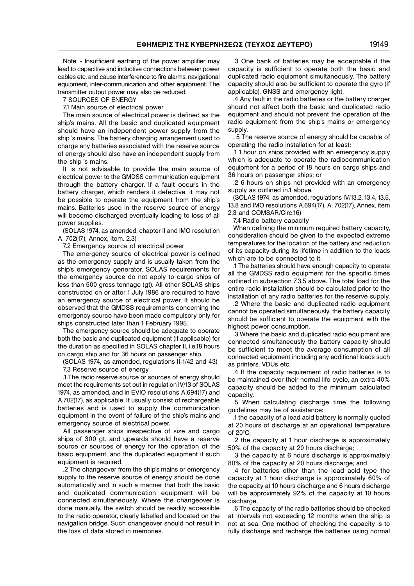Note: − Insufficient earthing of the power amplifier may lead to capacitive and inductive connections between power cables etc. and cause interference to fire alarms, navigational equipment, inter−communication and other equipment. The transmitter output power may also be reduced.

7 SOURCES OF ENERGY

7.1 Main source of electrical power

The main source of electrical power is defined as the ship's mains. All the basic and duplicated equipment should have an independent power supply from the ship 's mains. The battery charging arrangement used to charge any batteries associated with the reserve source of energy should also have an independent supply from the ship 's mains.

It is not advisable to provide the main source of electrical power to the GMDSS communication equipment through the battery charger. If a fault occurs in the battery charger, which renders it defective, it may not be possible to operate the equipment from the ship's mains. Batteries used in the reserve source of energy will become discharged eventually leading to loss of all power supplies.

(SOLAS 1974, as amended, chapter II and IMO resolution A. 702(17), Annex, item. 2.3)

7.2 Emergency source of electrical power

The emergency source of electrical power is defined as the emergency supply and is usually taken from the ship's emergency generator. SOLAS requirements for the emergency source do not apply to cargo ships of less than 500 gross tonnage (gt). All other SOLAS ships constructed on or after 1 July 1986 are required to have an emergency source of electrical power. It should be observed that the GMDSS requirements concerning the emergency source have been made compulsory only for ships constructed later than 1 February 1995.

The emergency source should be adequate to operate both the basic and duplicated equipment (if applicable) for the duration as specified in SOLAS chapter II, i.e.18 hours on cargo ship and for 36 hours on passenger ship.

(SOLAS 1974, as amended, regulations II−1/42 and 43) 7.3 Reserve source of energy

.1 The radio reserve source or sources of energy should meet the requirements set out in regulation IV/13 of SOLAS 1974, as amended, and in EVIO resolutions A.694(17) and A.702(17), as applicable. It usually consist of rechargeable batteries and is used to supply the communication equipment in the event of failure of the ship's mains and emergency source of electrical power.

All passenger ships irrespective of size and cargo ships of 300 gt. and upwards should have a reserve source or sources of energy for the operation of the basic equipment, and the duplicated equipment if such equipment is required.

.2 The changeover from the ship's mains or emergency supply to the reserve source of energy should be done automatically and in such a manner that both the basic and duplicated communication equipment will be connected simultaneously. Where the changeover is done manually, the switch should be readily accessible to the radio operator, clearly labelled and located on the navigation bridge. Such changeover should not result in the loss of data stored in memories.

.3 One bank of batteries may be acceptable if the capacity is sufficient to operate both the basic and duplicated radio equipment simultaneously. The battery capacity should also be sufficient to operate the gyro (if applicable), GNSS and emergency light.

.4 Any fault in the radio batteries or the battery charger should not affect both the basic and duplicated radio equipment and should not prevent the operation of the radio equipment from the ship's mains or emergency supply.

. 5 The reserve source of energy should be capable of operating the radio installation for at least:

.1 1 hour on ships provided with an emergency supply which is adequate to operate the radiocommunication equipment for a period of 18 hours on cargo ships and 36 hours on passenger ships; or

.2 6 hours on ships not provided with an emergency supply as outlined in.1 above.

(SOLAS 1974, as amended, regulations IV/13.2, 13.4, 13.5, 13.8 and IMO resolutions A.694(17), A. 702(17), Annex, item 2.3 and COMSAR/Circ.16)

7.4 Radio battery capacity

When defining the minimum required battery capacity, consideration should be given to the expected extreme temperatures for the location of the battery and reduction of its capacity during its lifetime in addition to the loads which are to be connected to it.

.1 The batteries should have enough capacity to operate all the GMDSS radio equipment for the specific times outlined in subsection 7.3.5 above. The total load for the entire radio installation should be calculated prior to the installation of any radio batteries for the reserve supply.

.2 Where the basic and duplicated radio equipment cannot be operated simultaneously, the battery capacity should be sufficient to operate the equipment with the highest power consumption.

.3 Where the basic and duplicated radio equipment are connected simultaneously the battery capacity should be sufficient to meet the average consumption of all connected equipment including any additional loads such as printers, VDUs etc.

.4 If the capacity requirement of radio batteries is to be maintained over their normal life cycle, an extra 40% capacity should be added to the minimum calculated capacity.

.5 When calculating discharge time the following guidelines may be of assistance:

.1 the capacity of a lead acid battery is normally quoted at 20 hours of discharge at an operational temperature of  $20^{\circ}$ C:

.2 the capacity at 1 hour discharge is approximately 50% of the capacity at 20 hours discharge;

.3 the capacity at 6 hours discharge is approximately 80% of the capacity at 20 hours discharge; and

.4 for batteries other than the lead acid type the capacity at 1 hour discharge is approximately 60% of the capacity at 10 hours discharge and 6 hours discharge will be approximately 92% of the capacity at 10 hours discharge.

.6 The capacity of the radio batteries should be checked at intervals not exceeding 12 months when the ship is not at sea. One method of checking the capacity is to fully discharge and recharge the batteries using normal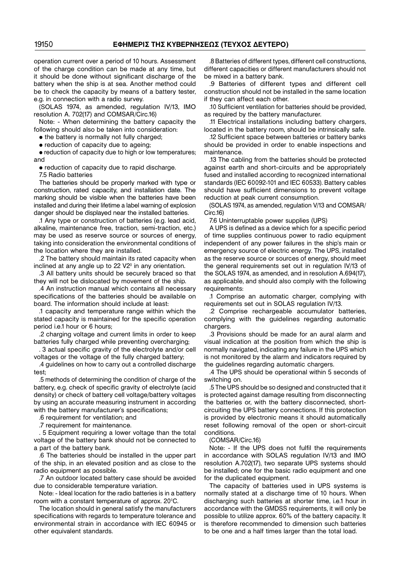operation current over a period of 10 hours. Assessment of the charge condition can be made at any time, but it should be done without significant discharge of the battery when the ship is at sea. Another method could be to check the capacity by means of a battery tester, e.g. in connection with a radio survey.

(SOLAS 1974, as amended, regulation IV/13, IMO resolution A. 702(17) and COMSAR/Circ.16)

Note: − When determining the battery capacity the following should also be taken into consideration:

• the battery is normally not fully charged;

• reduction of capacity due to ageing;

• reduction of capacity due to high or low temperatures; and

• reduction of capacity due to rapid discharge.

7.5 Radio batteries

The batteries should be properly marked with type or construction, rated capacity, and installation date. The marking should be visible when the batteries have been installed and during their lifetime a label warning of explosion danger should be displayed near the installed batteries.

.1 Any type or construction of batteries (e.g. lead acid, alkaline, maintenance free, traction, semi−traction, etc.) may be used as reserve source or sources of energy, taking into consideration the environmental conditions of the location where they are installed.

.2 The battery should maintain its rated capacity when inclined at any angle up to 22 V2<sup>0</sup> in any orientation.

.3 All battery units should be securely braced so that they will not be dislocated by movement of the ship.

.4 An instruction manual which contains all necessary specifications of the batteries should be available on board. The information should include at least:

.1 capacity and temperature range within which the stated capacity is maintained for the specific operation period i.e.1 hour or 6 hours;

.2 charging voltage and current limits in order to keep batteries fully charged while preventing overcharging:

. 3 actual specific gravity of the electrolyte and/or cell voltages or the voltage of the fully charged battery;

.4 guidelines on how to carry out a controlled discharge test;

.5 methods of determining the condition of charge of the battery, e.g. check of specific gravity of electrolyte (acid density) or check of battery cell voltage/battery voltages by using an accurate measuring instrument in according with the battery manufacturer's specifications;

.6 requirement for ventilation; and

.7 requirement for maintenance.

. 5 Equipment requiring a lower voltage than the total voltage of the battery bank should not be connected to a part of the battery bank.

.6 The batteries should be installed in the upper part of the ship, in an elevated position and as close to the radio equipment as possible.

.7 An outdoor located battery case should be avoided due to considerable temperature variation.

Note: − Ideal location for the radio batteries is in a battery room with a constant temperature of approx. 20°C.

The location should in general satisfy the manufacturers specifications with regards to temperature tolerance and environmental strain in accordance with IEC 60945 or other equivalent standards.

.8 Batteries of different types, different cell constructions, different capacities or different manufacturers should not be mixed in a battery bank.

.9 Batteries of different types and different cell construction should not be installed in the same location if they can affect each other.

.10 Sufficient ventilation for batteries should be provided, as required by the battery manufacturer.

.11 Electrical installations including battery chargers, located in the battery room, should be intrinsically safe.

.12 Sufficient space between batteries or battery banks should be provided in order to enable inspections and maintenance.

.13 The cabling from the batteries should be protected against earth and short−circuits and be appropriately fused and installed according to recognized international standards (IEC 60092−101 and IEC 60533). Battery cables should have sufficient dimensions to prevent voltage reduction at peak current consumption.

(SOLAS 1974, as amended, regulation V/13 and COMSAR/ Circ.16)

7.6 Uninterruptable power supplies (UPS)

A UPS is defined as a device which for a specific period of time supplies continuous power to radio equipment independent of any power failures in the ship's main or emergency source of electric energy. The UPS, installed as the reserve source or sources of energy, should meet the general requirements set out in regulation IV/13 of the SOLAS 1974, as amended, and in resolution A.694(17), as applicable, and should also comply with the following requirements:

.1 Comprise an automatic charger, complying with requirements set out in SOLAS regulation IV/13.

.2 Comprise rechargeable accumulator batteries, complying with the guidelines regarding automatic chargers.

.3 Provisions should be made for an aural alarm and visual indication at the position from which the ship is normally navigated, indicating any failure in the UPS which is not monitored by the alarm and indicators required by the guidelines regarding automatic chargers.

.4 The UPS should be operational within 5 seconds of switching on.

.5 The UPS should be so designed and constructed that it is protected against damage resulting from disconnecting the batteries or, with the battery disconnected, short− circuiting the UPS battery connections. If this protection is provided by electronic means it should automatically reset following removal of the open or short−circuit conditions.

(COMSAR/Circ.16)

Note: − If the UPS does not fulfil the requirements in accordance with SOLAS regulation IV/13 and IMO resolution A.702(17), two separate UPS systems should be installed; one for the basic radio equipment and one for the duplicated equipment.

The capacity of batteries used in UPS systems is normally stated at a discharge time of 10 hours. When discharging such batteries at shorter time, i.e.1 hour in accordance with the GMDSS requirements, it will only be possible to utilize approx. 60% of the battery capacity. It is therefore recommended to dimension such batteries to be one and a half times larger than the total load.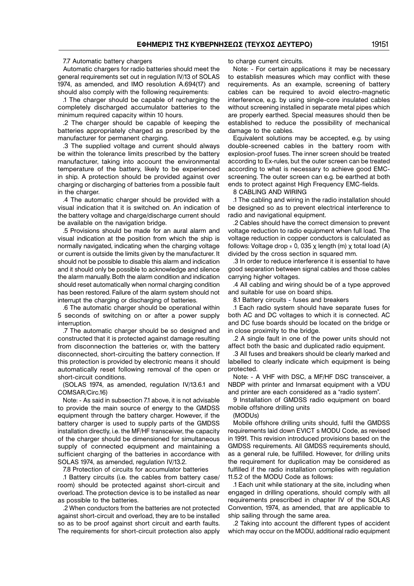#### 7.7 Automatic battery chargers

Automatic chargers for radio batteries should meet the general requirements set out in regulation IV/13 of SOLAS 1974, as amended, and IMO resolution A.694(17) and should also comply with the following requirements:

.1 The charger should be capable of recharging the completely discharged accumulator batteries to the minimum required capacity within 10 hours.

.2 The charger should be capable of keeping the batteries appropriately charged as prescribed by the manufacturer for permanent charging.

.3 The supplied voltage and current should always be within the tolerance limits prescribed by the battery manufacturer, taking into account the environmental temperature of the battery, likely to be experienced in ship. A protection should be provided against over charging or discharging of batteries from a possible fault in the charger.

.4 The automatic charger should be provided with a visual indication that it is switched on. An indication of the battery voltage and charge/discharge current should be available on the navigation bridge.

.5 Provisions should be made for an aural alarm and visual indication at the position from which the ship is normally navigated, indicating when the charging voltage or current is outside the limits given by the manufacturer. It should not be possible to disable this alarm and indication and it should only be possible to acknowledge and silence the alarm manually. Both the alarm condition and indication should reset automatically when normal charging condition has been restored. Failure of the alarm system should not interrupt the charging or discharging of batteries.

.6 The automatic charger should be operational within 5 seconds of switching on or after a power supply interruption.

.7 The automatic charger should be so designed and constructed that it is protected against damage resulting from disconnection the batteries or, with the battery disconnected, short−circuiting the battery connection. If this protection is provided by electronic means it should automatically reset following removal of the open or short−circuit conditions.

(SOLAS 1974, as amended, regulation IV/13.6.1 and COMSAR/Circ.16)

Note: − As said in subsection 7.1 above, it is not advisable to provide the main source of energy to the GMDSS equipment through the battery charger. However, if the battery charger is used to supply parts of the GMDSS installation directly, i.e. the MF/HF transceiver, the capacity of the charger should be dimensioned for simultaneous supply of connected equipment and maintaining a sufficient charging of the batteries in accordance with SOLAS 1974, as amended, regulation IV/13.2.

7.8 Protection of circuits for accumulator batteries

.1 Battery circuits (i.e. the cables from battery case/ room) should be protected against short−circuit and overload. The protection device is to be installed as near as possible to the batteries.

.2 When conductors from the batteries are not protected against short−circuit and overload, they are to be installed so as to be proof against short circuit and earth faults. The requirements for short−circuit protection also apply to charge current circuits.

Note: − For certain applications it may be necessary to establish measures which may conflict with these requirements. As an example, screening of battery cables can be required to avoid electro−magnetic interference, e.g. by using single−core insulated cables without screening installed in separate metal pipes which are properly earthed. Special measures should then be established to reduce the possibility of mechanical damage to the cables.

Equivalent solutions may be accepted, e.g. by using double−screened cables in the battery room with explosion−proof fuses. The inner screen should be treated according to Ex−rules, but the outer screen can be treated according to what is necessary to achieve good EMC− screening. The outer screen can e.g. be earthed at both ends to protect against High Frequency EMC−fields.

8 CABLING AND WIRING

.1 The cabling and wiring in the radio installation should be designed so as to prevent electrical interference to radio and navigational equipment.

.2 Cables should have the correct dimension to prevent voltage reduction to radio equipment when full load. The voltage reduction in copper conductors is calculated as follows: Voltage drop = 0, 035  $\chi$  length (m)  $\chi$  total load (A) divided by the cross section in squared mm.

.3 In order to reduce interference it is essential to have good separation between signal cables and those cables carrying higher voltages.

.4 All cabling and wiring should be of a type approved and suitable for use on board ships.

8.1 Battery circuits - fuses and breakers

.1 Each radio system should have separate fuses for both AC and DC voltages to which it is connected. AC and DC fuse boards should be located on the bridge or in close proximity to the bridge.

.2 A single fault in one of the power units should not affect both the basic and duplicated radio equipment.

.3 All fuses and breakers should be clearly marked and labelled to clearly indicate which equipment is being protected.

Note: − A VHF with DSC, a MF/HF DSC transceiver, a NBDP with printer and Inmarsat equipment with a VDU and printer are each considered as a "radio system".

9 Installation of GMDSS radio equipment on board mobile offshore drilling units

#### (MODUs)

Mobile offshore drilling units should, fulfil the GMDSS requirements laid down EVICT s MODU Code, as revised in 1991. This revision introduced provisions based on the GMDSS requirements. All GMDSS requirements should, as a general rule, be fulfilled. However, for drilling units the requirement for duplication may be considered as fulfilled if the radio installation complies with regulation 11.5.2 of the MODU Code as follows:

.1 Each unit while stationary at the site, including when engaged in drilling operations, should comply with all requirements prescribed in chapter IV of the SOLAS Convention, 1974, as amended, that are applicable to ship sailing through the same area.

.2 Taking into account the different types of accident which may occur on the MODU, additional radio equipment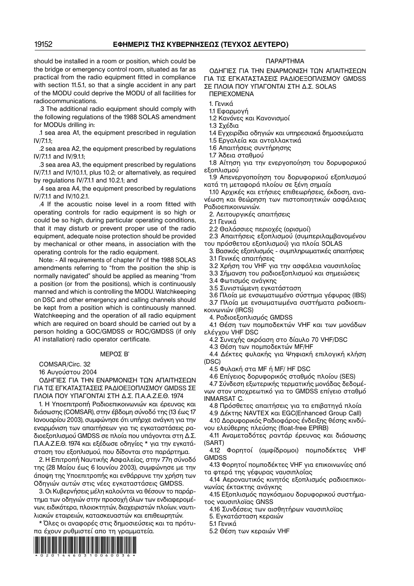should be installed in a room or position, which could be the bridge or emergency control room, situated as far as practical from the radio equipment fitted in compliance with section 11.5.1, so that a single accident in any part of the MODU could deprive the MODU of all facilities for radiocommunications.

.3 The additional radio equipment should comply with the following regulations of the 1988 SOLAS amendment for MODUs drilling in:

.1 sea area A1, the equipment prescribed in regulation IV/7.1.1;

.2 sea area A2, the equipment prescribed by regulations IV/7.1.1 and IV/9.1.1;

.3 sea area A3, the equipment prescribed by regulations IV/7.1.1 and IV/10.1.1, plus 10.2; or alternatively, as required by regulations IV/7.1.1 and 10.2.1; and

.4 sea area A4, the equipment prescribed by regulations IV/7.1.1 and IV/10.2.1.

.4 If the acoustic noise level in a room fitted with operating controls for radio equipment is so high or could be so high, during particular operating conditions, that it may disturb or prevent proper use of the radio equipment, adequate noise protection should be provided by mechanical or other means, in association with the operating controls for the radio equipment.

Note: − All requirements of chapter IV of the 1988 SOLAS amendments referring to "from the position the ship is normally navigated" should be applied as meaning "from a position (or from the positions), which is continuously manned and which is controlling the MODU. Watchkeeping on DSC and other emergency and calling channels should be kept from a position which is continuously manned. Watchkeeping and the operation of all radio equipment which are required on board should be carried out by a person holding a GOC/GMDSS or ROC/GMDSS (if only A1 installation) radio operator certificate.

#### ΜΕΡΟΣ Β'

COMSAR/Circ. 32

16 Αυγούστου 2004

OΔΗΓΙΕΣ ΓΙΑ ΤΗΝ ΕΝΑΡΜΟΝΙΣΗ ΤΩΝ ΑΠΑΙΤHΣΕΩΝ ΓΙΑ ΤΙΣ ΕΓΚΑΤΑΣΤΑΣΕΙΣ ΡΑΔΙΟΕΞΟΠΛΙΣΜΟΥ GMDSS ΣΕ ΠΛΟΙΑ ΠΟΥ ΥΠΑΓΟΝΤΑΙ ΣΤΗ Δ.Σ. Π.Α.Α.Ζ.Ε.Θ. 1974

1. H Υποεπιτροπή Ραδιοεπικοινωνιών και έρευνας και διάσωσης (COMSAR), στην έβδομη σύνοδό της (13 έως 17 Ιανουαρίου 2003), συμφώνησε ότι υπήρχε ανάγκη για την εναρμόνιση των απαιτήσεων για τις εγκαταστάσεις ρα− διοεξοπλισμού GMDSS σε πλοία που υπάγονται στη Δ.Σ. Π.Α.Α.Ζ.Ε.Θ. 1974 και εξέδωσε οδηγίες \* για την εγκατά− σταση του εξοπλισμού, που δίδονται στο παράρτημα.

2. H Eπιτροπή Ναυτικής Ασφαλείας, στην 77η σύνοδό της (28 Μαίου έως 6 Ιουνίου 2003), συμφώνησε με την άποψη της Υποεπιτροπής και ενθάρρυνε την χρήση των Οδηγιών αυτών στις νέες εγκαταστάσεις GMDSS.

3. Οι Κυβερνήσεις μέλη καλούνται να θέσουν το παράρ− τημα των οδηγιών στην προσοχή όλων των ενδιαφερομέ− νων, ειδικότερα, πλοιοκτητών, διαχειριστών πλοίων, ναυτι− λιακών εταιρειών, κατασκευαστών και επιθεωρητών.

\* Όλες οι αναφορές στις δημοσιεύσεις και τα πρότυ− πα έχουν ρυθμιστεί απο τη γραμματεία.



#### ΠΑΡΑΡΤΗΜΑ

OΔΗΓΙΕΣ ΓΙΑ ΤΗΝ ΕΝΑΡΜΟΝΙΣΗ ΤΩΝ ΑΠΑΙΤΗΣΕΩΝ ΓΙΑ ΤΙΣ ΕΓΚΑΤΑΣΤΑΣΕΙΣ ΡΑΔΙΟΕΞΟΠΛΙΣΜΟΥ GMDSS ΣΕ ΠΛΟΙΑ ΠΟΥ ΥΠΑΓΟΝΤΑΙ ΣΤΗ Δ.Σ. SOLAS ΠΕΡΙΕΧΟΜΕΝΑ

1. Γενικά 1.1 Εφαρμογή

1.2 Κανόνες και Κανονισμοί

1.3 Σχέδια

1.4 Εγχειρίδια οδηγιών και υπηρεσιακά δημοσιεύματα

1.5 Εργαλεία και ανταλλακτικά

1.6 Απαιτήσεις συντήρησης

1.7 Άδεια σταθμού

1.8 Αίτηση για την ενεργοποίηση του δορυφορικού εξοπλισμού

1.9 Απενεργοποίηση του δορυφορικού εξοπλισμού κατά τη μεταφορά πλοίου σε ξένη σημαία

1.10 Αρχικές και ετήσιες επιθεωρήσεις, έκδοση, ανα− νέωση και θεώρηση των πιστοποιητικών ασφάλειας Ραδιοεπικοινωνιών.

2. Λειτουργικές απαιτήσεις

2.1 Γενικά

2.2 Θαλάσσιες περιοχές (ορισμοί)

2.3 Απαιτήσεις εξοπλισμού (συμπεριλαμβανομένου του πρόσθετου εξοπλισμού) για πλοία SOLAS

3. Βασικός εξοπλισμός − συμπληρωματικές απαιτήσεις 3.1 Γενικές απαιτήσεις

3.2 Χρήση του VHF για την ασφάλεια ναυσιπλοΐας

3.3 Σήμανση του ραδιοεξοπλισμού και σημειώσεις

3.4 Φωτισμός ανάγκης

3.5 Συνιστώμενη εγκατάσταση

3.6 Πλοία με ενσωματωμένο σύστημα γέφυρας (IBS)

3.7 Πλοία με ενσωματωμένα συστήματα ραδιοεπι−

κοινωνιών (IRCS) 4. Ραδιοεξοπλισμός GMDSS

4.1 Θέση των πομποδεκτών VHF και των μονάδων ελέγχου VHF DSC

4.2 Συνεχής ακρόαση στο δίαυλο 70 VHF/DSC

4.3 Θέση των πομποδεκτών MF/HF

4.4 Δέκτες φυλακής για Ψηφιακή επιλογική κλήση (DSC)

4.5 Φυλακή στα MF ή MF/ HF DSC

4.6 Επίγειος δορυφορικός σταθμός πλοίου (SES)

4.7 Σύνδεση εξωτερικής τερματικής μονάδας δεδομέ−

νων στον υποχρεωτικό για το GMDSS επίγειο σταθμό INMARSAT C.

4.8 Πρόσθετες απαιτήσεις για τα επιβατηγά πλοία

4.9 Δέκτης NAVTEX και EGC(Enhanced Group Call)

4.10 Δορυφορικός Ραδιοφάρος ένδειξης θέσης κινδύ− νου ελεύθερης πλεύσης (float−free EPIRB)

4.11 Αναμεταδότες ραντάρ έρευνας και διάσωσης (SART)

4.12 Φορητοί (αμφίδρομοι) πομποδέκτες VHF **GMDSS** 

4.13 Φορητοί πομποδέκτες VHF για επικοινωνίες από τα φτερά της γέφυρας ναυσιπλοΐας

4.14 Αεροναυτικός κινητός εξοπλισμός ραδιοεπικοι− νωνίας έκτακτης ανάγκης

4.15 Εξοπλισμός παγκόσμιου δορυφορικού συστήμα− τος ναυσιπλοϊας GNSS

4.16 Συνδέσεις των αισθητήρων ναυσιπλοϊας

5. Εγκατάσταση κεραιών

5.1 Γενικά

5.2 Θέση των κεραιών VHF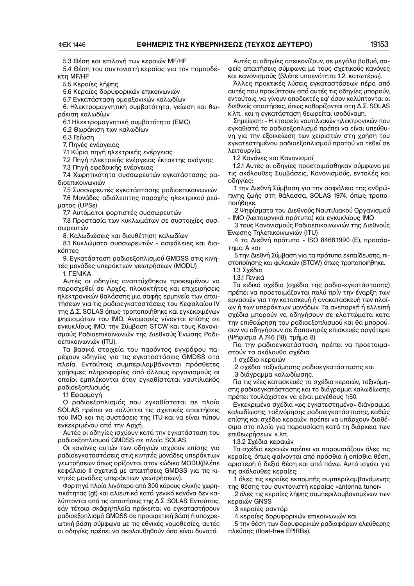5.3 Θέση και επιλογή των κεραιών MF/HF

5.4 Θέση του συντονιστή κεραίας για τον πομποδέ− κτη MF/HF

5.5 Κεραίες λήψης

5.6 Κεραίες δορυφορικών επικοινωνιών

5.7 Εγκατάσταση ομοαξονικών καλωδίων

6. Ηλεκτρομαγνητική συμβατότητα, γείωση και θω− ράκιση καλωδίων

6.1 Ηλεκτρομαγνητική συμβατότητα (EMC)

6.2 Θωράκιση των καλωδίων

6.3 Γείωση

7. Πηγές ενέργειας

7.1 Κύρια πηγή ηλεκτρικής ενέργειας

7.2 Πηγή ηλεκτρικής ενέργειας έκτακτης ανάγκης

7.3 Πηγή εφεδρικής ενέργειας

7.4 Χωρητικότητα συσσωρευτών εγκατάστασης ρα− διοεπικοινωνιών

7.5 Συσσωρευτές εγκατάστασης ραδιοεπικοινωνιών 7.6 Μονάδες αδιάλειπτης παροχής ηλεκτρικού ρεύ− ματος (UPSs)

7.7 Αυτόματοι φορτιστές συσσωρευτών

7.8 Προστασία των κυκλωμάτων σε συστοιχίες συσ− σωρευτών

8. Καλωδιώσεις και διευθέτηση καλωδίων

8.1 Κυκλώματα συσσωρευτών − ασφάλειες και δια− κόπτες

9. Εγκατάσταση ραδιοεξοπλισμού GMDSS στις κινη− τές μονάδες υπεράκτιων γεωτρήσεων (MODU)

1. ΓΕΝΙΚΑ

Αυτές οι οδηγίες αναπτύχθηκαν προκειμένου να παρασχεθεί σε Αρχές, πλοιοκτήτες και επιχειρήσεις ηλεκτρονικών θαλάσσης μια σαφής ερμηνεία των απαι− τήσεων για τις ραδιοεγκαταστάσεις του Κεφαλαίου IV της Δ.Σ. SOLAS όπως τροποποιήθηκε και εγκεκριμένων ψηφισμάτων του ΙΜΟ. Αναφορές γίνονται επίσης σε εγκυκλίους ΙΜΟ, την Σύμβαση STCW και τους Κανονι− σμούς Ραδιοεπικοινωνιών της Διεθνούς Ένωσης Ραδι− οεπικοινωνιών (ITU).

Τα βασικά στοιχεία του παρόντος εγγράφου πα− ρέχουν οδηγίες για τις εγκαταστάσεις GMDSS στα πλοία. Εντούτοις συμπεριλαμβάνονται πρόσθετες χρήσιμες πληροφορίες από άλλους οργανισμούς οι οποίοι εμπλέκονται όταν εγκαθίσταται ναυτιλιακός ραδιοεξοπλισμός.

1.1 Εφαρμογή

Ο ραδιοεξοπλισμός που εγκαθίσταται σε πλοία SOLAS πρέπει να καλύπτει τις σχετικές απαιτήσεις του IΜΟ και τις συστάσεις της ITU και να είναι τύπου εγκεκριμένου από την Αρχή.

Αυτές οι οδηγίες ισχύουν κατά την εγκατάσταση του ραδιοεξοπλισμού GMDSS σε πλοία SOLAS.

Οι κανόνες αυτών των οδηγιών ισχύουν επίσης για ραδιοεγκαταστάσεις στις κινητές μονάδες υπεράκτιων γεωτρήσεων όπως ορίζονται στον κώδικα MODU(βλέπε κεφάλαιο ΙΙ σχετικά με απαιτήσεις GMDSS για τις κι− νητές μονάδες υπεράκτιων γεωτρήσεων).

Φορτηγά πλοία λιγότερο από 300 κόρους ολικής χωρη− τικότητας (gt) και αλιευτικά κατά γενικό κανόνα δεν κα− λύπτονται από τις απαιτήσεις της Δ.Σ. SOLAS. Εντούτοις, εάν τέτοια σκάφη/πλοία πρόκειται να εγκαταστήσουν ραδιοεξοπλισμό GMDSS σε προαιρετική βάση ή υποχρε− ωτική βάση σύμφωνα με τις εθνικές νομοθεσίες, αυτές οι οδηγίες πρέπει να ακολουθηθούν όσο είναι δυνατό.

Αυτές οι οδηγίες απεικονίζουν, σε μεγάλο βαθμό, σα− φείς απαιτήσεις σύμφωνα με τους σχετικούς κανόνες και κανονισμούς (βλέπε υποενότητα 1.2. κατωτέρω).

Άλλες πρακτικές λύσεις εγκαταστάσεων πέρα από αυτές που προκύπτουν από αυτές τις οδηγίες μπορούν, εντούτοις, να γίνουν αποδεκτές εφ' όσον καλύπτονται οι διεθνείς απαιτήσεις, όπως καθορίζονται στη Δ.Σ. SOLAS κ.λπ., και η εγκατάσταση θεωρείται ισοδύναμη.

Σημείωση: − Η εταιρεία ναυτιλιακών ηλεκτρονικών που εγκαθιστά το ραδιοεξοπλισμό πρέπει να είναι υπεύθυ− νη για την εξοικείωση των χειριστών στη χρήση του εγκατεστημένου ραδιοεξοπλισμού προτού να τεθεί σε λειτουργία.

1.2 Κανόνες και Κανονισμοί

1.2.1 Αυτές οι οδηγίες προετοιμάσθηκαν σύμφωνα με τις ακόλουθες Συμβάσεις, Κανονισμούς, εντολές και οδηγίες:

.1 την Διεθνή Σύμβαση για την ασφάλεια της ανθρώ− πινης ζωής στη θάλασσα, SOLAS 1974, όπως τροπο− ποιήθηκε.

.2 Ψηφίσματα του Διεθνούς Ναυτιλιακού Οργανισμού − ΙΜΟ (λειτουργικά πρότυπα) και εγκυκλίους ΙΜΟ

.3 τους Κανονισμούς Ραδιοεπικοινωνιών της Διεθνούς Ένωσης Τηλεπικοινωνιών (ITU)

.4 τα Διεθνή πρότυπα − ISO 8468.1990 (E), προσάρ− τημα Α και

.5 την Διεθνή Σύμβαση για τα πρότυπα εκπαίδευσης, πι− στοποίησης και φυλακών (STCW) όπως τροποποιήθηκε.

1.3 Σχέδια

1.3.1 Γενικά

Τα ειδικά σχέδια (σχέδια της ραδιο−εγκατάστασης) πρέπει να προετοιμάζονται πολύ πρίν την έναρξη των εργασιών για την κατασκευή ή ανακατασκευή των πλοί− ων ή των υπεράκτιων μονάδων. Τα ανεπαρκή ή ελλειπή σχέδια μπορούν να οδηγήσουν σε ελαττώματα κατα την επιθεώρηση του ραδιοεξοπλισμού και θα μπορού− σαν να οδηγήσουν σε δαπανηρές επισκευές αργότερα (Ψήφισμα A.746 (18), τμήμα 8).

Για την ραδιοεγκατάσταση, πρέπει να προετοιμα− στούν τα ακόλουθα σχέδια:

.1 σχέδιο κεραιών

.2 σχέδιο ταξινόμησης ραδιοεγκατάστασης και

.3 διάγραμμα καλωδίωσης.

Για τις νέες κατασκευές τα σχέδια κεραιών, ταξινόμη− σης ραδιοεγκατάστασης και το διάγραμμα καλωδίωσης πρέπει τουλάχιστον να είναι μεγέθους 1:50.

Εγκεκριμένα σχέδια «ως εγκατεστημένο» διάγραμμα καλωδίωσης, ταξινόμησης ραδιοεγκατάστασης, καθώς επίσης και σχέδιο κεραιών, πρέπει να υπάρχουν διαθέ− σιμα στο πλοίο για παρουσίαση κατά τη διάρκεια των επιθεωρήσεων, κ.λπ.

1.3.2 Σχέδια κεραιών

Τα σχέδια κεραιών πρέπει να παρουσιάζουν όλες τις κεραίες, όπως φαίνονται από πρόσθια ή οπίσθια θέση, αριστερή ή δεξιά θέση και από πάνω. Αυτό ισχύει για τις ακόλουθες κεραίες:

.1 όλες τις κεραίες εκπομπής συμπεριλαμβανόμενης της θέσης του συντονιστή κεραίας «antenna tuner»

.2 όλες τις κεραίες λήψης συμπεριλαμβανομένων των κεραιών GNSS

.3 κεραίες ραντάρ

.4 κεραίες δορυφορικών επικοινωνιών και

.5 την θέση των δορυφορικών ραδιοφάρων ελεύθερης πλεύσης (float−free EPIRBs).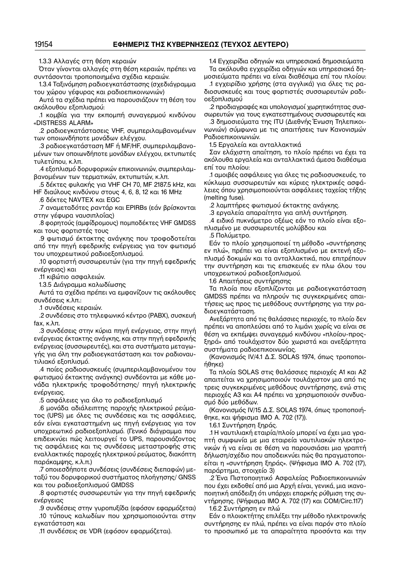1.3.3 Αλλαγές στη θέση κεραιών

Όταν γίνονται αλλαγές στη θέση κεραιών, πρέπει να συντάσονται τροποποιημένα σχέδια κεραιών.

1.3.4 Ταξινόμηση ραδιοεγκατάστασης (σχεδιάγραμμα του χώρου γέφυρας και ραδιοεπικοινωνιών)

Αυτά τα σχέδια πρέπει να παρουσιάζουν τη θέση του ακόλουθου εξοπλισμού:

.1 κομβία για την εκπομπή συναγερμού κινδύνου «DISTRESS ALARM»

.2 ραδιοεγκατάστασεις VHF, συμπεριλαμβανομένων των οποιωνδήποτε μονάδων ελέγχου.

.3 ραδιοεγκατάσταση MF ή MF/HF, συμπεριλαμβανο− μένων των οποιωνδήποτε μονάδων ελέγχου, εκτυπωτές τυλετύπου, κ.λπ.

.4 εξοπλισμό δορυφορικών επικοινωνιών, συμπεριλαμ− βανομένων των τερματικών, εκτυπωτών, κ.λπ.

.5 δέκτες φυλακής για VHF CH 70, MF 2187.5 kHz, και HF διαύλους κινδύνου στους 4, 6, 8, 12 και 16 MHz

.6 δέκτες NAVTEX και EGC

.7 αναμεταδότες ραντάρ και EPIRBs (εάν βρίσκονται στην γέφυρα ναυσιπλοΐας)

.8 φορητούς (αμφίδρομους) πομποδέκτες VHF GMDSS και τους φορτιστές τους

.9 φωτισμό έκτακτης ανάγκης που τροφοδοτείται από την πηγή εφεδρικής ενέργειας για τον φωτισμό του υποχρεωτικού ραδιοεξοπλισμού.

.10 φορτιστή συσσωρευτών (για την πηγή εφεδρικής ενέργειας) και

.11 κιβώτιο ασφαλειών.

1.3.5 Διάγραμμα καλωδίωσης

Αυτά τα σχέδια πρέπει να εμφανίζουν τις ακόλουθες συνδέσεις κ.λπ.:

.1 συνδέσεις κεραιών.

.2 συνδέσεις στο τηλεφωνικό κέντρο (PABX), συσκευή fax, κ.λπ.

.3 συνδέσεις στην κύρια πηγή ενέργειας, στην πηγή ενέργειας έκτακτης ανάγκης, και στην πηγή εφεδρικής ενέργειας (συσσωρευτές), και στα συστήματα μεταγω− γής για όλη την ραδιοεγκατάσταση και τον ραδιοναυ− τιλιακό εξοπλισμό.

.4 ποίες ραδιοσυσκευές (συμπεριλαμβανομένου του φωτισμού έκτακτης ανάγκης) συνδέονται με κάθε μο− νάδα ηλεκτρικής τροφοδότησης/ πηγή ηλεκτρικής ενέργειας.

.5 ασφάλειες για όλο το ραδιοεξοπλισμό

.6 μονάδα αδιάλειπτης παροχής ηλεκτρικού ρεύμα− τος (UPS) με όλες τις συνδέσεις και τις ασφάλειες, εάν είναι εγκαταστημένη ως πηγή ενέργειας για τον υποχρεωτικό ραδιοεξοπλισμό. (Γενικό διάγραμμα που επιδεικνύει πώς λειτουργεί το UPS, παρουσιάζοντας τις ασφάλειες και τις συνδέσεις μεταστροφής στις εναλλακτικές παροχές ηλεκτρικού ρεύματος, διακόπτη παράκαμψης, κ.λ.π.)

.7 οποιεσδήποτε συνδέσεις (συνδέσεις διεπαφών) με− ταξύ του δορυφορικού συστήματος πλοήγησης/ GNSS και του ραδιοεξοπλισμού GMDSS

.8 φορτιστές συσσωρευτών για την πηγή εφεδρικής ενέργειας

.9 συνδέσεις στην γυροπυξίδα (εφόσον εφαρμόζεται) .10 τύπους καλωδίων που χρησιμοποιούνται στην εγκατάσταση και

.11 συνδέσεις σε VDR (εφόσον εφαρμόζεται).

1.4 Εγχειρίδια οδηγιών και υπηρεσιακά δημοσιεύματα Τα ακόλουθα εγχειρίδια οδηγιών και υπηρεσιακά δη− μοσιεύματα πρέπει να είναι διαθέσιμα επί του πλοίου:

.1 εγχειρίδιο χρήσης (στα αγγλικά) για όλες τις ρα− διοσυσκευές και τους φορτιστές συσσωρευτών ραδι− οεξοπλισμού

.2 προδιαγραφές και υπολογισμοί χωρητικότητας συσ− σωρευτών για τους εγκατεστημένους συσσωρευτές και

.3 δημοσιεύματα της ITU (Διεθνής Ένωση Τηλεπικοι− νωνιών) σύμφωνα με τις απαιτήσεις των Κανονισμών Ραδιοεπικοινωνιών.

1.5 Εργαλεία και ανταλλακτικά

Σαν ελάχιστη απαίτηση, το πλοίο πρέπει να έχει τα ακόλουθα εργαλεία και ανταλλακτικά άμεσα διαθέσιμα επί του πλοίου:

.1 αμοιβές ασφάλειες για όλες τις ραδιοσυσκευές, το κύκλωμα συσσωρευτών και κύριες ηλεκτρικές ασφά− λειες όπου χρησιμοποιούνται ασφάλειες ταχείας τήξης (melting fuse).

.2 λαμπτήρες φωτισμού έκτακτης ανάγκης.

.3 εργαλεία απαραίτητα για απλή συντήρηση.

.4 ειδικό πυκνόμετρο οξέως εάν το πλοίο είναι εξο− πλισμένο με συσσωρευτές μολύβδου και

.5 Πολύμετρο.

Εάν το πλοίο χρησιμοποιεί τη μέθοδο «συντήρησης εν πλώ», πρέπει να είναι εξοπλισμένο με εκτενή εξο− πλισμό δοκιμών και τα ανταλλακτικά, που επιτρέπουν την συντήρηση και τις επισκευές εν πλω όλου του υποχρεωτικού ραδιοεξοπλισμού.

1.6 Απαιτήσεις συντήρησης

Τα πλοία που εξοπλίζονται με ραδιοεγκατάσταση GMDSS πρέπει να πληρούν τις συγκεκριμένες απαι− τήσεις ως προς τις μεθόδους συντήρησης για την ρα− διοεγκατάσταση.

Ανεξάρτητα από τις θαλάσσιες περιοχές, το πλοίο δεν πρέπει να αποπλεύσει από το λιμάνι χωρίς να είναι σε θέση να εκπέμψει συναγερμό κινδύνου «πλοίου−προς− ξηρά» από τουλάχιστον δύο χωριστά και ανεξάρτητα συστήματα ραδιοεπικοινωνίας.

(Κανονισμός IV/4.1 Δ.Σ. SOLAS 1974, όπως τροποποι− ήθηκε)

Τα πλοία SOLAS στις θαλάσσιες περιοχές Α1 και A2 απαιτείται να χρησιμοποιούν τουλάχιστον μια από τις τρεις συγκεκριμένες μεθόδους συντήρησης, ενώ στις περιοχές A3 και A4 πρέπει να χρησιμοποιούν συνδυα− σμό δύο μεθόδων.

(Κανονισμός IV/15 Δ.Σ. SOLAS 1974, όπως τροποποιή− θηκε, και ψήφισμα IMO Α. 702 (17)).

1.6.1 Συντήρηση ξηράς.

.1 Η ναυτιλιακή εταιρία/πλοίο μπορεί να έχει μια γρα− πτή συμφωνία με μια εταιρεία ναυτιλιακών ηλεκτρο− νικών ή να είναι σε θέση να παρουσιάσει μια γραπτή δήλωση/σχέδιο που αποδεικνύει πώς θα πραγματοποι− είται η «συντήρηση ξηράς». (Ψήφισμα ΙΜΟ Α. 702 (17), παράρτημα, στοιχείο 3)

.2 Ένα Πιστοποιητικό Ασφαλείας Ραδιοεπικοινωνιών που έχει εκδοθεί από μια Αρχή είναι, γενικά, μια ικανο− ποιητική απόδειξη ότι υπάρχει επαρκής ρύθμιση της συ− ντήρησης. (Ψήφισμα ΙΜΟ Α. 702 (17) και COM/Circ.117)

1.6.2 Συντήρηση εν πλώ

Εάν ο πλοιοκτήτης επιλέξει την μέθοδο ηλεκτρονικής συντήρησης εν πλώ, πρέπει να είναι παρόν στο πλοίο το προσωπικό με τα απαραίτητα προσόντα και την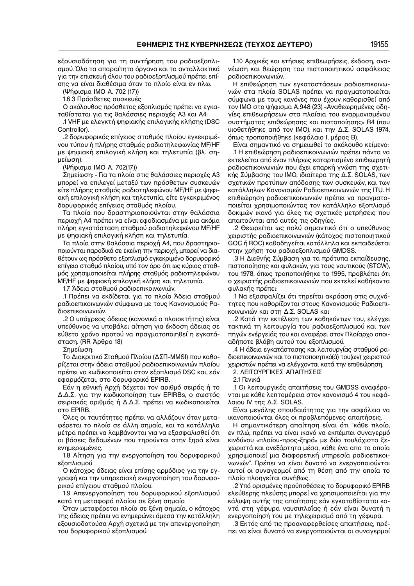εξουσιοδότηση για τη συντήρηση του ραδιοεξοπλι− σμού. Όλα τα απαραίτητα όργανα και τα ανταλλακτικά για την επισκευή όλου του ραδιοεξοπλισμού πρέπει επί− σης να είναι διαθέσιμα όταν το πλοίο είναι εν πλω.

(Ψήφισμα IΜΟ Α. 702 (17))

1.6.3 Πρόσθετες συσκευές

Ο ακόλουθος πρόσθετος εξοπλισμός πρέπει να εγκα− ταθίσταται για τις θαλάσσιες περιοχές A3 και A4:

.1 VHF με ελεγκτή ψηφιακής επιλογικής κλήσης (DSC Controller).

.2 δορυφορικός επίγειος σταθμός πλοίου εγκεκριμέ− νου τύπου ή πλήρης σταθμός ραδιοτηλεφωνίας MF/HF με ψηφιακή επιλογική κλήση και τηλετυπία (βλ. ση− μείωση).

(Ψήφισμα IMO A. 702(17))

Σημείωση: − Για τα πλοία στις θαλάσσιες περιοχές A3 μπορεί να επιλεγεί μεταξύ των πρόσθετων συσκευών είτε πλήρης σταθμός ραδιοτηλεφώνου MF/HF με ψηφι− ακή επιλογική κλήση και τηλετυπία, είτε εγκεκριμένος δορυφορικός επίγειος σταθμός πλοίου.

Τα πλοία που δραστηριοποιούνται στην θαλάσσια περιοχή A4 πρέπει να είναι εφοδιασμένα με μια ακόμα πλήρη εγκατάσταση σταθμού ραδιοτηλεφώνου MF/HF με ψηφιακή επιλογική κλήση και τηλετυπία.

Τα πλοία στην θαλάσσια περιοχή A4, που δραστηριο− ποιούνται παροδικά σε εκείνη την περιοχή, μπορεί να δια− θέτουν ως πρόσθετο εξοπλισμό εγκεκριμένο δορυφορικό επίγειο σταθμό πλοίου, υπό τον όρο ότι ως κύριος σταθ− μός χρησιμοποιείται πλήρης σταθμός ραδιοτηλεφώνου MF/HF με ψηφιακή επιλογική κλήση και τηλετυπία.

1.7 Άδεια σταθμού ραδιοεπικοινωνιών.

.1 Πρέπει να εκδίδεται για το πλοίο Άδεια σταθμού ραδιοεπικοινωνιών σύμφωνα με τους Κανονισμούς Ρα− διοεπικοινωνιών.

.2 Ο υπόχρεος άδειας (κανονικά ο πλοιοκτήτης) είναι υπεύθυνος να υποβάλει αίτηση για έκδοση άδειας σε εύθετο χρόνο προτού να πραγματοποιηθεί η εγκατά− σταση. (RR Άρθρο 18)

Σημείωση:

Το Διακριτικό Σταθμού Πλοίου (ΔΣΠ−MMSI) που καθο− ρίζεται στην άδεια σταθμού ραδιοεπικοινωνιών πλοίου πρέπει να κωδικοποιείται στον εξοπλισμό DSC και, εάν εφαρμόζεται, στο δορυφορικό EPIRB.

Εάν η εθνική Αρχή δέχεται τον αριθμό σειράς ή το Δ.Δ.Σ. για την κωδικοποίηση των EPIRBs, ο σωστός σειριακός αριθμός ή Δ.Δ.Σ. πρέπει να κωδικοποιείται στο EPIRB.

Όλες οι ταυτότητες πρέπει να αλλάζουν όταν μετα− φέρεται το πλοίο σε άλλη σημαία, και τα κατάλληλα μέτρα πρέπει να λαμβάνονται για να εξασφαλισθεί ότι οι βάσεις δεδομένων που τηρούνται στην ξηρά είναι ενημερωμένες.

1.8 Αίτηση για την ενεργοποίηση του δορυφορικού εξοπλισμού

Ο κάτοχος άδειας είναι επίσης αρμόδιος για την εγ− γραφή και την υπηρεσιακή ενεργοποίηση του δορυφο− ρικού επίγειου σταθμού πλοίου.

1.9 Απενεργοποίηση του δορυφορικού εξοπλισμού κατά τη μεταφορά πλοίου σε ξένη σημαία

Όταν μεταφέρεται πλοίο σε ξένη σημαία, ο κάτοχος της άδειας πρέπει να ενημερώνει άμεσα την κατάλληλη εξουσιοδοτούσα Αρχή σχετικά με την απενεργοποίηση του δορυφορικού εξοπλισμού.

1.10 Αρχικές και ετήσιες επιθεωρήσεις, έκδοση, ανα− νέωση και θεώρηση του πιστοποιητικού ασφάλειας ραδιοεπικοινωνιών.

Η επιθεώρηση των εγκαταστάσεων ραδιοεπικοινω− νιών στα πλοία SOLAS πρέπει να πραγματοποιείται σύμφωνα με τους κανόνες που έχουν καθορισθεί από τον IΜΟ στο ψήφισμα A.948 (23) «Αναθεωρημένες οδη− γίες επιθεωρήσεων στα πλαίσια του εναρμονισμένου συστήματος επιθεώρησης και πιστοποίησης» R4 (που υιοθετήθηκε από τον ΙΜΟ), και την Δ.Σ. SOLAS 1974, όπως τροποποιήθηκε (κεφάλαιο Ι, μέρος Β).

Είναι σημαντικό να σημειωθεί το ακόλουθο κείμενο:

.1 Η επιθεώρηση ραδιοεπικοινωνιών πρέπει πάντα να εκτελείται από έναν πλήρως καταρτισμένο επιθεωρητή ραδιοεπικοινωνιών που έχει επαρκή γνώση της σχετι− κής Σύμβασης του ΙΜΟ, ιδιαίτερα της Δ.Σ. SOLAS, των σχετικών προτύπων απόδοσης των συσκευών, και των κατάλληλων Κανονισμών Ραδιοεπικοινωνιών της ITU. Η επιθεώρηση ραδιοεπικοινωνιών πρέπει να πραγματο− ποιείται χρησιμοποιώντας τον κατάλληλο εξοπλισμό δοκιμών ικανό για όλες τις σχετικές μετρήσεις που απαιτούνται από αυτές τις οδηγίες.

.2 Θεωρείται ως πολύ σημαντικό ότι ο υπεύθυνος χειριστής ραδιοεπικοινωνιών (κάτοχος πιστοποιητικού GOC ή ROC) καθοδηγείται κατάλληλα και εκπαιδεύεται στην χρήση του ραδιοεξοπλισμού GMDSS.

.3 Η Διεθνής Σύμβαση για τα πρότυπα εκπαίδευσης, πιστοποίησης και φυλακών, για τους ναυτικούς (STCW), του 1978, όπως τροποποιήθηκε το 1995, προβλέπει ότι ο χειριστής ραδιοεπικοινωνιών που εκτελεί καθήκοντα φυλακής πρέπει:

.1 Να εξασφαλίζει ότι τηρείται ακρόαση στις συχνό− τητες που καθορίζονται στους Κανονισμούς Ραδιοεπι− κοινωνιών και στη Δ.Σ. SOLAS και

.2 Κατά την εκτέλεση των καθηκόντων του, ελέγχει τακτικά τη λειτουργία του ραδιοεξοπλισμού και των πηγών ενέργειάς του και αναφέρει στον Πλοίαρχο οποι− αδήποτε βλάβη αυτού του εξοπλισμού.

.4 Η άδεια εγκατάστασης και λειτουργίας σταθμού ρα− διοεπικοινωνιών και το πιστοποιητικό(ά) του(ων) χειριστού χειριστών πρέπει να ελέγχονται κατά την επιθεώρηση.

2. ΛΕΙΤΟΥΡΓΙΚΕΣ ΑΠΑΙΤΗΣΕΙΣ

2.1 Γενικά

.1 Οι λειτουργικές απαιτήσεις του GMDSS αναφέρο− νται με κάθε λεπτομέρεια στον κανονισμό 4 του κεφά− λαιου IV της Δ.Σ. SOLAS.

Είναι μεγάλης σπουδαιότητας για την ασφάλεια να ικανοποιούνται όλες οι προβλεπόμενες απαιτήσεις.

Η σημαντικότερη απαίτηση είναι ότι "κάθε πλοίο, εν πλώ, πρέπει να είναι ικανό να εκπέμπει συναγερμό κινδύνου «πλοίου−προς−ξηρά» με δύο τουλάχιστο ξε− χωριστά και ανεξάρτητα μέσα, κάθε ένα απο τα οποία χρησιμοποιεί μια διαφορετική υπηρεσία ραδιοεπικοι− νωνιών". Πρέπει να είναι δυνατό να ενεργοποιούνται αυτοί οι συναγερμοί από τη θέση από την οποία το πλοίο πλοηγείται συνήθως.

.2 Υπό ορισμένες προϋποθέσεις το δορυφορικό EPIRB ελεύθερης πλεύσης μπορεί να χρησιμοποιείται για την κάλυψη αυτής της απαίτησης εάν εγκαταθίσταται κο− ντά στη γέφυρα ναυσιπλοΐας ή εάν είναι δυνατή η ενεργοποίησή του με τηλεχειρισμό από τη γέφυρα.

.3 Εκτός από τις προαναφερθείσες απαιτήσεις, πρέ− πει να είναι δυνατό να ενεργοποιούνται οι συναγερμοί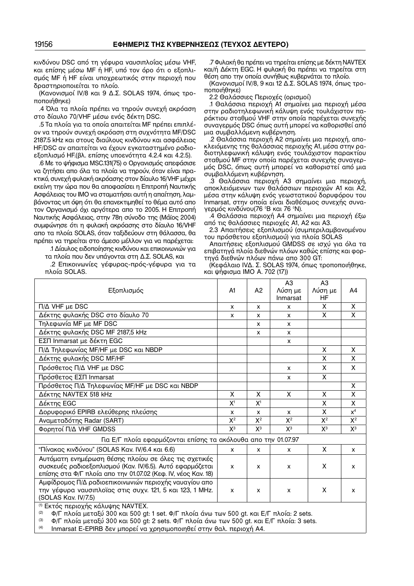κινδύνου DSC από τη γέφυρα ναυσιπλοΐας μέσω VHF, και επίσης μέσω MF ή HF, υπό τον όρο ότι ο εξοπλι− σμός MF ή HF είναι υποχρεωτικός στην περιοχή που δραστηριοποιείται το πλοίο.

(Κανονισμοί IV/8 και 9 Δ.Σ. SOLAS 1974, όπως τρο− ποποιήθηκε)

.4 Όλα τα πλοία πρέπει να τηρούν συνεχή ακρόαση στο δίαυλο 70/VHF μέσω ενός δέκτη DSC.

.5 Τα πλοία για τα οποία απαιτείται MF πρέπει επιπλέ− ον να τηρούν συνεχή ακρόαση στη συχνότητα MF/DSC 2187.5 kHz και στους διαύλους κινδύνου και ασφάλειας HF/DSC αν απαιτείται να έχουν εγκαταστημένο ραδιο− εξοπλισμό HF.(βλ. επίσης υποενότητα 4.2.4 και 4.2.5).

.6 Με το ψήφισμα MSC.131(75) ο Οργανισμός απεφάσισε να ζητήσει απο όλα τα πλοία να τηρούν, όταν είναι πρα− κτικό, συνεχή φυλακή ακρόασης στον δίαυλο 16/VHF μέχρι εκείνη την ώρα που θα αποφασίσει η Επιτροπή Ναυτικής Ασφάλειας του ΙΜΟ να σταματήσει αυτή η απαίτηση, λαμ− βάνοντας υπ όψη ότι θα επανεκτιμηθεί το θέμα αυτό απο τον Οργανισμό όχι αργότερα απο το 2005. Η Επιτροπή Ναυτικής Ασφάλειας, στην 78η σύνοδο της (Μάϊος 2004) συμφώνησε ότι η φυλακή ακρόασης στο δίαυλο 16/VHF απο τα πλοία SOLAS, όταν ταξιδεύουν στη θάλασσα, θα πρέπει να τηρείται στο άμεσο μέλλον για να παρέχεται: .1 Δίαυλος ειδοποίησης κινδύνου και επικοινωνιών για

τα πλοία που δεν υπάγονται στη Δ.Σ. SOLAS, και

.2 Επικοινωνίες γέφυρας−πρός−γέφυρα για τα πλοία SOLAS.

.7 Φυλακή θα πρέπει να τηρείται επίσης με δέκτη NAVTEX και/ή Δέκτη EGC. Η φυλακή θα πρέπει να τηρείται στη θέση απο την οποία συνήθως κυβερνάται το πλοίο.

(Κανονισμοί IV/8, 9 και 12 Δ.Σ. SOLAS 1974, όπως τρο− ποποιήθηκε)

2.2 Θαλάσσιες Περιοχές (ορισμοί)

.1 Θαλάσσια περιοχή Α1 σημαίνει μια περιοχή μέσα στην ραδιοτηλεφωνική κάλυψη ενός τουλάχιστον πα− ράκτιου σταθμού VHF στην οποία παρέχεται συνεχής συναγερμός DSC όπως αυτή μπορεί να καθορισθεί από μια συμβαλλόμενη κυβέρνηση.

.2 Θαλάσσια περιοχή A2 σημαίνει μια περιοχή, απο− κλειόμενης της θαλάσσιας περιοχής Α1, μέσα στην ρα− διοτηλεφωνική κάλυψη ενός τουλάχιστον παρακτίου σταθμού MF στην οποία παρέχεται συνεχής συναγερ− μός DSC, όπως αυτή μπορεί να καθοριστεί από μια συμβαλλόμενη κυβέρνηση.

.3 Θαλάσσια περιοχή A3 σημαίνει μια περιοχή, αποκλειόμενων των θαλάσσιων περιοχών Α1 και A2, μέσα στην κάλυψη ενός γεωστατικού δορυφόρου του Inmarsat, στην οποία είναι διαθέσιμος συνεχής συνα− γερμός κινδύνου(76 °Β και 76 °Ν).

.4 Θαλάσσια περιοχή A4 σημαίνει μια περιοχή έξω από τις θαλάσσιες περιοχές Α1, A2 και A3.

2.3 Απαιτήσεις εξοπλισμού (συμπεριλαμβανομένου του πρόσθετου εξοπλισμού) για πλοία SOLAS

Απαιτήσεις εξοπλισμού GMDSS σε ισχύ για όλα τα επιβατηγά πλοία διεθνών πλόων καθώς επίσης και φορ− τηγά διεθνών πλόων πάνω απο 300 GT:

(Κεφάλαιο IVΔ. Σ. SOLAS 1974, όπως τροποποιήθηκε, και ψήφισμα IMO Α. 702 (17))

| Εξοπλισμός                                                                                                                                                                                                                                           | A1                        | A <sup>2</sup>            | A3<br>Λύση με<br>Inmarsat | A <sub>3</sub><br>Λύση με<br>HF | A4                      |
|------------------------------------------------------------------------------------------------------------------------------------------------------------------------------------------------------------------------------------------------------|---------------------------|---------------------------|---------------------------|---------------------------------|-------------------------|
| $\Pi/\Delta$ VHF µ $\epsilon$ DSC                                                                                                                                                                                                                    | X                         | $\mathsf{x}$              | X                         | X                               | X                       |
| Δέκτης φυλακής DSC στο δίαυλο 70                                                                                                                                                                                                                     | x                         | $\mathsf{x}$              | X                         | X                               | X                       |
| Τηλεφωνία MF με MF DSC                                                                                                                                                                                                                               |                           | X                         | X                         |                                 |                         |
| Δέκτης φυλακής DSC MF 2187,5 kHz                                                                                                                                                                                                                     |                           | X                         | X                         |                                 |                         |
| ΕΣΠ Inmarsat με δέκτη EGC                                                                                                                                                                                                                            |                           |                           | X                         |                                 |                         |
| Π/Δ Τηλεφωνίας ΜΕ/ΗΕ με DSC και NBDP                                                                                                                                                                                                                 |                           |                           |                           | X                               | X                       |
| Δέκτης φυλακής DSC MF/HF                                                                                                                                                                                                                             |                           |                           |                           | $\overline{\mathsf{x}}$         | X                       |
| Πρόσθετος Π/Δ VHF με DSC                                                                                                                                                                                                                             |                           |                           | X                         | X                               | X                       |
| Πρόσθετος ΕΣΠ Inmarsat                                                                                                                                                                                                                               |                           |                           | X                         | X                               |                         |
| Πρόσθετος Π/Δ Τηλεφωνίας ΜF/ΗF με DSC και NBDP                                                                                                                                                                                                       |                           |                           |                           |                                 | X                       |
| Δέκτης NAVTEX 518 kHz                                                                                                                                                                                                                                |                           | X                         | X                         | X                               | $\overline{\mathsf{x}}$ |
| Δέκτης EGC                                                                                                                                                                                                                                           |                           | X <sup>1</sup>            |                           | $\overline{\mathsf{x}}$         | $\overline{\mathsf{x}}$ |
| Δορυφορικό EPIRB ελεύθερης πλεύσης                                                                                                                                                                                                                   |                           | $\mathsf{x}$              | $\mathsf{x}$              | X                               | $x^4$                   |
| Αναμεταδότης Radar (SART)                                                                                                                                                                                                                            |                           | $X^2$                     | $X^2$                     | $X^2$                           | $X^2$                   |
| Φορητοί Π/Δ VHF GMDSS                                                                                                                                                                                                                                |                           | $X^3$                     | $X^3$                     | $X^3$                           | $X^3$                   |
| Για Ε/Γ πλοία εφαρμόζονται επίσης τα ακόλουθα απο την 01.07.97                                                                                                                                                                                       |                           |                           |                           |                                 |                         |
| "Πίνακας κινδύνου" (SOLAS Kav. IV/6.4 και 6.6)                                                                                                                                                                                                       | $\boldsymbol{\mathsf{x}}$ | $\mathsf{x}$              | $\mathsf{x}$              | X                               | $\mathsf{x}$            |
| Αυτόματη ενημέρωση θέσης πλοίου σε όλες τις σχετικές<br>συσκευές ραδιοεξοπλισμού (Καν. IV/6.5). Αυτό εφαρμόζεται<br>επίσης στα Φ/Γ πλοία απο την 01.07.02 (Κεφ. ΙV, νέος Καν. 18)                                                                    | X                         | $\boldsymbol{\mathsf{x}}$ | X                         | X                               | X                       |
| Αμφίδρομος Π/Δ ραδιοεπικοινωνιών περιοχής ναυαγίου απο<br>την γέφυρα ναυσιπλοϊας στις συχν. 121, 5 και 123, 1 MHz.<br>(SOLAS Kav. IV/7.5)                                                                                                            |                           | X                         | X                         | X                               | X                       |
| <sup>(1)</sup> Εκτός περιοχής κάλυψης NAVTEX.<br>Φ/Γ πλοία μεταξύ 300 και 500 gt: 1 set. Φ/Γ πλοία άνω των 500 gt. και Ε/Γ πλοία: 2 sets.<br>(2)<br>(3)<br>Φ/Γ πλοία μεταξύ 300 και 500 gt: 2 sets. Φ/Γ πλοία άνω των 500 gt. και Ε/Γ πλοία: 3 sets. |                           |                           |                           |                                 |                         |

(4) Inmarsat E−EPIRB δεν μπορεί να χρησιμοποιηθεί στην θαλ. περιοχή A4.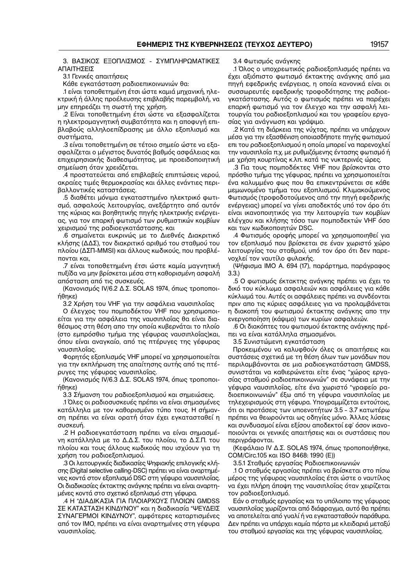3. ΒΑΣΙΚΟΣ ΕΞΟΠΛΙΣΜΟΣ - ΣΥΜΠΛΗΡΩΜΑΤΙΚΕΣ ΑΠΑΙΤΗΣΕΙΣ

3.1 Γενικές απαιτήσεις

Κάθε εγκατάσταση ραδιοεπικοινωνιών θα:

.1 είναι τοποθετημένη έτσι ώστε καμιά μηχανική, ηλε− κτρική ή άλλης προέλευσης επιβλαβής παρεμβολή, να μην επηρεάζει τη σωστή της χρήση.

.2 Είναι τοποθετημένη έτσι ώστε να εξασφαλίζεται η ηλεκτρομαγνητική συμβατότητα και η αποφυγή επι− βλαβούς αλληλοεπίδρασης με άλλο εξοπλισμό και συστήματα,

.3 είναι τοποθετημένη σε τέτοιο σημείο ώστε να εξα− σφαλίζεται ο μέγιστος δυνατός βαθμός ασφάλειας και επιχειρησιακής διαθεσιμότητας, με προειδοποιητική σημείωση όταν χρειάζεται.

.4 προστατεύεται από επιβλαβείς επιπτώσεις νερού, ακραίες τιμές θερμοκρασίας και άλλες ενάντιες περι− βαλλοντικές καταστάσεις.

.5 διαθέτει μόνιμα εγκαταστημένο ηλεκτρικό φωτι− σμό, ασφαλούς λειτουργίας, ανεξάρτητο από αυτόν της κύριας και βοηθητικής πηγής ηλεκτρικής ενέργει− ας, για τον επαρκή φωτισμό των ρυθμιστικών κομβίων χειρισμού της ραδιοεγκατάστασης. και

.6 σημαίνεται ευκρινώς με το Διεθνές Διακριτικό κλήσης (ΔΔΣ), τον διακριτικό αριθμό του σταθμού του πλοίου (ΔΣΠ−MMSI) και άλλους κωδικούς, που προβλέ− πονται και,

.7 είναι τοποθετημένη έτσι ώστε καμία μαγνητική πυξίδα να μην βρίσκεται μέσα στη καθορισμένη ασφαλή απόσταση από τις συσκευές.

(Κανονισμός IV/6.2 Δ.Σ. SOLAS 1974, όπως τροποποι− ήθηκε)

3.2 Χρήση του VHF για την ασφάλεια ναυσιπλοΐας

Ο έλεγχος του πομποδέκτου VHF που χρησιμοποι− είται για την ασφάλεια της ναυσιπλοΐας θα είναι δια− θέσιμος στη θέση απο την οποία κυβερνάται το πλοίο (στο εμπρόσθιο τμήμα της γέφυρας ναυσιπλοΐας)και, όπου είναι αναγκαίο, από τις πτέρυγες της γέφυρας ναυσιπλοΐας.

Φορητός εξοπλισμός VHF μπορεί να χρησιμοποιείται για την εκπλήρωση της απαίτησης αυτής από τις πτέ− ρυγες της γέφυρας ναυσιπλοΐας.

(Κανονισμός IV/6.3 Δ.Σ. SOLAS 1974, όπως τροποποι− ήθηκε)

3.3 Σήμανση του ραδιοεξοπλισμού και σημειώσεις.

.1 Όλες οι ραδιοσυσκευές πρέπει να είναι σημασμένες κατάλληλα με τον καθορισμένο τύπο τους. Η σήμαν− ση πρέπει να είναι ορατή όταν έχει εγκατασταθεί η συσκευή.

.2 Η ραδιοεγκατάσταση πρέπει να είναι σημασμέ− νη κατάλληλα με το Δ.Δ.Σ. του πλοίου, το Δ.Σ.Π. του πλοίου και τους άλλους κωδικούς που ισχύουν για τη χρήση του ραδιοεξοπλισμού.

.3 Οι λειτουργικές διαδικασίες Ψηφιακής επιλογικής κλή− σης (Digital selective calling-DSC) πρέπει να είναι αναρτημένες κοντά στον εξοπλισμό DSC στη γέφυρα ναυσιπλοΐας. Οι διαδικασίες έκτακτης ανάγκης πρέπει να είναι αναρτη− μένες κοντά στο σχετικό εξοπλισμό στη γέφυρα.

.4 Η "ΔΙΑΔΙΚΑΣΙΑ ΓΙΑ ΠΛΟΙΑΡΧΟΥΣ ΠΛΟΙΩΝ GMDSS ΣΕ ΚΑΤΑΣΤΑΣΗ ΚΙΝΔΥΝΟΥ" και η διαδικασία "ΨΕΥΔΕΙΣ ΣΥΝΑΓΕΡΜΟΙ ΚΙΝΔΥΝΟΥ", αμφότερες καταρτισμένες από τον IΜΟ, πρέπει να είναι αναρτημένες στη γέφυρα ναυσιπλοΐας.

3.4 Φωτισμός ανάγκης

.1 Όλος ο υποχρεωτικός ραδιοεξοπλισμός πρέπει να έχει αξιόπιστο φωτισμό έκτακτης ανάγκης από μια πηγή εφεδρικής ενέργειας, η οποία κανονικά είναι οι συσσωρευτές εφεδρικής τροφοδότησης της ραδιοε− γκατάστασης. Αυτός ο φωτισμός πρέπει να παρέχει επαρκή φωτισμό για τον έλεγχο και την ασφαλή λει− τουργία του ραδιοεξοπλισμού και του γραφείου εργα− σίας για ανάγνωση και γράψιμο.

.2 Κατά τη διάρκεια της νύχτας, πρέπει να υπάρχουν μέσα για την εξασθένιση οποιασδήποτε πηγής φωτισμού επι του ραδιοεξοπλισμού η οποία μπορεί να παρενοχλεί την ναυσιπλοΐα π.χ. με ρυθμιζόμενης έντασης φωτισμό ή με χρήση κουρτίνας κ.λπ. κατά τις νυκτερινές ώρες.

.3 Για τους πομποδέκτες VHF που βρίσκονται στο πρόσθιο τμήμα της γέφυρας, πρέπει να χρησιμοποιείται ένα καλυμμένο φως που θα επικεντρώνεται σε κάθε μεμωνομένο τμήμα του εξοπλισμού. Κλιμακούμενος Φωτισμός (τροφοδοτούμενος από την πηγή εφεδρικής ενέργειας) μπορεί να γίνει αποδεκτός υπό τον όρο ότι είναι ικανοποιητικός για την λειτουργία των κομβίων ελέγχου και κλήσης τόσο των πομποδεκτών VHF όσο και των κωδικοποιητών DSC.

.4 Φωτισμός οροφής μπορεί να χρησιμοποιηθεί για τον εξοπλισμό που βρίσκεται σε έναν χωριστό χώρο λειτουργίας του σταθμού, υπό τον όρο ότι δεν παρε− νοχλεί τον ναυτίλο φυλακής.

(Ψήφισμα ΙΜΟ Α. 694 (17), παράρτημα, παράγραφος 3.3.)

.5 Ο φωτισμός έκτακτης ανάγκης πρέπει να έχει το δικό του κύκλωμα ασφαλειών και ασφάλειες για κάθε κύκλωμά του. Αυτές οι ασφάλειες πρέπει να συνδέονται πριν απο τις κύριες ασφάλειες για να προλαμβάνεται η διακοπή του φωτισμού έκτακτης ανάγκης απο την ενεργοποίηση (κάψιμο) των κυρίων ασφαλειών.

.6 Οι διακόπτες του φωτισμού έκτακτης ανάγκης πρέ− πει να είναι κατάλληλα σημασμένοι.

3.5 Συνιστώμενη εγκατάσταση

Προκειμένου να καλυφθούν όλες οι απαιτήσεις και συστάσεις σχετικά με τη θέση όλων των μονάδων που περιλαμβάνονται σε μια ραδιοεγκατάσταση GMDSS, συνιστάται να καθιερώνεται είτε ένας "χώρος εργα− σίας σταθμού ραδιοεπικοινωνιών" σε συνάφεια με την γέφυρα ναυσιπλοΐας, είτε ένα χωριστό "γραφείο ρα− διοεπικοινωνιών" έξω από τη γέφυρα ναυσιπλοΐας με τηλεχειρισμούς στη γέφυρα. Υπογραμμίζεται εντούτοις, ότι οι προτάσεις των υποενοτήτων 3.5 – 3.7 κατωτέρω πρέπει να θεωρούνται ως οδηγίες μόνο. Άλλες λύσεις και συνδυασμοί είναι εξίσου αποδεκτοί εφ' όσον ικανο− ποιούνται οι γενικές απαιτήσεις και οι συστάσεις που περιγράφονται.

(Κεφάλαιο IV Δ.Σ. SOLAS 1974, όπως τροποποιήθηκε, COM/Circ.105 και ISO 8468: 1990 (E))

3.5.1 Σταθμός εργασίας Ραδιοεπικοινωνιών

.1 Ο σταθμός εργασίας πρέπει να βρίσκεται στο πίσω μέρος της γέφυρας ναυσιπλοΐας έτσι ώστε ο ναυτίλος να έχει πλήρη άποψη της ναυσιπλοΐας όταν χειρίζεται τον ραδιοεξοπλισμό.

Εάν ο σταθμός εργασίας και το υπόλοιπο της γέφυρας ναυσιπλοΐας χωρίζονται από διάφραγμα, αυτό θα πρέπει να αποτελείται από γυαλί ή να εγκατασταθούν παράθυρα. Δεν πρέπει να υπάρχει καμία πόρτα με κλειδαριά μεταξύ του σταθμού εργασίας και της γέφυρας ναυσιπλοΐας.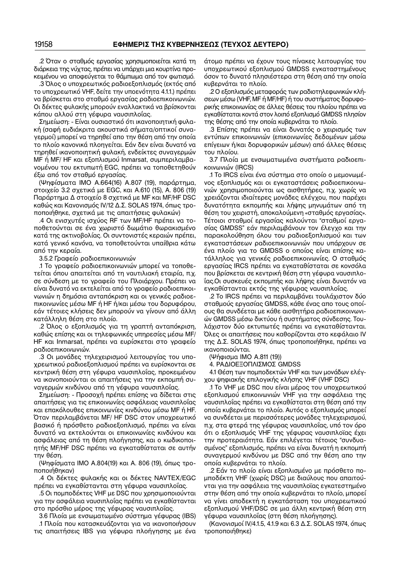.2 Όταν ο σταθμός εργασίας χρησιμοποιείται κατά τη διάρκεια της νύχτας, πρέπει να υπάρχει μια κουρτίνα προ− κειμένου να αποφεύγεται το θάμπωμα από τον φωτισμό.

.3 Όλος ο υποχρεωτικός ραδιοεξοπλισμός (εκτός από το υποχρεωτικό VHF, δείτε την υποενότητα 4.1.1.) πρέπει να βρίσκεται στο σταθμό εργασίας ραδιοεπικοινωνιών. Οι δέκτες φυλακής μπορούν εναλλακτικά να βρίσκονται κάπου αλλού στη γέφυρα ναυσιπλοΐας.

Σημείωση: − Είναι ουσιαστικό ότι ικανοποιητική φυλα− κή (σαφή ευδιάκριτα ακουστικά σήματα/οπτικοί συνα− γερμοί) μπορεί να τηρηθεί απο την θέση από την οποία το πλοίο κανονικά πλοηγείται. Εάν δεν είναι δυνατό να τηρηθεί ικανοποιητική φυλακή, ενδείκτες συναγερμών MF ή MF/ HF και εξοπλισμού Inmarsat, συμπεριλαμβα− νομένου του εκτυπωτή EGC, πρέπει να τοποθετηθούν έξω από τον σταθμό εργασίας.

(Ψηφίσματα IΜΟ A.664(16) A.807 (19), παράρτημα, στοιχείο 3.2 σχετικά με EGC, και A.610 (15), Α. 806 (19) Παράρτημα Δ στοιχείο 8 σχετικά με MF και MF/HF DSC καθώς και Κανονισμός IV/12 Δ.Σ. SOLAS 1974, όπως τρο− ποποιήθηκε, σχετικά με τις απαιτήσεις φυλακών)

.4 Οι ενισχυτές ισχύος RF των MF/HF πρέπει να το− ποθετούνται σε ένα χωριστό δωμάτιο θωρακισμένο κατά της ακτινοβολίας. Οι συντονιστές κεραιών πρέπει, κατά γενικό κανόνα, να τοποθετούνται υπαίθρια κάτω από την κεραία.

3.5.2 Γραφείο ραδιοεπικοινωνιών

.1 Το γραφείο ραδιοεπικοινωνιών μπορεί να τοποθε− τείται όπου απαιτείται από τη ναυτιλιακή εταιρία, π.χ. σε σύνδεση με το γραφείο του Πλοιάρχου. Πρέπει να είναι δυνατό να εκτελείται από το γραφείο ραδιοεπικοι− νωνιών η δημόσια ανταπόκριση και οι γενικές ραδιοε− πικοινωνίες μέσω MF ή HF ή/και μέσω του δορυφόρου, εάν τέτοιες κλήσεις δεν μπορούν να γίνουν από άλλη κατάλληλη θέση στο πλοίο.

.2 Όλος ο εξοπλισμός για τη γραπτή ανταπόκριση, καθώς επίσης και οι τηλεφωνικές υπηρεσίες μέσω MF/ HF και Inmarsat, πρέπει να ευρίσκεται στο γραφείο ραδιοεπικοινωνιών.

.3 Οι μονάδες τηλεχειρισμού λειτουργίας του υπο− χρεωτικού ραδιοεξοπλισμού πρέπει να ευρίσκονται σε κεντρική θέση στη γέφυρα ναυσιπλοΐας, προκειμένου να ικανοποιούνται οι απαιτήσεις για την εκπομπή συ− ναγερμών κινδύνου από τη γέφυρα ναυσιπλοΐας.

Σημείωση: − Προσοχή πρέπει επίσης να δίδεται στις απαιτήσεις για τις επικοινωνίες ασφάλειας ναυσιπλοΐας και επακόλουθες επικοινωνίες κινδύνου μέσω MF ή HF. Όταν περιλαμβάνεται MF/ HF DSC στον υποχρεωτικό βασικό ή πρόσθετο ραδιοεξοπλισμό, πρέπει να είναι δυνατό να εκτελούνται οι επικοινωνίες κινδύνου και ασφάλειας από τη θέση πλοήγησης, και ο κωδικοποι− ητής MF/HF DSC πρέπει να εγκαταθίσταται σε αυτήν την θέση.

(Ψηφίσματα ΙΜΟ A.804(19) και Α. 806 (19), όπως τρο− ποποιήθηκαν)

.4 Οι δέκτες φυλακής και οι δέκτες NAVTEX/EGC πρέπει να εγκαθίστανται στη γέφυρα ναυσιπλοΐας.

.5 Οι πομποδέκτες VHF με DSC που χρησιμοποιούνται για την ασφάλεια ναυσιπλοΐας πρέπει να εγκαθίστανται στο πρόσθιο μέρος της γέφυρας ναυσιπλοΐας.

3.6 Πλοία με ενσωματωμένο σύστημα γέφυρας (IBS)

.1 Πλοία που κατασκευάζονται για να ικανοποιήσουν τις απαιτήσεις IBS για γέφυρα πλοήγησης με ένα άτομο πρέπει να έχουν τους πίνακες λειτουργίας του υποχρεωτικού εξοπλισμού GMDSS εγκαταστημένους όσον το δυνατό πλησιέστερα στη θέση από την οποία κυβερνάται το πλοίο.

.2 Ο εξοπλισμός μεταφοράς των ραδιοτηλεφωνικών κλή− σεων μέσω (VHF, MF ή MF/HF) ή του συστήματος δορυφο− ρικής επικοινωνίας σε άλλες θέσεις του πλοίου πρέπει να εγκαθίσταται κοντά στον λοιπό εξοπλισμό GMDSS πλησίον της θέσης από την οποία κυβερνάται το πλοίο.

.3 Επίσης πρέπει να είναι δυνατός ο χειρισμός των εντύπων επικοινωνιών (επικοινωνίες δεδομένων μέσω επίγειων ή/και δορυφορικών μέσων) από άλλες θέσεις του πλοίου.

3.7 Πλοία με ενσωματωμένα συστήματα ραδιοεπι− κοινωνιών (IRCS)

.1 Το IRCS είναι ένα σύστημα στο οποίο ο μεμονωμέ− νος εξοπλισμός και οι εγκαταστάσεις ραδιοεπικοινω− νιών χρησιμοποιούνται ως αισθητήρες, π.χ. χωρίς να χρειάζονται ιδιαίτερες μονάδες ελέγχου, που παρέχει δυνατότητα εκπομπής και λήψης μηνυμάτων από τη θέση του χειριστή, αποκαλούμενη «σταθμός εργασίας». Τέτοιοι σταθμοί εργασίας καλούνται "σταθμοί εργα− σίας GMDSS" εάν περιλαμβάνουν τον έλεγχο και την παρακολούθηση όλου του ραδιοεξοπλισμού και των εγκαταστάσεων ραδιοεπικοινωνιών που υπάρχουν σε ένα πλοίο για το GMDSS ο οποίος είναι επίσης κα− τάλληλος για γενικές ραδιοεπικοινωνίες. Ο σταθμός εργασίας IRCS πρέπει να εγκαταθίσταται σε κονσόλα που βρίσκεται σε κεντρική θέση στη γέφυρα ναυσιπλο− ΐας.Οι συσκευές εκπομπής και λήψης είναι δυνατόν να εγκαθίστανται εκτός της γέφυρας ναυσιπλοΐας.

.2 Το IRCS πρέπει να περιλαμβάνει τουλάχιστον δύο σταθμούς εργασίας GMDSS, κάθε ένας απο τους οποί− ους θα συνδέεται με κάθε αισθητήρα ραδιοεπικοινωνι− ών GMDSS μέσω δικτύου ή συστήματος σύνδεσης. Του− λάχιστον δύο εκτυπωτές πρέπει να εγκαταθίστανται. Όλες οι απαιτήσεις που καθορίζονται στο κεφάλαιο IV της Δ.Σ. SOLAS 1974, όπως τροποποιήθηκε, πρέπει να ικανοποιούνται.

(Ψήφισμα IMO A.811 (19))

4. ΡΑΔΙΟΕΞΟΠΛΙΣΜΟΣ GMDSS

4.1 Θέση των πομποδεκτών VHF και των μονάδων ελέγ− χου ψηφιακής επιλογικής κλήσης VHF (VHF DSC)

.1 Το VHF με DSC που είναι μέρος του υποχρεωτικού εξοπλισμού επικοινωνιών VHF για την ασφάλεια της ναυσιπλοΐας πρέπει να εγκαθίσταται στη θέση από την οποία κυβερνάται το πλοίο. Αυτός ο εξοπλισμός μπορεί να συνδέεται με περισσότερες μονάδες τηλεχειρισμού, π.χ. στα φτερά της γέφυρας ναυσιπλοΐας, υπό τον όρο ότι ο εξοπλισμός VHF της γέφυρας ναυσιπλοϊας έχει την προτεραιότητα. Εάν επιλέγεται τέτοιος "συνδυα− σμένος" εξοπλισμός, πρέπει να είναι δυνατή η εκπομπή συναγερμού κινδύνου με DSC από την θέση απο την οποία κυβερνάται το πλοίο.

.2 Εάν το πλοίο είναι εξοπλισμένο με πρόσθετο πο− μποδέκτη VHF (χωρίς DSC) με διαύλους που απαιτού− νται για την ασφάλεια της ναυσιπλοϊας εγκατεστημένο στην θέση από την οποία κυβερνάται το πλοίο, μπορεί να γίνει αποδεκτή η εγκατάσταση του υποχρεωτικού εξοπλισμού VHF/DSC σε μια άλλη κεντρική θέση στη γέφυρα ναυσιπλοΐας (στη θέση πλοήγησης).

(Κανονισμοί IV/4.1.5, 4.1.9 και 6.3 Δ.Σ. SOLAS 1974, όπως τροποποιήθηκε)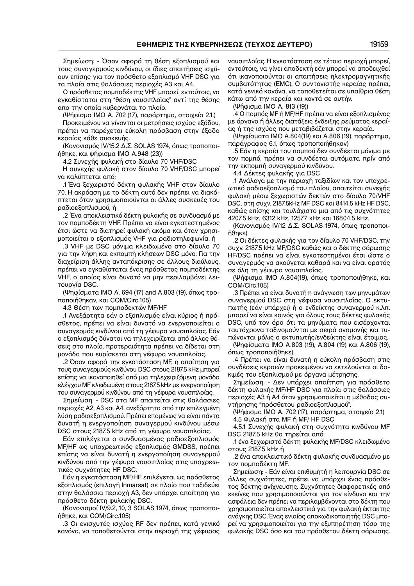Σημείωση: − Όσον αφορά τη θέση εξοπλισμού και τους συναγερμούς κινδύνου, οι ίδιες απαιτήσεις ισχύ− ουν επίσης για τον πρόσθετο εξοπλισμό VHF DSC για τα πλοία στις θαλάσσιες περιοχές A3 και A4.

Ο πρόσθετος πομποδέκτης VHF μπορεί, εντούτοις, να εγκαθίσταται στη "θέση ναυσιπλοϊας" αντί της θέσης απο την οποία κυβερνάται το πλοίο.

(Ψήφισμα IΜΟ Α. 702 (17), παράρτημα, στοιχείο 2.1.)

Προκειμένου να γίνονται οι μετρήσεις ισχύος εξόδου, πρέπει να παρέχεται εύκολη πρόσβαση στην έξοδο κεραίας κάθε συσκευής.

(Κανονισμός IV/15.2 Δ.Σ. SOLAS 1974, όπως τροποποι− ήθηκε, και ψήφισμα IMO A.948 (23))

4.2 Συνεχής φυλακή στο δίαυλο 70 VHF/DSC

H συνεχής φυλακή στον δίαυλο 70 VHF/DSC μπορεί να καλύπτεται από:

.1 Ένα ξεχωριστό δέκτη φυλακής VHF στον δίαυλο 70. Η ακρόαση με το δέκτη αυτό δεν πρέπει να διακό− πτεται όταν χρησιμοποιούνται οι άλλες συσκευές του ραδιοεξοπλισμού, ή

.2 Ένα αποκλειστικό δέκτη φυλακής σε συνδυασμό με τον πομποδέκτη VHF. Πρέπει να είναι εγκατεστημένος έτσι ώστε να διατηρεί φυλακή ακόμα και όταν χρησι− μοποιείται ο εξοπλισμός VHF για ραδιοτηλεφωνία, ή

.3 VHF με DSC μόνιμα κλειδωμένο στο δίαυλο 70 για την λήψη και εκπομπή κλήσεων DSC μόνο. Για την διαχείριση άλλης ανταπόκρισης σε άλλους διαύλους, πρέπει να εγκαθίσταται ένας πρόσθετος πομποδέκτης VHF, ο οποίος είναι δυνατό να μην περιλαμβάνει λει− τουργία DSC.

(Ψηφίσματα IΜΟ Α. 694 (17) and A.803 (19), όπως τρο− ποποιήθηκαν, και COM/Circ.105)

4.3 Θέση των πομποδεκτών MF/HF

.1 Ανεξάρτητα εάν ο εξοπλισμός είναι κύριος ή πρό− σθετος, πρέπει να είναι δυνατό να ενεργοποιείται ο συναγερμός κινδύνου από τη γέφυρα ναυσιπλοΐας. Εάν ο εξοπλισμός δύναται να τηλεχειρίζεται από άλλες θέ− σεις στο πλοίο, προτεραιότητα πρέπει να δίδεται στη μονάδα που ευρίσκεται στη γέφυρα ναυσιπλοΐας.

.2 Όσον αφορά την εγκατάσταση MF, η απαίτηση για τους συναγερμούς κινδύνου DSC στους 2187.5 kHz μπορεί επίσης να ικανοποιηθεί από μια τηλεχειριζόμενη μονάδα ελέγχου MF κλειδωμένη στους 2187.5 kHz με ενεργοποίηση του συναγερμού κινδύνου από τη γέφυρα ναυσιπλοΐας.

Σημείωση: − DSC στα MF απαιτείται στις θαλάσσιες περιοχές A2, A3 και A4, ανεξάρτητα από την επιλεγμένη λύση ραδιοεξοπλισμού. Πρέπει επομένως να είναι πάντα δυνατή η ενεργοποίηση συναγερμού κινδύνου μέσω DSC στους 2187.5 kHz από τη γέφυρα ναυσιπλοΐας.

Εάν επιλέγεται ο συνδυασμένος ραδιοεξοπλισμός MF/HF ως υποχρεωτικός εξοπλισμός GMDSS, πρέπει επίσης να είναι δυνατή η ενεργοποίηση συναγερμού κινδύνου από την γέφυρα ναυσιπλοΐας στις υποχρεω− τικές συχνότητες HF DSC.

Εάν η εγκατάσταση MF/HF επιλέγεται ως πρόσθετος εξοπλισμός (επιλογή Inmarsat) σε πλοίο που ταξιδεύει στην θαλάσσια περιοχή A3, δεν υπάρχει απαίτηση για πρόσθετο δέκτη φυλακής DSC.

(Κανονισμοί IV/9.2, 10, 3 SOLAS 1974, όπως τροποποι− ήθηκε, και COM/Circ.105)

.3 Οι ενισχυτές ισχύος RF δεν πρέπει, κατά γενικό κανόνα, να τοποθετούνται στην περιοχή της γέφυρας ναυσιπλοΐας. Η εγκατάσταση σε τέτοια περιοχή μπορεί, εντούτοις, να γίνει αποδεκτή εάν μπορεί να αποδειχθεί ότι ικανοποιούνται οι απαιτήσεις ηλεκτρομαγνητικής συμβατότητας (EMC). Ο συντονιστής κεραίας πρέπει, κατά γενικό κανόνα, να τοποθετείται σε υπαίθρια θέση κάτω από την κεραία και κοντά σε αυτήν.

(Ψήφισμα ΙΜΟ Α. 813 (19))

.4 Ο πομπός MF ή MF/HF πρέπει να είναι εξοπλισμένος με όργανο ή άλλες διατάξεις ένδειξης ρεύματος κεραί− ας ή της ισχύος που μεταβιβάζεται στην κεραία.

(Ψηφίσματα IΜΟ A.804(19) και A.806 (19), παράρτημα, παράγραφος 6.1, όπως τροποποιήθηκαν)

.5 Εάν η κεραία του πομπού δεν συνδέεται μόνιμα με τον πομπό, πρέπει να συνδέεται αυτόματα πρίν από την εκπομπή συναγερμού κινδύνου.

4.4 Δέκτες φυλακής για DSC

.1 Ανάλογα με την περιοχή ταξιδίων και τον υποχρε− ωτικό ραδιοεξοπλισμό του πλοίου, απαιτείται συνεχής φυλακή μέσω ξεχωριστών δεκτών στο δίαυλο 70/VHF DSC, στη συχν. 2187.5kHz MF DSC και 8414.5 kHz HF DSC, καθώς επίσης και τουλάχιστο μια από τις συχνότητες 4207.5 kHz, 6312 kHz, 12577 kHz και 16804.5 kHz.

(Κανονισμός IV/12 Δ.Σ. SOLAS 1974, όπως τροποποι− ήθηκε)

.2 Οι δέκτες φυλακής για τον δίαυλο 70 VHF/DSC, την συχν. 2187.5 kHz MF/DSC καθώς και ο δέκτης σάρωσης HF/DSC πρέπει να είναι εγκατεστημένοι έτσι ώστε ο συναγερμός να ακούγεται καθαρά και να είναι ορατός σε όλη τη γέφυρα ναυσιπλοΐας.

(Ψήφισμα ΙΜΟ A.804(19), όπως τροποποιήθηκε, και COM/Circ.105)

.3 Πρέπει να είναι δυνατή η ανάγνωση των μηνυμάτων συναγερμού DSC στη γέφυρα ναυσιπλοΐας. Ο εκτυ− πωτής (εάν υπάρχει) ή ο ενδείκτης συναγερμού κ.λπ. μπορεί να είναι κοινός για όλους τους δέκτες φυλακής DSC, υπό τον όρο ότι τα μηνύματα που εισέρχονται ταυτόχρονα ταξινομούνται με σειρά αναμονής και τυ− πώνονται μόλις ο εκτυπωτής/ενδείκτης είναι έτοιμος.

(Ψηφίσματα IΜΟ A.803 (19), A.804 (19) και A.806 (19), όπως τροποποιήθηκε)

.4 Πρέπει να είναι δυνατή η εύκολη πρόσβαση στις συνδέσεις κεραιών προκειμένου να εκτελούνται οι δο− κιμές του εξοπλισμού με όργανα μέτρησης.

Σημείωση: − Δεν υπάρχει απαίτηση για πρόσθετο δέκτη φυλακής MF/HF DSC για πλοία στις θαλάσσιες περιοχές A3 ή A4 όταν χρησιμοποιείται η μέθοδος συ− ντήρησης "πρόσθετου ραδιοεξοπλισμού".

(Ψήφισμα ΙΜΟ Α. 702 (17), παράρτημα, στοιχείο 2.1)

4.5 Φυλακή στα MF ή MF/ HF DSC

4.5.1 Συνεχής φυλακή στη συχνότητα κινδύνου MF DSC 2187.5 kHz θα τηρείται από:

.1 ένα ξεχωριστό δέκτη φυλακής MF/DSC κλειδωμένο στους 2187.5 kHz ή

.2 ένα αποκλειστικό δέκτη φυλακής συνδυασμένο με τον πομποδέκτη MF.

Σημείωση: − Εάν είναι επιθυμητή η λειτουργία DSC σε άλλες συχνότητες, πρέπει να υπάρχει ένας πρόσθε− τος δέκτης ανίχνευσης. Συχνότητες διαφορετικές από εκείνες που χρησιμοποιούνται για τον κίνδυνο και την ασφάλεια δεν πρέπει να περιλαμβάνονται στο δέκτη που χρησιμοποιείται αποκλειστικά για την φυλακή έκτακτης ανάγκης DSC. Ένας ενιαίος αποκωδικοποιητής DSC μπο− ρεί να χρησιμοποιείται για την εξυπηρέτηση τόσο της φυλακής DSC όσο και του πρόσθετου δέκτη σάρωσης.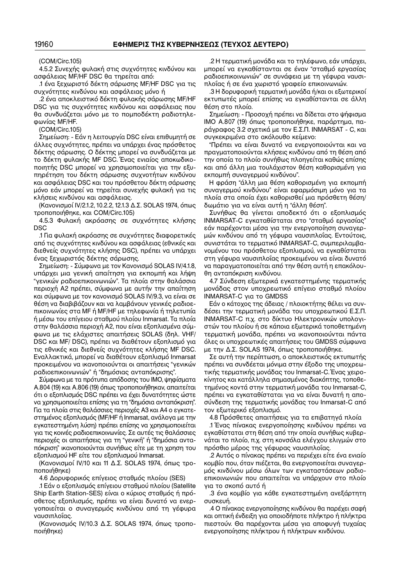(COM/Circ.105)

4.5.2 Συνεχής φυλακή στις συχνότητες κινδύνου και ασφάλειας MF/HF DSC θα τηρείται από:

.1 ένα ξεχωριστό δέκτη σάρωσης MF/HF DSC για τις συχνότητες κινδύνου και ασφάλειας μόνο ή

.2 ένα αποκλειστικό δέκτη φυλακής σάρωσης MF/HF DSC για τις συχνότητες κινδύνου και ασφάλειας που θα συνδυάζεται μόνο με το πομποδέκτη ραδιοτηλε− φωνίας MF/HF.

(COM/Circ.105)

Σημείωση: − Εάν η λειτουργία DSC είναι επιθυμητή σε άλλες συχνότητες, πρέπει να υπάρχει ένας πρόσθετος δέκτης σάρωσης. Ο δέκτης μπορεί να συνδυάζεται με το δέκτη φυλακής MF DSC. Ένας ενιαίος αποκωδικο− ποιητής DSC μπορεί να χρησιμοποιείται για την εξυ− πηρέτηση του δέκτη σάρωσης συχνοτήτων κινδύνου και ασφάλειας DSC και του πρόσθετου δέκτη σάρωσης μόνο εάν μπορεί να τηρείται συνεχής φυλακή για τις κλήσεις κινδύνου και ασφάλειας.

(Κανονισμοί IV/2.1.2, 10.2.2, 12.1.3 Δ.Σ. SOLAS 1974, όπως τροποποιήθηκε, και COM/Circ.105)

4.5.3 Φυλακή ακρόασης σε συχνότητες κλήσης DSC

.1 Για φυλακή ακρόασης σε συχνότητες διαφορετικές από τις συχνότητες κινδύνου και ασφάλειας (εθνικές και διεθνείς συχνότητες κλήσης DSC), πρέπει να υπάρχει ένας ξεχωριστός δέκτης σάρωσης.

Σημείωση: − Σύμφωνα με τον Κανονισμό SOLAS IV/4.1.8, υπάρχει μια γενική απαίτηση για εκπομπή και λήψη "γενικών ραδιοεπικοινωνιών". Τα πλοία στην θαλάσσια περιοχή A2 πρέπει, σύμφωνα με αυτήν την απαίτηση και σύμφωνα με τον κανονισμό SOLAS IV/9.3, να είναι σε θέση να διαβιβάζουν και να λαμβάνουν γενικές ραδιοε− πικοινωνίες στα MF ή MF/HF με τηλεφωνία ή τηλετυπία ή μέσω του επίγειου σταθμού πλοίου Inmarsat. Τα πλοία στην θαλάσσια περιοχή A2, που είναι εξοπλισμένα σύμ− φωνα με τις ελάχιστες απαιτήσεις SOLAS (δηλ. VHF/ DSC και MF/ DSC), πρέπει να διαθέτουν εξοπλισμό για τις εθνικές και διεθνείς συχνότητες κλήσης MF DSC. Εναλλακτικά, μπορεί να διαθέτουν εξοπλισμό Inmarsat προκειμένου να ικανοποιούνται οι απαιτήσεις "γενικών ραδιοεπικοινωνιών" ή "δημόσιας ανταπόκρισης".

Σύμφωνα με τα πρότυπα απόδοσης του IΜΟ, ψηφίσματα A.804 (19) και A.806 (19) όπως τροποποιήθηκαν, απαιτείται ότι ο εξοπλισμός DSC πρέπει να έχει δυνατότητες ώστε να χρησιμοποιείται επίσης για τη "δημόσια ανταπόκριση". Για τα πλοία στις θαλάσσιες περιοχές A3 και A4 ο εγκατε− στημένος εξοπλισμός (MF/HF ή Inmarsat, ανάλογα με την εγκατεστημένη λύση) πρέπει επίσης να χρησιμοποιείται για τις κοινές ραδιοεπικοινωνίες. Σε αυτές τις θαλάσσιες περιοχές οι απαιτήσεις για τη "γενική" ή "δημόσια αντα− πόκριση" ικανοποιούνται συνήθως είτε με τη χρηση του εξοπλισμού HF είτε του εξοπλισμού Inmarsat.

(Κανονισμοί IV/10 και 11 Δ.Σ. SOLAS 1974, όπως τρο− ποποιήθηκε)

4.6 Δορυφορικός επίγειος σταθμός πλοίου (SES)

.1 Εάν ο εξοπλισμός επίγειου σταθμού πλοίου (Satellite Ship Earth Station−SES) είναι o κύριος σταθμός ή πρό− σθετος εξοπλισμός, πρέπει να είναι δυνατό να ενερ− γοποιείται ο συναγερμός κινδύνου από τη γέφυρα ναυσιπλοΐας.

(Κανονισμός IV/10.3 Δ.Σ. SOLAS 1974, όπως τροπο− ποιήθηκε)

.2 Η τερματική μονάδα και το τηλέφωνο, εάν υπάρχει, μπορεί να εγκαθίστανται σε έναν "σταθμό εργασίας ραδιοεπικοινωνιών" σε συνάφεια με τη γέφυρα ναυσι− πλοΐας ή σε ένα χωριστό γραφείο επικοινωνιών.

.3 Η δορυφορική τερματική μονάδα ή/και οι εξωτερικοί εκτυπωτές μπορεί επίσης να εγκαθίστανται σε άλλη θέση στο πλοίο.

Σημείωση: − Προσοχή πρέπει να δίδεται στο ψήφισμα IΜΟ A.807 (19) όπως τροποποιήθηκε, παράρτημα, πα− ράγραφος 3.2 σχετικά με τον Ε.Σ.Π. INMARSAT − C, και συγκεκριμένα στο ακόλουθο κείμενο:

"Πρέπει να είναι δυνατό να ενεργοποιούνται και να πραγματοποιούνται κλήσεις κινδύνου από τη θέση από την οποία το πλοίο συνήθως πλοηγείται καθώς επίσης και από άλλη μια τουλάχιστον θέση καθορισμένη για εκπομπή συναγερμού κινδύνου".

Η φράση "άλλη μια θέση καθορισμένη για εκπομπή συναγερμού κινδύνου" είναι εφαρμόσιμη μόνο για τα πλοία στα οποία έχει καθορισθεί μια πρόσθετη θέση/ δωμάτιο για να είναι αυτή η "άλλη θέση".

Συνήθως θα γίνεται αποδεκτό ότι ο εξοπλισμός INMARSAT−C εγκαταθίσταται στο "σταθμό εργασίας" εάν παρέχονται μέσα για την ενεργοποίηση συναγερ− μών κινδύνου από τη γέφυρα ναυσιπλοΐας. Εντούτοις, συνιστάται το τερματικό INMARSAT−C, συμπεριλαμβα− νομένου του πρόσθετου εξοπλισμού, να εγκαθίσταται στη γέφυρα ναυσιπλοΐας προκειμένου να είναι δυνατό να παραγματοποιείται από την θέση αυτή η επακόλου− θη ανταπόκριση κινδύνου.

4.7 Σύνδεση εξωτερικά εγκατεστημένης τερματικής μονάδας στον υποχρεωτικό επίγειο σταθμό πλοίου INMARSAT−C για το GMDSS

Εάν ο κάτοχος της άδειας / πλοιοκτήτης θέλει να συν− δέσει την τερματική μονάδα του υποχρεωτικού Ε.Σ.Π. INMΑRSAT−C π.χ. στο δίκτυο Ηλεκτρονικών υπολογι− στών του πλοίου ή σε κάποια εξωτερικά τοποθετημένη τερματική μονάδα, πρέπει να ικανοποιούνται πάντα όλες οι υποχρεωτικές απαιτήσεις του GMDSS σύμφωνα με την Δ.Σ. SOLAS 1974, όπως τροποποιήθηκε.

Σε αυτή την περίπτωση, ο αποκλειστικός εκτυπωτής πρέπει να συνδέεται μόνιμα στην έξοδο της υποχρεω− τικής τερματικής μονάδας του Inmarsat−C. Ένας χειρο− κίνητος και κατάλληλα σημασμένος διακόπτης, τοποθε− τημένος κοντά στην τερματική μονάδα του Inmarsat−C, πρέπει να εγκαταθίσταται για να είναι δυνατή η απο− σύνδεση της τερματικής μονάδας του Inmarsat−C από τον εξωτερικό εξοπλισμό.

4.8 Πρόσθετες απαιτήσεις για τα επιβατηγά πλοία

.1 Ένας πίνακας ενεργοποίησης κινδύνου πρέπει να εγκαθίσταται στη θέση από την οποία συνήθως κυβερ− νάται το πλοίο, π.χ. στη κονσόλα ελέγχου ελιγμών στο πρόσθιο μέρος της γέφυρας ναυσιπλοΐας.

.2 Αυτός ο πίνακας πρέπει να περιέχει είτε ένα ενιαίο κομβίο που, όταν πιέζεται, θα ενεργοποιείται συναγερ− μός κινδύνου μέσω όλων των εγκαταστάσεων ραδιο− επικοινωνιών που απαιτείται να υπάρχουν στο πλοίο για το σκοπό αυτό ή

.3 ένα κομβίο για κάθε εγκατεστημένη ανεξάρτητη συσκευή.

.4 Ο πίνακας ενεργοποίησης κινδύνου θα παρέχει σαφή και οπτική ένδειξη για οποιοδήποτε πλήκτρο ή πλήκτρα πιεστούν. Θα παρέχονται μέσα για αποφυγή τυχαίας ενεργοποίησης πλήκτρου ή πλήκτρων κινδύνου.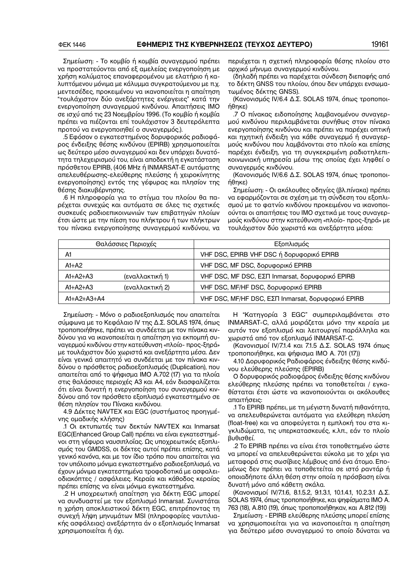Σημείωση: − Το κομβίο ή κομβία συναγερμού πρέπει να προστατεύονται από εξ αμελείας ενεργοποίηση με χρήση καλύματος επαναφερομένου με ελατήριο ή κα− λυπτόμενου μόνιμα με κάλυμμα συγκρατούμενου με π.χ. μεντεσέδες, προκειμένου να ικανοποιείται η απαίτηση "τουλάχιστον δύο ανεξάρτητες ενέργειες" κατά την ενεργοποίηση συναγερμού κινδύνου. Απαιτήσεις IΜΟ σε ισχύ από τις 23 Νοεμβρίου 1996. (Το κομβίο ή κομβία πρέπει να πιέζονται επί τουλάχιστον 3 δευτερόλεπτα προτού να ενεργοποιηθεί ο συναγερμός.).

.5 Εφόσον ο εγκατεστημένος δορυφορικός ραδιοφά− ρος ένδειξης θέσης κινδύνου (EPIRB) χρησιμοποιείται ως δεύτερο μέσο συναγερμού και δεν υπάρχει δυνατό− τητα τηλεχειρισμού του, είναι αποδεκτή η εγκατάσταση πρόσθετου EPIRB, (406 MHz ή INMARSAT−E αυτόματης απελευθέρωσης−ελεύθερης πλεύσης ή χειροκίνητης ενεργοποίησης) εντός της γέφυρας και πλησίον της θέσης διακυβέρνησης.

.6 Η πληροφορία για το στίγμα του πλοίου θα πα− ρέχεται συνεχώς και αυτόματα σε όλες τις σχετικές συσκευές ραδιοεπικοινωνιών των επιβατηγών πλοίων έτσι ώστε με την πίεση του πλήκτρου ή των πλήκτρων του πίνακα ενεργοποίησης συναγερμού κινδύνου, να περιέχεται η σχετική πληροφορία θέσης πλοίου στο αρχικό μήνυμα συναγερμού κινδύνου.

(δηλαδή πρέπει να παρέχεται σύνδεση διεπαφής από το δέκτη GNSS του πλοίου, όπου δεν υπάρχει ενσωμα− τωμένος δέκτης GNSS).

(Κανονισμός IV/6.4 Δ.Σ. SOLAS 1974, όπως τροποποι− ήθηκε)

.7 Ο πίνακας ειδοποίησης λαμβανομένου συναγερ− μού κινδύνου περιλαμβάνεται συνήθως στον πίνακα ενεργοποίησης κινδύνου και πρέπει να παρέχει οπτική και ηχητική ένδειξη για κάθε συναγερμό ή συναγερ− μούς κινδύνου που λαμβάνονται στο πλοίο και επίσης παρέχει ένδειξη, για τη συγκεκριμένη ραδιοτηλεπι− κοινωνιακή υπηρεσία μέσω της οποίας έχει ληφθεί ο συναγερμός κινδύνου.

(Κανονισμός IV/6.6 Δ.Σ. SOLAS 1974, όπως τροποποι− ήθηκε)

Σημείωση: − Οι ακόλουθες οδηγίες (βλ.πίνακα) πρέπει να εφαρμόζονται σε σχέση με τη σύνδεση του εξοπλι− σμού με το φατνίο κινδύνου προκειμένου να ικανοποι− ούνται οι απαιτήσεις του IΜΟ σχετικά με τους συναγερ− μούς κινδύνου στην κατεύθυνση «πλοίο− προς−ξηρά» με τουλάχιστον δύο χωριστά και ανεξάρτητα μέσα:

|                                                 | Θαλάσσιες Περιοχές | Εξοπλισμός                                         |
|-------------------------------------------------|--------------------|----------------------------------------------------|
| VHF DSC, EPIRB VHF DSC ή δορυφορικό EPIRB<br>A1 |                    |                                                    |
| $A1+A2$                                         |                    | VHF DSC, MF DSC, δορυφορικό EPIRB                  |
| $A1+A2+A3$                                      | (εναλλακτική 1)    | VHF DSC, MF DSC, ΕΣΠ Inmarsat, δορυφορικό EPIRB    |
| $A1+A2+A3$                                      | (εναλλακτική 2)    | VHF DSC, MF/HF DSC, δορυφορικό EPIRB               |
| $A1+A2+A3+A4$                                   |                    | VHF DSC, MF/HF DSC, ΕΣΠ Inmarsat, δορυφορικό EPIRB |

Σημείωση: − Μόνο ο ραδιοεξοπλισμός που απαιτείται σύμφωνα με το Κεφάλαιο IV της Δ.Σ. SOLAS 1974, όπως τροποποιήθηκε, πρέπει να συνδέεται με τον πίνακα κιν− δύνου για να ικανοποιείται η απαίτηση για εκπομπή συ− ναγερμού κινδύνου στην κατεύθυνση «πλοίο− προς−ξηρά» με τουλάχιστον δύο χωριστά και ανεξάρτητα μέσα. Δεν είναι γενικά απαιτητό να συνδέεται με τον πίνακα κιν− δύνου ο πρόσθετος ραδιοεξοπλισμός (Duplication), που απαιτείται από το ψήφισμα IΜΟ A.702 (17) για τα πλοία στις θαλάσσιες περιοχές A3 και A4, εάν διασφαλίζεται ότι είναι δυνατή η ενεργοποίηση του συναγερμού κιν− δύνου από τον πρόσθετο εξοπλισμό εγκατεστημένο σε θέση πλησίον του Πίνακα κινδύνου.

4.9 Δέκτες NAVTEX και EGC (συστήματος προηγμέ− νης ομαδικής κλήσης)

.1 Οι εκτυπωτές των δεκτών NAVTEX και Inmarsat EGC(Enhanced Group Call) πρέπει να είναι εγκατεστημέ− νοι στη γέφυρα ναυσιπλοΐας. Ως υποχρεωτικός εξοπλι− σμός του GMDSS, οι δέκτες αυτοί πρέπει επίσης, κατά γενικό κανόνα, και με τον ίδιο τρόπο που απαιτείται για τον υπόλοιπο μόνιμα εγκατεστημένο ραδιοεξοπλισμό, να έχουν μόνιμα εγκατεστημένα τροφοδοτικά με ασφαλει− οδιακόπτες / ασφάλειες. Κεραία και κάθοδος κεραίας πρέπει επίσης να είναι μόνιμα εγκατεστημένα.

.2 Η υποχρεωτική απαίτηση για δέκτη EGC μπορεί να συνδυαστεί με τον εξοπλισμό Inmarsat. Συνιστάται η χρήση αποκλειστικού δέκτη EGC, επιτρέποντας τη συνεχή λήψη μηνυμάτων MSI (πληροφορίες ναυτιλια− κής ασφάλειας) ανεξάρτητα άν ο εξοπλισμός Inmarsat χρησιμοποιείται ή όχι.

Η "Κατηγορία 3 EGC" συμπεριλαμβάνεται στο INMARSAT−C, αλλά μοιράζεται μόνο την κεραία με αυτόν τον εξοπλισμό και λειτουργεί παράλληλα και χωριστά από τον εξοπλισμό INMARSAT−C.

(Κανονισμοί IV/7.1.4 και 7.1.5 Δ.Σ. SOLAS 1974 όπως τροποποιήθηκε, και ψήφισμα IMO Α. 701 (17))

4.10 Δορυφορικός Ραδιοφάρος ένδειξης θέσης κινδύ− νου ελεύθερης πλεύσης (EPIRB)

Ο δορυφορικός ραδιοφάρος ένδειξης θέσης κινδύνου ελεύθερης πλεύσης πρέπει να τοποθετείται / εγκα− θίσταται έτσι ώστε να ικανοποιούνται οι ακόλουθες απαιτήσεις:

.1 Το EPIRB πρέπει, με τη μέγιστη δυνατή πιθανότητα, να απελευθερώνεται αυτόματα για ελεύθερη πλεύση (float−free) και να αποφεύγεται η εμπλοκή του στα κι− γκλιδώματα, τις υπερκατασκευές, κ.λπ., εάν το πλοίο βυθισθεί.

.2 Το EPIRB πρέπει να είναι έτσι τοποθετημένο ώστε να μπορεί να απελευθερώνεται εύκολα με το χέρι για μεταφορά στις σωσίβιες λέμβους από ένα άτομο. Επο− μένως δεν πρέπει να τοποθετείται σε ιστό ραντάρ ή οποιαδήποτε άλλη θέση στην οποία η πρόσβαση είναι δυνατή μόνο από κάθετη σκάλα.

(Κανονισμοί IV/7.1.6, 8.1.5.2, 9.1.3.1, 10.1.4.1, 10.2.3.1 Δ.Σ. SOLAS 1974, όπως τροποποιήθηκε, και ψηφίσματα IΜΟ Α. 763 (18), A.810 (19), όπως τροποποιήθηκαν, και A.812 (19))

Σημείωση: − EPIRB ελεύθερης πλεύσης μπορεί επίσης να χρησιμοποιείται για να ικανοποιείται η απαίτηση για δεύτερο μέσο συναγερμού το οποίο δύναται να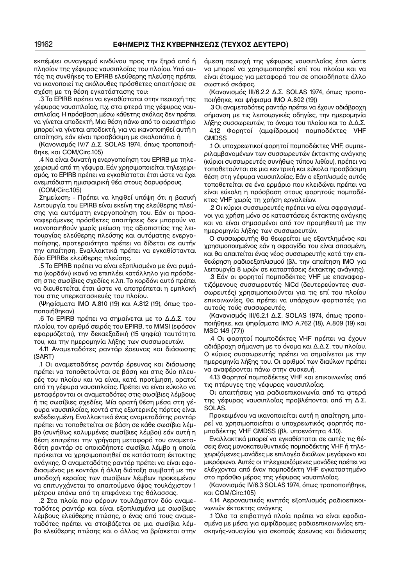εκπέμψει συναγερμό κινδύνου προς την ξηρά από ή πλησίον της γέφυρας ναυσιπλοΐας του πλοίου. Υπό αυ− τές τις συνθήκες το EPIRB ελεύθερης πλεύσης πρέπει να ικανοποιεί τις ακόλουθες πρόσθετες απαιτήσεις σε σχέση με τη θέση εγκατάστασης του:

.3 Το EPIRB πρέπει να εγκαθίσταται στην περιοχή της γέφυρας ναυσιπλοΐας, π.χ. στα φτερά της γέφυρας ναυ− σιπλοΐας. Η πρόσβαση μέσω κάθετης σκάλας δεν πρέπει να γίνεται αποδεκτή. Μια θέση πάνω από το οιακιστήριο μπορεί να γίνεται αποδεκτή, για να ικανοποιηθεί αυτή η απαίτηση, εάν είναι προσβάσιμη με σκαλοπάτια ή

(Κανονισμός IV/7 Δ.Σ. SOLAS 1974, όπως τροποποιή− θηκε, και COM/Circ.105)

.4 Να είναι δυνατή η ενεργοποίηση του EPIRB με τηλε− χειρισμό από τη γέφυρα. Εάν χρησιμοποιείται τηλεχειρι− σμός, το EPIRB πρέπει να εγκαθίσταται έτσι ώστε να έχει ανεμπόδιστη ημισφαιρική θέα στους δορυφόρους.

(COM/Circ.105)

Σημείωση: − Πρέπει να ληφθεί υπόψη ότι η βασική λειτουργία του EPIRB είναι εκείνη της ελεύθερης πλεύ− σης για αυτόματη ενεργοποίηση του. Εάν οι προα− ναφερόμενες πρόσθετες απαιτήσεις δεν μπορούν να ικανοποιηθούν χωρίς μείωση της αξιοπιστίας της λει− τουργίας ελεύθερης πλεύσης και αυτόματης ενεργο− ποίησης, προτεραιότητα πρέπει να δίδεται σε αυτήν την απαίτηση. Εναλλακτικά πρέπει να εγκαθίστανται δύο EPIRBs ελεύθερης πλεύσης.

.5 Το EPIRB πρέπει να είναι εξοπλισμένο με ένα ρυμά− τιο (κορδόνι) ικανό να επιπλέει κατάλληλο για πρόσδε− ση στις σωσίβιες σχεδίες κ.λπ. Το κορδόνι αυτό πρέπει να διευθετείται έτσι ώστε να αποτρέπεται η εμπλοκή του στις υπερκατασκευές του πλοίου.

(Ψηφίσματα ΙMO A.810 (19) και A.812 (19), όπως τρο− ποποιήθηκαν)

.6 Το EPIRB πρέπει να σημαίνεται με το Δ.Δ.Σ. του πλοίου, τον αριθμό σειράς του EPIRB, το MMSI (εφόσον εφαρμόζεται), την δεκαεξαδική (15 ψηφία) ταυτότητα του, και την ημερομηνία λήξης των συσσωρευτών.

4.11 Αναμεταδότες ραντάρ έρευνας και διάσωσης (SART)

.1 Οι αναμεταδότες ραντάρ έρευνας και διάσωσης πρέπει να τοποθετούνται σε βάση και στις δύο πλευ− ρές του πλοίου και να είναι, κατά προτίμηση, ορατοί από τη γέφυρα ναυσιπλοΐας. Πρέπει να είναι εύκολο να μεταφέρονται οι αναμεταδότες στις σωσίβιες λέμβους ή τις σωσίβιες σχεδίες. Μία ορατή θέση μέσα στη γέ− φυρα ναυσιπλοΐας, κοντά στις εξωτερικές πόρτες είναι ενδεδειγμένη. Εναλλακτικά ένας αναμεταδότης ραντάρ πρέπει να τοποθετείται σε βάση σε κάθε σωσίβια λέμ− βο (συνήθως καλυμμένες σωσίβιες λέμβοι) εάν αυτή η θέση επιτρέπει την γρήγορη μεταφορά του αναμετα− δότη ραντάρ σε οποιαδήποτε σωσίβια λέμβο η οποία πρόκειται να χρησιμοποιηθεί σε κατάσταση έκτακτης ανάγκης. Ο αναμεταδότης ραντάρ πρέπει να είναι εφο− διασμένος με κοντάρι ή άλλη διάταξη συμβατή με την υποδοχή κεραίας των σωσίβιων λέμβων προκειμένου να επιτυγχάνεται το απαιτούμενο ύψος τουλάχιστον 1 μέτρου επάνω από τη επιφάνεια της θάλασσας.

.2 Στα πλοία που φέρουν τουλάχιστον δύο αναμε− ταδότες ραντάρ και είναι εξοπλισμένα με σωσίβιες λέμβους ελεύθερης πτώσης, ο ένας από τους αναμε− ταδότες πρέπει να στοιβάζεται σε μια σωσίβια λέμ− βο ελεύθερης πτώσης και ο άλλος να βρίσκεται στην

άμεση περιοχή της γέφυρας ναυσιπλοΐας έτσι ώστε να μπορεί να χρησιμοποιηθεί επί του πλοίου και να είναι έτοιμος για μεταφορά του σε οποιοδήποτε άλλο σωστικό σκάφος.

(Κανονισμός III/6.2.2 Δ.Σ. SOLAS 1974, όπως τροπο− ποιήθηκε, και ψήφισμα IMO A.802 (19))

.3 Οι αναμεταδότες ραντάρ πρέπει να έχουν αδιάβροχη σήμανση με τις λειτουργικές οδηγίες, την ημερομηνία λήξης συσσωρευτών, το όνομα του πλοίου και το Δ.Δ.Σ.

4.12 Φορητοί (αμφίδρομοι) πομποδέκτες VHF **GMDSS** 

.1 Οι υποχρεωτικοί φορητοί πομποδέκτες VHF, συμπε− ριλαμβανομένων των συσσωρευτών έκτακτης ανάγκης (κύριοι συσσωρευτές συνήθως τύπου λιθίου), πρέπει να τοποθετούνται σε μια κεντρική και εύκολα προσβάσιμη θέση στη γέφυρα ναυσιπλοΐας. Εάν ο εξοπλισμός αυτός τοποθετείται σε ένα ερμάριο που κλειδώνει πρέπει να είναι εύκολη η πρόσβαση στους φορητούς πομποδέ− κτες VHF χωρίς τη χρήση εργαλείων.

.2 Οι κύριοι συσσωρευτές πρέπει να είναι σφραγισμέ− νοι για χρήση μόνο σε καταστάσεις έκτακτης ανάγκης και να είναι σημασμένοι από τον προμηθευτή με την ημερομηνία λήξης των συσσωρευτών.

Ο συσσωρευτής θα θεωρείται ως εξαντλημένος και χρησιμοποιημένος εάν η σφραγίδα του είναι σπασμένη, και θα απαιτείται ένας νέος συσσωρευτής κατά την επι− θεώρηση ραδιοεξοπλισμού (βλ. την απαίτηση IΜΟ για λειτουργία 8 ωρών σε καταστάσεις έκτακτης ανάγκης).

.3 Εάν οι φορητοί πομποδέκτες VHF με επαναφορ− τιζόμενους συσσωρευτές NiCd (δευτερεύοντες συσ− σωρευτές) χρησιμοποιούνται για τις επί του πλοίου επικοινωνίες, θα πρέπει να υπάρχουν φορτιστές για αυτούς τούς συσσωρευτές.

(Κανονισμός III/6.2.1 Δ.Σ. SOLAS 1974, όπως τροπο− ποιήθηκε, και ψηφίσματα IMO Α.762 (18), A.809 (19) και MSC 149 (77))

.4 Οι φορητοί πομποδέκτες VHF πρέπει να έχουν αδιάβροχη σήμανση με το όνομα και Δ.Δ.Σ. του πλοίου. Ο κύριος συσσωρευτής πρέπει να σημαίνεται με την ημερομηνία λήξης του. Οι αριθμοί των διαύλων πρέπει να αναφέρονται πάνω στην συσκευή.

4.13 Φορητοί πομποδέκτες VHF και επικοινωνίες από τις πτέρυγες της γέφυρας ναυσιπλοΐας.

Οι απαιτήσεις για ραδιοεπικοινωνία από τα φτερά της γέφυρας ναυσιπλοΐας προβλέπονται από τη Δ.Σ. SOLAS.

Προκειμένου να ικανοποιείται αυτή η απαίτηση, μπο− ρεί να χρησιμοποιείται ο υποχρεωτικός φορητός πο− μποδέκτης VHF GMDSS (βλ. υποενότητα 4.10).

Εναλλακτικά μπορεί να εγκαθίσταται σε αυτές τις θέ− σεις ένας μονοκατευθυντικός πομποδέκτης VHF ή τηλε− χειριζόμενες μονάδες με επιλογέα διαύλων, μεγάφωνο και μικρόφωνο. Αυτές οι τηλεχειριζόμενες μονάδες πρέπει να ελέγχονται από έναν πομποδέκτη VHF εγκαταστημένο στο πρόσθιο μέρος της γέφυρας ναυσιπλοΐας.

(Κανονισμός IV/6.3 SOLAS 1974, όπως τροποποιήθηκε, και COM/Circ.105)

4.14 Αεροναυτικός κινητός εξοπλισμός ραδιοεπικοι− νωνιών έκτακτης ανάγκης

.1 Όλα τα επιβατηγά πλοία πρέπει να είναι εφοδια− σμένα με μέσα για αμφίδρομες ραδιοεπικοινωνίες επι− σκηνής−ναυαγίου για σκοπούς έρευνας και διάσωσης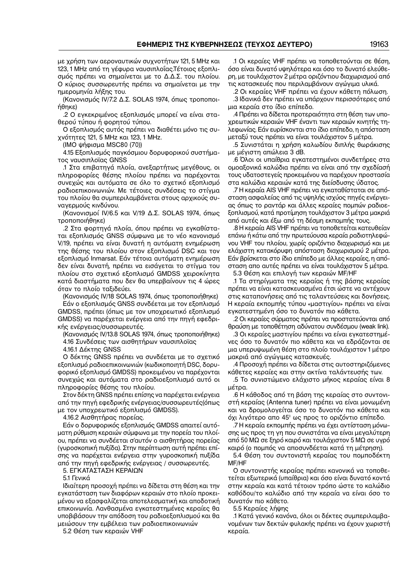με χρήση των αεροναυτικών συχνοτήτων 121, 5 MHz και 123, 1 MHz από τη γέφυρα ναυσιπλοΐας.Τέτοιος εξοπλι− σμός πρέπει να σημαίνεται με το Δ.Δ.Σ. του πλοίου. Ο κύριος συσσωρευτής πρέπει να σημαίνεται με την ημερομηνία λήξης του.

(Κανονισμός IV/7.2 Δ.Σ. SOLAS 1974, όπως τροποποι− ήθηκε)

.2 Ο εγκεκριμένος εξοπλισμός μπορεί να είναι στα− θερού τύπου ή φορητού τύπου.

Ο εξοπλισμός αυτός πρέπει να διαθέτει μόνο τις συ− χνότητες 121, 5 MHz και 123, 1 MHz.

(IMO ψήφισμα MSC80 (70))

4.15 Εξοπλισμός παγκόσμιου δορυφορικού συστήμα− τος ναυσιπλοϊας GNSS

.1 Στα επιβατηγά πλοία, ανεξαρτήτως μεγέθους, οι πληροφορίες θέσης πλοίου πρέπει να παρέχονται συνεχώς και αυτόματα σε όλο το σχετικό εξοπλισμό ραδιοεπικοινωνιών. Με τέτοιες συνδέσεις το στίγμα του πλοίου θα συμπεριλαμβάνεται στους αρχικούς συ− ναγερμούς κινδύνου.

(Κανονισμοί IV/6.5 και V/19 Δ.Σ. SOLAS 1974, όπως τροποποιήθηκε)

.2 Στα φορτηγά πλοία, όπου πρέπει να εγκαθίστα− ται εξοπλισμός GNSS σύμφωνα με το νέο κανονισμό V/19, πρέπει να είναι δυνατή η αυτόματη ενημέρωση της θέσης του πλοίου στον εξοπλισμό DSC και τον εξοπλισμό Inmarsat. Εάν τέτοια αυτόματη ενημέρωση δεν είναι δυνατή, πρέπει να εισάγεται το στίγμα του πλοίου στο σχετικό εξοπλισμό GMDSS χειροκίνητα κατά διαστήματα που δεν θα υπερβαίνουν τις 4 ώρες όταν το πλοίο ταξιδεύει.

(Κανονισμός IV/18 SOLAS 1974, όπως τροποποιήθηκε) Εάν ο εξοπλισμός GNSS συνδέεται με τον εξοπλισμό GMDSS, πρέπει (όπως με τον υποχρεωτικό εξοπλισμό GMDSS) να παρέχεται ενέργεια από την πηγή εφεδρι− κής ενέργειας/συσσωρευτές.

(Κανονισμός IV/13.8 SOLAS 1974, όπως τροποποιήθηκε) 4.16 Συνδέσεις των αισθητήρων ναυσιπλοϊας

4.16.1 Δέκτης GNSS

Ο δέκτης GNSS πρέπει να συνδέεται με το σχετικό εξοπλισμό ραδιοεπικοινωνιών (κωδικοποιητή DSC, δορυ− φορικό εξοπλισμό GMDSS) προκειμένου να παρέχονται συνεχώς και αυτόματα στο ραδιοεξοπλισμό αυτό οι πληροφορίες θέσης του πλοίου.

Στον δέκτη GNSS πρέπει επίσης να παρέχεται ενέργεια από την πηγή εφεδρικής ενέργειας/συσσωρευτές(όπως με τον υποχρεωτικό εξοπλισμό GMDSS).

4.16.2 Αισθητήρας πορείας.

Εάν ο δορυφορικός εξοπλισμός GMDSS απαιτεί αυτό− ματη ρύθμιση κεραιών σύμφωνα με την πορεία του πλοί− ου, πρέπει να συνδέεται σ'αυτόν ο αισθητήρας πορείας (γυροσκοπική πυξίδα). Στην περίπτωση αυτή πρέπει επί− σης να παρέχεται ενέργεια στην γυροσκοπική πυξίδα από την πηγή εφεδρικής ενέργειας / συσσωρευτές.

5. ΕΓΚΑΤΑΣΤΑΣΗ ΚΕΡΑΙΩΝ

5.1 Γενικά

Ιδιαίτερη προσοχή πρέπει να δίδεται στη θέση και την εγκατάσταση των διαφόρων κεραιών στο πλοίο προκει− μένου να εξασφαλίζεται αποτελεσματική και αποδοτική επικοινωνία. Λανθασμένα εγκατεστημένες κεραίες θα υποβιβάσουν την απόδοση του ραδιοεξοπλισμού και θα μειώσουν την εμβέλεια των ραδιοεπικοινωνιών

5.2 Θέση των κεραιών VHF

.1 Οι κεραίες VHF πρέπει να τοποθετούνται σε θέση, όσο είναι δυνατό υψηλότερα και όσο το δυνατό ελεύθε− ρη, με τουλάχιστον 2 μέτρα οριζόντιου διαχωρισμού από τις κατασκευές που περιλαμβάνουν αγώγιμα υλικά.

.2 Οι κεραίες VHF πρέπει να έχουν κάθετη πόλωση. .3 Ιδανικά δεν πρέπει να υπάρχουν περισσότερες από μια κεραία στο ίδιο επίπεδο.

.4 Πρέπει να δίδεται προτεραιότητα στη θέση των υπο− χρεωτικών κεραιών VHF έναντι των κεραιών κινητής τη− λεφωνίας. Εάν ευρίσκονται στο ίδιο επίπεδο, η απόσταση μεταξύ τους πρέπει να είναι τουλάχιστον 5 μέτρα.

.5 Συνιστάται η χρήση καλωδίου διπλής θωράκισης με μέγιστη απώλεια 3 dB.

.6 Όλοι οι υπαίθρια εγκατεστημένοι συνδετήρες στα ομοαξονικά καλώδια πρέπει να είναι από την σχεδίασή τους υδατοστεγείς προκειμένου να παρέχουν προστασία στα καλώδια κεραιών κατά της διείσδυσης ύδατος.

.7 Η κεραία AIS VHF πρέπει να εγκαταθίσταται σε από− σταση ασφαλείας από τις υψηλής ισχύος πηγές ενέργει− ας όπως το ραντάρ και άλλες κεραίες πομπών ραδιοε− ξοπλισμού, κατά προτίμηση τουλάχιστον 3 μέτρα μακριά από αυτές και έξω από τη δέσμη εκπομπής τους.

.8 Η κεραία AIS VHF πρέπει να τοποθετείται κατευθείαν επάνω ή κάτω από την πρωτεύουσα κεραία ραδιοτηλεφώ− νου VHF του πλοίου, χωρίς οριζόντιο διαχωρισμό και με ελάχιστη κατακόρυφη απόσταση διαχωρισμού 2 μέτρα. Εάν βρίσκεται στο ίδιο επίπεδο με άλλες κεραίες, η από− σταση απο αυτές πρέπει να είναι τουλάχιστον 5 μέτρα.

5.3 Θέση και επιλογή των κεραιών MF/HF

.1 Τα στηρίγματα της κεραίας ή της βάσης κεραίας πρέπει να είναι κατασκευασμένα έτσι ώστε να αντέχουν στις καταπονήσεις από τις ταλαντεύσεις και δονήσεις. Η κεραία εκπομπής τύπου «μαστιγίου» πρέπει να είναι εγκατεστημένη όσο το δυνατόν πιο κάθετα.

.2 Οι κεραίες σύρματος πρέπει να προστατεύονται από θραύση με τοποθέτηση αδύνατου συνδέσμου (weak link).

.3 Οι κεραίες μαστιγίου πρέπει να είναι εγκατεστημέ− νες όσο το δυνατόν πιο κάθετα και να εδράζονται σε μια υπερυψωμένη θέση στο πλοίο τουλάχιστον 1 μέτρο μακριά από αγώγιμες κατασκευές.

.4 Προσοχή πρέπει να δίδεται στις αυτοστηριζόμενες κάθετες κεραίες και στην ακτίνα ταλάντευσής των.

.5 Το συνιστώμενο ελάχιστο μήκος κεραίας είναι 8 μέτρα.

.6 Η κάθοδος από τη βάση της κεραίας στο συντονι− στή κεραίας (Antenna tuner) πρέπει να είναι μονωμένη και να δρομολογείται όσο το δυνατόν πιο κάθετα και όχι λιγότερο απο 45° ως προς το οριζόντιο επίπεδο.

.7 Η κεραία εκπομπής πρέπει να έχει αντίσταση μόνω− σης ως προς τη γη που συνιστάται να είναι μεγαλύτερη από 50 ΜΩ σε ξηρό καιρό και τουλάχιστον 5 ΜΩ σε υγρό καιρό (ο πομπός να αποσυνδέεται κατά τη μέτρηση).

5.4 Θέση του συντονιστή κεραίας του πομποδέκτη MF/HF

Ο συντονιστής κεραίας πρέπει κανονικά να τοποθε− τείται εξωτερικά (υπαίθρια) και όσο είναι δυνατό κοντά στην κεραία και κατά τέτοιον τρόπο ώστε το καλώδιο καθόδου/το καλώδιο από την κεραία να είναι όσο το δυνατόν πιο κάθετο.

5.5 Κεραίες λήψης

.1 Κατά γενικό κανόνα, όλοι οι δέκτες συμπεριλαμβα− νομένων των δεκτών φυλακής πρέπει να έχουν χωριστή κεραία.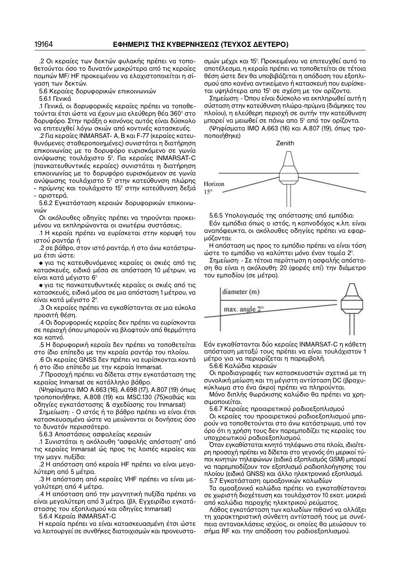.2 Οι κεραίες των δεκτών φυλακής πρέπει να τοπο− θετούνται όσο το δυνατόν μακρύτερα από τις κεραίες πομπών MF/ HF προκειμένου να ελαχιστοποιείται η σί− γαση των δεκτών.

5.6 Κεραίες δορυφορικών επικοινωνιών

5.6.1 Γενικά

.1 Γενικά, οι δορυφορικές κεραίες πρέπει να τοποθε− τούνται έτσι ώστε να έχουν μια ελεύθερη θέα 360° στο δορυφόρο. Στην πράξη ο κανόνας αυτός είναι δύσκολο να επιτευχθεί λόγω σκιών από κοντινές κατασκευές.

.2 Για κεραίες INMARSAT− Α, Β και F−77 (κεραίες κατευ− θυνόμενες σταθεροποιημένες) συνιστάται η διατήρηση επικοινωνίας με το δορυφόρο ευρισκόμενο σε γωνία ανύψωσης τουλάχιστο 5°. Για κεραίες INMARSAT−C (πανκατευθυντικές κεραίες) συνιστάται η διατήρηση επικοινωνίας με το δορυφόρο ευρισκόμενον σε γωνία ανύψωσης τουλάχιστο 5° στην κατεύθυνση πλώρης – πρύμνης και τουλάχιστο 15° στην κατεύθυνση δεξιά – αριστερά.

5.6.2 Εγκατάσταση κεραιών δορυφορικών επικοινω− νιών

Οι ακόλουθες οδηγίες πρέπει να τηρούνται προκει− μένου να εκπληρώνονται οι ανωτέρω συστάσεις:.

.1 Η κεραία πρέπει να ευρίσκεται στην κορυφή του ιστού ραντάρ ή

.2 σε βάθρο, στον ιστό ραντάρ, ή στο άνω κατάστρω− μα έτσι ώστε:

• για τις κατευθυνόμενες κεραίες οι σκιές από τις κατασκευές, ειδικά μέσα σε απόσταση 10 μέτρων, να είναι κατά μέγιστο 6°

• για τις πανκατευθυντικές κεραίες οι σκιές από τις κατασκευές, ειδικά μέσα σε μια απόσταση 1 μέτρου, να είναι κατά μέγιστο 2°.

.3 Οι κεραίες πρέπει να εγκαθίστανται σε μια εύκολα προσιτή θέση.

.4 Οι δορυφορικές κεραίες δεν πρέπει να ευρίσκονται σε περιοχή όπου μπορούν να βλαφτούν από θερμότητα και καπνό.

.5 Η δορυφορική κεραία δεν πρέπει να τοποθετείται στο ίδιο επίπεδο με την κεραία ραντάρ του πλοίου.

.6 Οι κεραίες GNSS δεν πρέπει να ευρίσκονται κοντά ή στο ίδιο επίπεδο με την κεραία Inmarsat.

.7 Προσοχή πρέπει να δίδεται στην εγκατάσταση της κεραίας Inmarsat σε κατάλληλο βάθρο.

(Ψηφίσματα IΜΟ A.663 (16), A.698 (17), A.807 (19) όπως τροποποιήθηκε, A.808 (19) και MSC.130 (75)καθώς και οδηγίες εγκατάστασης & σχεδίασης του Inmarsat)

Σημείωση: − Ο ιστός ή το βάθρο πρέπει να είναι έτσι κατασκευασμένα ώστε να μειώνονται οι δονήσεις όσο το δυνατόν περισσότερο.

5.6.3 Αποστάσεις ασφαλείας κεραιών

.1 Συνιστάται η ακόλουθη "ασφαλής απόσταση" από τις κεραίες Inmarsat ώς προς τις λοιπές κεραίες και την μαγν. πυξίδα:

.2 Η απόσταση από κεραία HF πρέπει να είναι μεγα− λύτερη από 5 μέτρα.

.3 Η απόσταση από κεραίες VHF πρέπει να είναι με− γαλύτερη από 4 μέτρα.

.4 Η απόσταση από την μαγνητική πυξίδα πρέπει να είναι μεγαλύτερη από 3 μέτρα. (βλ. Εγχειρίδιο εγκατά− στασης του εξοπλισμού και οδηγίες Inmarsat)

5.6.4 Κεραία INMARSAT−C

Η κεραία πρέπει να είναι κατασκευασμένη έτσι ώστε να λειτουργεί σε συνθήκες διατοιχισμών και προνευστα−

σμών μέχρι και 15°. Προκειμένου να επιτευχθεί αυτό το αποτέλεσμα, η κεραία πρέπει να τοποθετείται σε τέτοια θέση ώστε δεν θα υποβιβάζεται η απόδοση του εξοπλι− σμού απο κανένα αντικείμενο ή κατασκευή που ευρίσκε− ται υψηλότερα απο 15° σε σχέση με τον ορίζοντα.

Σημείωση: − Όπου είναι δύσκολο να εκπληρωθεί αυτή η σύσταση στην κατεύθυνση πλώρα−πρύμνα (διάμηκες του πλοίου), η ελεύθερη περιοχή σε αυτήν την κατεύθυνση μπορεί να μειωθεί σε πάνω απο 5° από τον ορίζοντα.

(Ψηφίσματα IΜΟ A.663 (16) και A.807 (19), όπως τρο− ποποιήθηκε)



5.6.5 Υπολογισμός της απόστασης από εμπόδια:

Εάν εμπόδια όπως ο ιστός, η καπνοδόχος κ.λπ. είναι αναπόφευκτα, οι ακόλουθες οδηγίες πρέπει να εφαρ− μόζονται:

Η απόσταση ως προς το εμπόδιο πρέπει να είναι τόση ώστε το εμπόδιο να καλύπτει μόνο έναν τομέα 2°.

Σημείωση: − Σε τέτοια περίπτωση η ασφαλής απόστα− ση θα είναι η ακόλουθη: 20 (φορές επί) την διάμετρο του εμποδίου (σε μέτρα).



Εάν εγκαθίστανται δύο κεραίες INMARSAT−C η κάθετη απόσταση μεταξύ τους πρέπει να είναι τουλάχιστον 1 μέτρο για να περιορίζεται η παρεμβολή.

5.6.6 Καλώδια κεραιών

Οι προδιαγραφές των κατασκευαστών σχετικά με τη συνολική μείωση και τη μέγιστη αντίσταση DC (βραχυ− κύκλωμα στο ένα άκρο) πρέπει να πληρούνται.

Μόνο διπλής θωράκισης καλώδιο θα πρέπει να χρη− σιμοποιείται.

5.6.7 Κεραίες προαιρετικού ραδιοεξοπλισμού

Οι κεραίες του προαιρετικού ραδιοεξοπλισμού μπο− ρούν να τοποθετούνται στο άνω κατάστρωμα, υπό τον όρο ότι η χρήση τους δεν παρεμποδίζει τις κεραίες του υποχρεωτικού ραδιοεξοπλισμού.

Όταν εγκαθίσταται κινητό τηλέφωνο στα πλοία, ιδιαίτε− ρη προσοχή πρέπει να δίδεται στο γεγονός ότι μερικοί τύ− ποι κινητών τηλεφώνων (ειδικά εξοπλισμός GSM) μπορεί να παρεμποδίζουν τον εξοπλισμό ραδιοπλοήγησης του πλοίου (ειδικά GNSS) και άλλο ηλεκτρονικό εξοπλισμό.

5.7 Εγκατάσταση ομοαξονικών καλωδίων

Τα ομοαξονικά καλώδια πρέπει να εγκαταθίστανται σε χωριστή διοχέτευση και τουλάχιστον 10 εκατ. μακριά από καλώδια παροχής ηλεκτρικού ρεύματος.

Λάθος εγκατάσταση των καλωδίων πιθανό να αλλάξει τη χαρακτηριστική σύνθετη αντίστασή τους με συνέ− πεια αντανακλάσεις ισχύος, οι οποίες θα μειώσουν το σήμα RF και την απόδοση του ραδιοεξοπλισμού.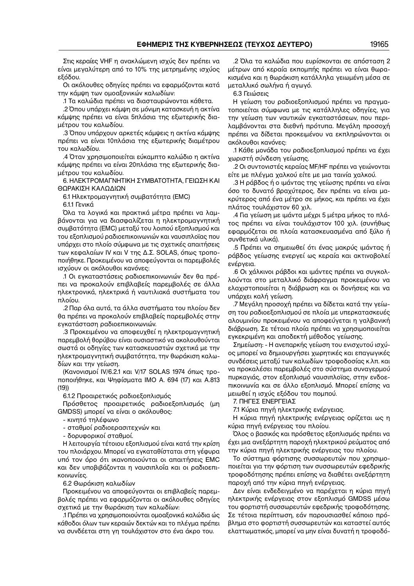Στις κεραίες VHF η ανακλώμενη ισχύς δεν πρέπει να είναι μεγαλύτερη από το 10% της μετρημένης ισχύος εξόδου.

Οι ακόλουθες οδηγίες πρέπει να εφαρμόζονται κατά την κάμψη των ομοαξονικών καλωδίων:

.1 Τα καλώδια πρέπει να διασταυρώνονται κάθετα.

.2 Όπου υπάρχει κάμψη σε μόνιμη κατασκευή η ακτίνα κάμψης πρέπει να είναι 5πλάσια της εξωτερικής δια− μέτρου του καλωδίου.

.3 Όπου υπάρχουν αρκετές κάμψεις η ακτίνα κάμψης πρέπει να είναι 10πλάσια της εξωτερικής διαμέτρου του καλωδίου.

.4 Όταν χρησιμοποιείται εύκαμπτο καλώδιο η ακτίνα κάμψης πρέπει να είναι 20πλάσια της εξωτερικής δια− μέτρου του καλωδίου.

6. ΗΛΕΚΤΡΟΜΑΓΝΗΤΙΚΗ ΣΥΜΒΑΤΟΤΗΤΑ, ΓΕΙΩΣΗ ΚΑΙ ΘΩΡΑΚΙΣΗ ΚΑΛΩΔΙΩΝ

6.1 Ηλεκτρομαγνητική συμβατότητα (EMC)

6.1.1 Γενικά

Όλα τα λογικά και πρακτικά μέτρα πρέπει να λαμ− βάνονται για να διασφαλίζεται η ηλεκτρομαγνητική συμβατότητα (EMC) μεταξύ του λοιπού εξοπλισμού και του εξοπλισμού ραδιοεπικοινωνιών και ναυσιπλοϊας που υπάρχει στο πλοίο σύμφωνα με τις σχετικές απαιτήσεις των κεφαλαίων IV και V της Δ.Σ. SOLAS, όπως τροπο− ποιήθηκε. Προκειμένου να αποφεύγονται οι παρεμβολές ισχύουν οι ακόλουθοι κανόνες:

.1 Οι εγκαταστάσεις ραδιοεπικοινωνιών δεν θα πρέ− πει να προκαλούν επιβλαβείς παρεμβολές σε άλλα ηλεκτρονικά, ηλεκτρικά ή ναυτιλιακά συστήματα του πλοίου.

.2 Παρ όλα αυτά, τα άλλα συστήματα του πλοίου δεν θα πρέπει να προκαλούν επιβλαβείς παρεμβολές στην εγκατάσταση ραδιοεπικοινωνιών.

.3 Προκειμένου να αποφευχθεί η ηλεκτρομαγνητική παρεμβολή θορύβου είναι ουσιαστικό να ακολουθούνται σωστά οι οδηγίες των κατασκευαστών σχετικά με την ηλεκτρομαγνητική συμβατότητα, την θωράκιση καλω− δίων και την γείωση.

(Κανονισμοί IV/6.2.1 και V/17 SOLAS 1974 όπως τρο− ποποιήθηκε, και Ψηφίσματα IMO Α. 694 (17) και A.813 (19))

6.1.2 Προαιρετικός ραδιοεξοπλισμός

Πρόσθετος προαιρετικός ραδιοεξοπλισμός (μη GMDSS) μπορεί να είναι ο ακόλουθος:

− κινητό τηλέφωνο

− σταθμοί ραδιοερασιτεχνών και

− δορυφορικοί σταθμοί.

Η λειτουργία τέτοιου εξοπλισμού είναι κατά την κρίση του πλοιάρχου. Μπορεί να εγκαταθίσταται στη γέφυρα υπό τον όρο ότι ικανοποιούνται οι απαιτήσεις EMC και δεν υποβιβάζονται η ναυσιπλοΐα και οι ραδιοεπι− κοινωνίες.

6.2 Θωράκιση καλωδίων

Προκειμένου να αποφεύγονται οι επιβλαβείς παρεμ− βολές πρέπει να εφαρμόζονται οι ακόλουθες οδηγίες σχετικά με την θωράκιση των καλωδίων:

.1 Πρέπει να χρησιμοποιούνται ομοαξονικά καλώδια ώς κάθοδοι όλων των κεραιών δεκτών και το πλέγμα πρέπει να συνδέεται στη γη τουλάχιστον στο ένα άκρο του.

.2 Όλα τα καλώδια που ευρίσκονται σε απόσταση 2 μέτρων από κεραία εκπομπής πρέπει να είναι θωρα− κισμένα και η θωράκιση κατάλληλα γειωμένη μέσα σε μεταλλικό σωλήνα ή αγωγό.

6.3 Γειώσεις

Η γείωση του ραδιοεξοπλισμού πρέπει να πραγμα− τοποιείται σύμφωνα με τις κατάλληλες οδηγίες, για την γείωση των ναυτικών εγκαταστάσεων, που περι− λαμβάνονται στα διεθνή πρότυπα. Μεγάλη προσοχή πρέπει να δίδεται προκειμένου να εκπληρώνονται οι ακόλουθοι κανόνες:

.1 Κάθε μονάδα του ραδιοεξοπλισμού πρέπει να έχει χωριστή σύνδεση γείωσης.

.2 Οι συντονιστές κεραίας MF/HF πρέπει να γειώνονται είτε με πλέγμα χαλκού είτε με μια ταινία χαλκού.

.3 Η ράβδος ή ο ιμάντας της γείωσης πρέπει να είναι όσο το δυνατό βραχύτερος, δεν πρέπει να είναι μα− κρύτερος από ένα μέτρο σε μήκος, και πρέπει να έχει πλάτος τουλάχιστον 60 χιλ.

.4 Για γείωση με ιμάντα μέχρι 5 μέτρα μήκος το πλά− τος πρέπει να είναι τουλάχιστον 100 χιλ. (συνήθως εφαρμόζεται σε πλοία κατασκευασμένα από ξύλο ή συνθετικά υλικά).

.5 Πρέπει να σημειωθεί ότι ένας μακρύς ιμάντας ή ράβδος γείωσης ενεργεί ως κεραία και ακτινοβολεί ενέργεια.

.6 Οι χάλκινοι ράβδοι και ιμάντες πρέπει να συγκολ− λούνται στο μεταλλικό διάφραγμα προκειμένου να ελαχιστοποιείται η διάβρωση και οι δονήσεις και να υπάρχει καλή γείωση.

.7 Μεγάλη προσοχή πρέπει να δίδεται κατά την γείω− ση του ραδιοεξοπλισμού σε πλοία με υπερκατασκευές αλουμινίου προκειμένου να αποφεύγεται η γαλβανική διάβρωση. Σε τέτοια πλοία πρέπει να χρησιμοποιείται εγκεκριμένη και αποδεκτή μέθοδος γείωσης.

Σημείωση: − Η ανεπαρκής γείωση του ενισχυτού ισχύ− ος μπορεί να δημιουργήσει χωρητικές και επαγωγικές συνδέσεις μεταξύ των καλωδίων τροφοδοσίας κ.λπ. και να προκαλέσει παρεμβολές στο σύστημα συναγερμού πυρκαγιάς, στον εξοπλισμό ναυσιπλοϊας, στην ενδοε− πικοινωνία και σε άλλο εξοπλισμό. Μπορεί επίσης να μειωθεί η ισχύς εξόδου του πομπού.

7. ΠΗΓΕΣ ΕΝΕΡΓΕΙΑΣ

7.1 Κύρια πηγή ηλεκτρικής ενέργειας.

Η κύρια πηγή ηλεκτρικής ενέργειας ορίζεται ως η κύρια πηγή ενέργειας του πλοίου.

Όλος ο βασικός και πρόσθετος εξοπλισμός πρέπει να έχει μια ανεξάρτητη παροχή ηλεκτρικού ρεύματος από την κύρια πηγή ηλεκτρικής ενέργειας του πλοίου.

Το σύστημα φόρτισης συσσωρευτών που χρησιμο− ποιείται για την φόρτιση των συσσωρευτών εφεδρικής τροφοδότησης πρέπει επίσης να διαθέτει ανεξάρτητη παροχή από την κύρια πηγή ενέργειας.

Δεν είναι ενδεδειγμένο να παρέχεται η κύρια πηγή ηλεκτρικής ενέργειας στον εξοπλισμό GMDSS μέσω του φορτιστή συσσωρευτών εφεδρικής τροφοδότησης. Σε τέτοια περίπτωση, εάν παρουσιασθεί κάποιο πρό− βλημα στο φορτιστή συσσωρευτών και καταστεί αυτός ελαττωματικός, μπορεί να μην είναι δυνατή η τροφοδό−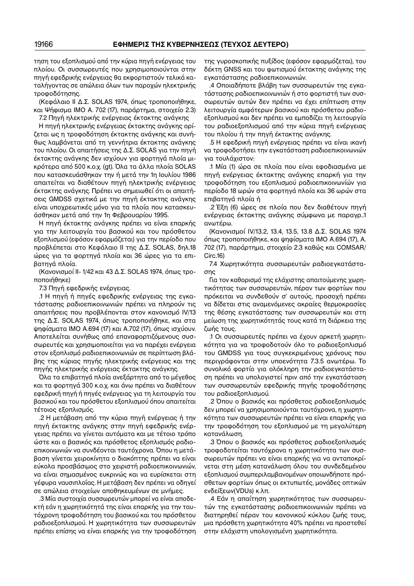τηση του εξοπλισμού από την κύρια πηγή ενέργειας του πλοίου. Οι συσσωρευτές που χρησιμοποιούνται στην πηγή εφεδρικής ενέργειας θα εκφορτιστούν τελικά κα− ταλήγοντας σε απώλεια όλων των παροχών ηλεκτρικής τροφοδότησης.

(Κεφάλαιο ΙΙ Δ.Σ. SOLAS 1974, όπως τροποποιήθηκε, και Ψήφισμα IMO Α. 702 (17), παράρτημα, στοιχείο 2.3) 7.2 Πηγή ηλεκτρικής ενέργειας έκτακτης ανάγκης

Η πηγή ηλεκτρικής ενέργειας έκτακτης ανάγκης ορί− ζεται ως η τροφοδότηση έκτακτης ανάγκης και συνή− θως λαμβάνεται από τη γεννήτρια έκτακτης ανάγκης του πλοίου. Οι απαιτήσεις της Δ.Σ. SOLAS για την πηγή έκτακτης ανάγκης δεν ισχύουν για φορτηγά πλοία μι− κρότερα από 500 κ.ο.χ. (gt). Όλα τα άλλα πλοία SOLAS που κατασκευάσθηκαν την ή μετά την 1η Ιουλίου 1986 απαιτείται να διαθέτουν πηγή ηλεκτρικής ενέργειας έκτακτης ανάγκης. Πρέπει να σημειωθεί ότι οι απαιτή− σεις GMDSS σχετικά με την πηγή έκτακτης ανάγκης είναι υποχρεωτικές μόνο για τα πλοία που κατασκευ− άσθηκαν μετά από την 1η Φεβρουαρίου 1995.

Η πηγή έκτακτης ανάγκης πρέπει να είναι επαρκής για την λειτουργία του βασικού και του πρόσθετου εξοπλισμού (εφόσον εφαρμόζεται) για την περίοδο που προβλέπεται στο Κεφάλαιο ΙΙ της Δ.Σ. SOLAS, δηλ.18 ώρες για τα φορτηγά πλοία και 36 ώρες για τα επι− βατηγά πλοία.

(Κανονισμοί ΙΙ− 1/42 και 43 Δ.Σ. SOLAS 1974, όπως τρο− ποποιήθηκε)

7.3 Πηγή εφεδρικής ενέργειας.

.1 Η πηγή ή πηγές εφεδρικής ενέργειας της εγκα− τάστασης ραδιοεπικοινωνιών πρέπει να πληρούν τις απαιτήσεις που προβλέπονται στον κανονισμό IV/13 της Δ.Σ. SOLAS 1974, όπως τροποποιήθηκε, και στα ψηφίσματα IMO A.694 (17) και A.702 (17), όπως ισχύουν. Αποτελείται συνήθως από επαναφορτιζόμενους συσ− σωρευτές και χρησιμοποιείται για να παρέχει ενέργεια στον εξοπλισμό ραδιοεπικοινωνιών σε περίπτωση βλά− βης της κύριας πηγής ηλεκτρικής ενέργειας και της πηγής ηλεκτρικής ενέργειας έκτακτης ανάγκης.

Όλα τα επιβατηγά πλοία ανεξάρτητα από το μέγεθος και τα φορτηγά 300 κ.ο.χ. και άνω πρέπει να διαθέτουν εφεδρική πηγή ή πηγές ενέργειας για τη λειτουργία του βασικού και του πρόσθετου εξοπλισμού όπου απαιτείται τέτοιος εξοπλισμός.

.2 Η μετάβαση από την κύρια πηγή ενέργειας ή την πηγή έκτακτης ανάγκης στην πηγή εφεδρικής ενέρ− γειας πρέπει να γίνεται αυτόματα και με τέτοιο τρόπο ώστε και ο βασικός και πρόσθετος εξοπλισμός ραδιο− επικοινωνιών να συνδέονται ταυτόχρονα. Όπου η μετά− βαση γίνεται χειροκίνητα ο διακόπτης πρέπει να είναι εύκολα προσβάσιμος στο χειριστή ραδιοεπικοινωνιών, να είναι σημασμένος ευκρινώς και να ευρίσκεται στη γέφυρα ναυσιπλοΐας. Η μετάβαση δεν πρέπει να οδηγεί σε απώλεια στοιχείων αποθηκευμένων σε μνήμες.

.3 Μία συστοιχία συσσωρευτών μπορεί να είναι αποδε− κτή εάν η χωρητικότητά της είναι επαρκής για την ταυ− τόχρονη τροφοδότηση του βασικού και του πρόσθετου ραδιοεξοπλισμού. Η χωρητικότητα των συσσωρευτών πρέπει επίσης να είναι επαρκής για την τροφοδότηση της γυροσκοπικής πυξίδος (εφόσον εφαρμόζεται), του δέκτη GNSS και του φωτισμού έκτακτης ανάγκης της εγκατάστασης ραδιοεπικοινωνιών.

.4 Οποιαδήποτε βλάβη των συσσωρευτών της εγκα− τάστασης ραδιοεπικοινωνιών ή στο φορτιστή των συσ− σωρευτών αυτών δεν πρέπει να έχει επίπτωση στην λειτουργία αμφότερων βασικού και πρόσθετου ραδιο− εξοπλισμού και δεν πρέπει να εμποδίζει τη λειτουργία του ραδιοεξοπλισμού από την κύρια πηγή ενέργειας του πλοίου ή την πηγή έκτακτης ανάγκης.

.5 Η εφεδρική πηγή ενέργειας πρέπει να είναι ικανή να τροφοδοτήσει την εγκατάσταση ραδιοεπικοινωνιών για τουλάχιστον:

.1 Μία (1) ώρα σε πλοία που είναι εφοδιασμένα με πηγή ενέργειας έκτακτης ανάγκης επαρκή για την τροφοδότηση του εξοπλισμού ραδιοεπικοινωνίών για περίοδο 18 ωρών στα φορτηγά πλοία και 36 ωρών στα επιβατηγά πλοία ή

.2 Έξη (6) ώρες σε πλοία που δεν διαθέτουν πηγή ενέργειας έκτακτης ανάγκης σύμφωνα με παραγρ..1 ανωτέρω.

(Κανονισμοί IV/13.2, 13.4, 13.5, 13.8 Δ.Σ. SOLAS 1974 όπως τροποποιήθηκε, και ψηφίσματα IΜΟ A.694 (17), Α. 702 (17), παράρτημα, στοιχείο 2.3 καθώς και COMSAR/ Circ.16)

7.4 Χωρητικότητα συσσωρευτών ραδιοεγκατάστα− σης

Για τον καθορισμό της ελάχιστης απαιτούμενης χωρη− τικότητας των συσσωρευτών, πέραν των φορτίων που πρόκειται να συνδεθούν σ' αυτούς, προσοχή πρέπει να δίδεται στις αναμενόμενες ακραίες θερμοκρασίες της θέσης εγκατάστασης των συσσωρευτών και στη μείωση της χωρητικότητάς τους κατά τη διάρκεια της ζωής τους.

.1 Οι συσσωρευτές πρέπει να έχουν αρκετή χωρητι− κότητα για να τροφοδοτούν όλο το ραδιοεξοπλισμό του GMDSS για τους συγκεκριμένους χρόνους που περιγράφονται στην υποενότητα 7.3.5 ανωτέρω. Το συνολικό φορτίο για ολόκληρη την ραδιοεγκατάστα− ση πρέπει να υπολογιστεί πριν από την εγκατάσταση των συσσωρευτών εφεδρικής πηγής τροφοδότησης του ραδιοεξοπλισμού.

.2 Όπου ο βασικός και πρόσθετος ραδιοεξοπλισμός δεν μπορεί να χρησιμοποιούνται ταυτόχρονα, η χωρητι− κότητα των συσσωρευτών πρέπει να είναι επαρκής για την τροφοδότηση του εξοπλισμού με τη μεγαλύτερη κατανάλωση.

.3 Όπου ο βασικός και πρόσθετος ραδιοεξοπλισμός τροφοδοτείται ταυτόχρονα η χωρητικότητα των συσ− σωρευτών πρέπει να είναι επαρκής για να ανταποκρί− νεται στη μέση κατανάλωση όλου του συνδεδεμένου εξοπλισμού συμπεριλαμβανομένων οποιωνδήποτε πρό− σθετων φορτίων όπως οι εκτυπωτές, μονάδες οπτικών ενδείξεων(VDUs) κ.λπ.

.4 Εάν η απαίτηση χωρητικότητας των συσσωρευ− τών της εγκατάστασης ραδιοεπικοινωνιών πρέπει να διατηρηθεί πέραν του κανονικού κύκλου ζωής τους, μια πρόσθετη χωρητικότητα 40% πρέπει να προστεθεί στην ελάχιστη υπολογισμένη χωρητικότητα.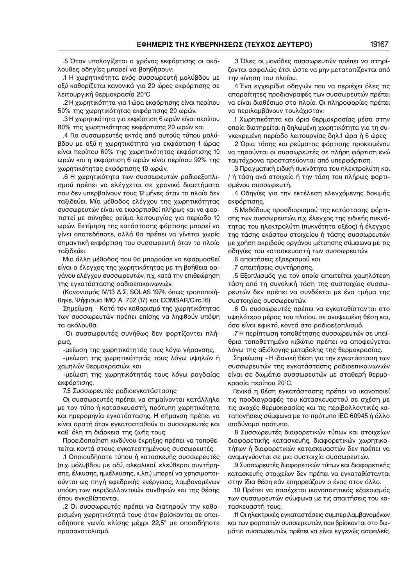.5 Όταν υπολογίζεται ο χρόνος εκφόρτισης οι ακό− λουθες οδηγίες μπορεί να βοηθήσουν:

.1 Η χωρητικότητα ενός συσσωρευτή μολύβδου με οξύ καθορίζεται κανονικά για 20 ώρες εκφόρτισης σε λειτουργική θερμοκρασία 20°C

.2 Η χωρητικότητα για 1 ώρα εκφόρτισης είναι περίπου 50% της χωρητικότητας εκφόρτισης 20 ωρών.

.3 Η χωρητικότητα για εκφόρτιση 6 ωρών είναι περίπου 80% της χωρητικότητας εκφόρτισης 20 ωρών και

.4 Για συσσωρευτές εκτός από αυτούς τύπου μολύ− βδου με οξύ η χωρητικότητα για εκφόρτιση 1 ώρας είναι περίπου 60% της χωρητικότητας εκφόρτισης 10 ωρών και η εκφόρτιση 6 ωρών είναι περίπου 92% της χωρητικότητας εκφόρτισης 10 ωρών.

.6 Η χωρητικότητα των συσσωρευτών ραδιοεξοπλι− σμού πρέπει να ελέγχεται σε χρονικά διαστήματα που δεν υπερβαίνουν τους 12 μήνες όταν το πλοίο δεν ταξιδεύει. Μία μέθοδος ελέγχου της χωρητικότητας συσσωρευτών είναι να εκφορτισθεί πλήρως και να φορ− τιστεί με σύνηθες ρεύμα λειτουργίας για περίοδο 10 ωρών. Εκτίμηση της κατάστασης φόρτισης μπορεί να γίνει οποτεδήποτε, αλλά θα πρέπει να γίνεται χωρίς σημαντική εκφόρτιση του συσσωρευτή όταν το πλοίο ταξιδεύει.

Μια άλλη μέθοδος που θα μπορούσε να εφαρμοσθεί είναι ο έλεγχος της χωρητικότητας με τη βοήθεια ορ− γάνου ελέγχου συσσωρευτών, π.χ. κατά την επιθεώρηση της εγκατάστασης ραδιοεπικοινωνιών.

(Κανονισμός IV/13 Δ.Σ. SOLAS 1974, όπως τροποποιή− θηκε, Ψήφισμα IΜΟ Α. 702 (17) και COMSAR/Circ.16)

Σημείωση: − Κατά τον καθορισμό της χωρητικότητας των συσσωρευτών πρέπει επίσης να ληφθούν υπόψη τα ακόλουθα:

−Οι συσσωρευτές συνήθως δεν φορτίζονται πλή− ρως,

−μείωση της χωρητικότητάς τους λόγω γήρανσης,

−μείωση της χωρητικότητάς τους λόγω υψηλών ή χαμηλών θερμοκρασιών, και

−μείωση της χωρητικότητάς τους λόγω ραγδαίας εκφόρτισης.

7.5 Συσσωρευτές ραδιοεγκατάστασης

Οι συσσωρευτές πρέπει να σημαίνονται κατάλληλα με τον τύπο ή κατασκευαστή, πρότυπη χωρητικότητα και ημερομηνία εγκατάστασης. Η σήμανση πρέπει να είναι ορατή όταν εγκατασταθούν οι συσσωρευτές και καθ' όλη τη διάρκεια της ζωής τους.

Προειδοποίηση κινδύνου έκρηξης πρέπει να τοποθε− τείται κοντά στους εγκατεστημένους συσσωρευτές.

.1 Οποιουδήποτε τύπου ή κατασκευής συσσωρευτές (π.χ. μόλυβδου με οξύ, αλκαλικοί, ελεύθεροι συντήρη− σης, έλκυσης, ημιέλκυσης, κ.λπ.) μπορεί να χρησιμοποι− ούνται ως πηγή εφεδρικής ενέργειας, λαμβανομένων υπόψη των περιβαλλοντικών συνθηκών και της θέσης όπου εγκαθίστανται.

.2 Οι συσσωρευτές πρέπει να διατηρούν την καθο− ρισμένη χωρητικότητά τους όταν βρίσκονται σε οποι− αδήποτε γωνία κλίσης μέχρι 22,5° με οποιοδήποτε προσανατολισμό.

.3 Όλες οι μονάδες συσσωρευτών πρέπει να στηρί− ζονται ασφαλώς έτσι ώστε να μην μετατοπίζονται από την κίνηση του πλοίου.

.4 Ένα εγχειρίδιο οδηγιών που να περιέχει όλες τις απαραίτητες προδιαγραφές των συσσωρευτών πρέπει να είναι διαθέσιμο στο πλοίο. Οι πληροφορίες πρέπει να περιλαμβάνουν τουλάχιστον:

.1 Χωρητικότητα και όρια θερμοκρασίας μέσα στην οποία διατηρείται η δηλωμένη χωρητικότητα για τη συ− γκεκριμένη περίοδο λειτουργίας δηλ.1 ώρα ή 6 ώρες

.2 Όρια τάσης και ρεύματος φόρτισης προκειμένου να τηρούνται οι συσσωρευτές σε πλήρη φόρτιση ενώ ταυτόχρονα προστατεύονται από υπερφόρτιση.

.3 Πραγματική ειδική πυκνότητα του ηλεκτρολύτη και / ή τάση ανά στοιχείο ή την τάση του πλήρως φορτι− σμένου συσσωρευτή.

.4 Οδηγίες για την εκτέλεση ελεγχόμενης δοκιμής εκφόρτισης.

.5 Μεθόδους προσδιορισμού της κατάστασης φόρτι− σης των συσσωρευτών, π.χ. έλεγχος της ειδικής πυκνό− τητας του ηλεκτρολύτη (πυκνότητα οξέος) ή έλεγχος της τάσης εκάστου στοιχείου ή τάσης συσσωρευτών με χρήση ακριβούς οργάνου μέτρησης σύμφωνα με τις οδηγίες του κατασκευαστή των συσσωρευτών.

.6 απαιτήσεις εξαερισμού και

.7 απαιτήσεις συντήρησης.

.5 Εξοπλισμός για τον οποίο απαιτείται χαμηλότερη τάση από τη συνολική τάση της συστοιχίας συσσω− ρευτών δεν πρέπει να συνδέεται με ένα τμήμα της συστοιχίας συσσωρευτών.

.6 Οι συσσωρευτές πρέπει να εγκαταθίστανται στο υψηλότερο μέρος του πλοίου, σε ανυψωμένη θέση και, όσο είναι εφικτό, κοντά στο ραδιοεξοπλισμό.

.7 Η περίπτωση τοποθέτησης συσσωρευτών σε υπαί− θρια τοποθετημένο κιβώτιο πρέπει να αποφεύγεται λόγω της αξιόλογης μεταβολής της θερμοκρασίας.

Σημείωση: − Η ιδανική θέση για την εγκατάσταση των συσσωρευτών της εγκατάστασης ραδιοεπικοινωνιών είναι σε δωμάτιο συσσωρευτών με σταθερή θερμο− κρασία περίπου 20°C.

Γενικά η θέση εγκατάστασης πρέπει να ικανοποιεί τις προδιαγραφές του κατασκευαστού σε σχέση με τις ανοχές θερμοκρασίας και τις περιβαλλοντικές κα− ταπονήσεις σύμφωνα με το πρότυπο IEC 60945 ή άλλο ισοδύναμο πρότυπο.

.8 Συσσωρευτές διαφορετικών τύπων και στοιχείων διαφορετικής κατασκευής, διαφορετικών χωρητικο− τήτων ή διαφορετικών κατασκευαστών δεν πρέπει να αναμιγνύονται σε μια συστοιχία συσσωρευτών.

.9 Συσσωρευτές διαφορετικών τύπων και διαφορετικής κατασκευής στοιχείων δεν πρέπει να εγκαταθίστανται στην ίδια θέση εάν επηρρεάζουν ο ένας στον άλλο.

.10 Πρέπει να παρέχεται ικανοποιητικός εξαερισμός των συσσωρευτών σύμφωνα με τις απαιτήσεις του κα− τασκευαστή τους.

.11 Οι ηλεκτρικές εγκαταστάσεις συμπεριλαμβανομένων και των φορτιστών συσσωρευτών, που βρίσκονται στο δω− μάτιο συσσωρευτών, πρέπει να είναι εγγενώς ασφαλείς.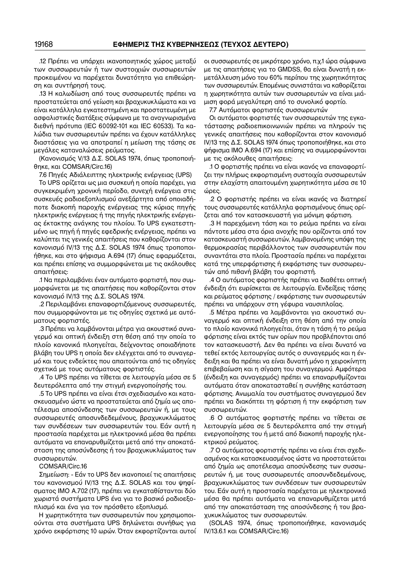.12 Πρέπει να υπάρχει ικανοποιητικός χώρος μεταξύ των συσσωρευτών ή των συστοιχιών συσσωρευτών προκειμένου να παρέχεται δυνατότητα για επιθεώρη− ση και συντήρησή τους.

.13 Η καλωδίωση από τους συσσωρευτές πρέπει να προστατεύεται από γείωση και βραχυκυκλώματα και να είναι κατάλληλα εγκατεστημένη και προστατευμένη με ασφαλιστικές διατάξεις σύμφωνα με τα αναγνωρισμένα διεθνή πρότυπα (IEC 60092−101 και IEC 60533). Τα κα− λώδια των συσσωρευτών πρέπει να έχουν κατάλληλες διαστάσεις για να αποτραπεί η μείωση της τάσης σε μεγάλες καταναλώσεις ρεύματος.

(Κανονισμός V/13 Δ.Σ. SOLAS 1974, όπως τροποποιή− θηκε, και COMSAR/Circ.16)

7.6 Πηγές Αδιάλειπτης ηλεκτρικής ενέργειας (UPS)

Το UPS ορίζεται ως μια συσκευή η οποία παρέχει, για συγκεκριμένη χρονική περίοδο, συνεχή ενέργεια στις συσκευές ραδιοεξοπλισμού ανεξάρτητα από οποιαδή− ποτε διακοπή παροχής ενέργειας της κύριας πηγής ηλεκτρικής ενέργειας ή της πηγής ηλεκτρικής ενέργει− ας έκτακτης ανάγκης του πλοίου. Το UPS εγκατεστη− μένο ως πηγή ή πηγές εφεδρικής ενέργειας, πρέπει να καλύπτει τις γενικές απαιτήσεις που καθορίζονται στον κανονισμό IV/13 της Δ.Σ. SOLAS 1974 όπως τροποποι− ήθηκε, και στο ψήφισμα A.694 (17) όπως εφαρμόζεται, και πρέπει επίσης να συμμορφώνεται με τις ακόλουθες απαιτήσεις:

.1 Να περιλαμβάνει έναν αυτόματο φορτιστή, που συμ− μορφώνεται με τις απαιτήσεις που καθορίζονται στον κανονισμό IV/13 της Δ.Σ. SOLAS 1974.

.2 Περιλαμβάνει επαναφορτιζόμενους συσσωρευτές, που συμμορφώνονται με τις οδηγίες σχετικά με αυτό− ματους φορτιστές.

.3 Πρέπει να λαμβάνονται μέτρα για ακουστικό συνα− γερμό και οπτική ένδειξη στη θέση από την οποία το πλοίο κανονικά πλοηγείται, δείχνοντας οποιαδήποτε βλάβη του UPS η οποία δεν ελέγχεται από το συναγερ− μό και τους ενδείκτες που απαιτούνται από τις οδηγίες σχετικά με τους αυτόματους φορτιστές.

.4 Το UPS πρέπει να τίθεται σε λειτουργία μέσα σε 5 δευτερόλεπτα από την στιγμή ενεργοποίησής του.

.5 Το UPS πρέπει να είναι έτσι σχεδιασμένο και κατα− σκευασμένο ώστε να προστατεύεται από ζημία ως απο− τέλεσμα αποσύνδεσης των συσσωρευτών ή, με τους συσσωρευτές αποσυνδεδεμένους, βραχυκυκλώματος των συνδέσεων των συσσωρευτών του. Εάν αυτή η προστασία παρέχεται με ηλεκτρονικά μέσα θα πρέπει αυτόματα να επαναρυθμίζεται μετά από την αποκατά− σταση της αποσύνδεσης ή του βραχυκυκλώματος των συσσωρευτών.

COMSAR/Circ.16

Σημείωση: − Εάν το UPS δεν ικανοποιεί τις απαιτήσεις του κανονισμού IV/13 της Δ.Σ. SOLAS και του ψηφί− σματος IΜΟ A.702 (17), πρέπει να εγκαταθίστανται δύο χωριστά συστήματα UPS ένα για το βασικό ραδιοεξο− πλισμό και ένα για τον πρόσθετο εξοπλισμό.

Η χωρητικότητα των συσσωρευτών που χρησιμοποι− ούνται στα συστήματα UPS δηλώνεται συνήθως για χρόνο εκφόρτισης 10 ωρών. Όταν εκφορτίζονται αυτοί οι συσσωρευτές σε μικρότερο χρόνο, π.χ.1 ώρα σύμφωνα με τις απαιτήσεις για το GMDSS, θα είναι δυνατή η εκ− μετάλλευση μόνο του 60% περίπου της χωρητικότητας των συσσωρευτών. Επομένως συνιστάται να καθορίζεται η χωρητικότητα αυτών των συσσωρευτών να είναι μιά− μιση φορά μεγαλύτερη από το συνολικό φορτίο.

7.7 Αυτόματοι φορτιστές συσσωρευτών

Οι αυτόματοι φορτιστές των συσσωρευτών της εγκα− τάστασης ραδιοεπικοινωνιών πρέπει να πληρούν τις γενικές απαιτήσεις που καθορίζονται στον κανονισμό IV/13 της Δ.Σ. SOLAS 1974 όπως τροποποιήθηκε, και στο ψήφισμα IΜΟ A.694 (17) και επίσης να συμμορφώνονται με τις ακόλουθες απαιτήσεις:

.1 Ο φορτιστής πρέπει να είναι ικανός να επαναφορτί− ζει την πλήρως εκφορτισμένη συστοιχία συσσωρευτών στην ελαχίστη απαιτουμένη χωρητικότητα μέσα σε 10 ώρες.

.2 Ο φορτιστής πρέπει να είναι ικανός να διατηρεί τους συσσωρευτές κατάλληλα φορτισμένους όπως ορί− ζεται από τον κατασκευαστή για μόνιμη φόρτιση.

.3 Η παρεχόμενη τάση και το ρεύμα πρέπει να είναι πάντοτε μέσα στα όρια ανοχής που ορίζονται από τον κατασκευαστή συσσωρευτών, λαμβανομένης υπόψη της θερμοκρασίας περιβάλλοντος των συσσωρευτών που συναντάται στα πλοία. Προστασία πρέπει να παρέχεται κατά της υπερφόρτισης ή εκφόρτισης των συσσωρευ− τών από πιθανή βλάβη του φορτιστή.

.4 Ο αυτόματος φορτιστής πρέπει να διαθέτει οπτική ένδειξη ότι ευρίσκεται σε λειτουργία. Ενδείξεις τάσης και ρεύματος φόρτισης / εκφόρτισης των συσσωρευτών πρέπει να υπάρχουν στη γέφυρα ναυσιπλοΐας.

.5 Μέτρα πρέπει να λαμβάνονται για ακουστικό συ− ναγερμό και οπτική ένδειξη στη θέση από την οποία το πλοίο κανονικά πλοηγείται, όταν η τάση ή το ρεύμα φόρτισης είναι εκτός των ορίων που προβλέπονται από τον κατασκευαστή. Δεν θα πρέπει να είναι δυνατό να τεθεί εκτός λειτουργίας αυτός ο συναγερμός και η έν− δειξη και θα πρέπει να είναι δυνατή μόνο η χειροκίνητη επιβεβαίωση και η σίγαση του συναγερμού. Αμφότερα (ένδειξη και συναγερμός) πρέπει να επαναρυθμίζονται αυτόματα όταν αποκατασταθεί η συνήθης κατάσταση φόρτισης. Ανωμαλία του συστήματος συναγερμού δεν πρέπει να διακόπτει τη φόρτιση ή την εκφόρτιση των συσσωρευτών.

.6 Ο αυτόματος φορτιστής πρέπει να τίθεται σε λειτουργία μέσα σε 5 δευτερόλεπτα από την στιγμή ενεργοποίησης του ή μετά από διακοπή παροχής ηλε− κτρικού ρεύματος.

.7 Ο αυτόματος φορτιστής πρέπει να είναι έτσι σχεδι− ασμένος και κατασκευασμένος ώστε να προστατεύεται από ζημία ως αποτέλεσμα αποσύνδεσης των συσσω− ρευτών ή, με τους συσσωρευτές αποσυνδεδεμένους, βραχυκυκλώματος των συνδέσεων των συσσωρευτών του. Εάν αυτή η προστασία παρέχεται με ηλεκτρονικά μέσα θα πρέπει αυτόματα να επαναρυθμίζεται μετά από την αποκατάσταση της αποσύνδεσης ή του βρα− χυκυκλώματος των συσσωρευτών.

(SOLAS 1974, όπως τροποποιήθηκε, κανονισμός IV/13.6.1 και COMSAR/Circ.16)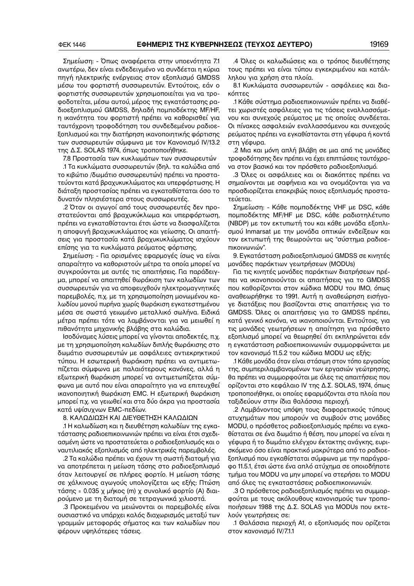Σημείωση: − Όπως αναφέρεται στην υποενότητα 7.1 ανωτέρω, δεν είναι ενδεδειγμένο να συνδέεται η κύρια πηγή ηλεκτρικής ενέργειας στον εξοπλισμό GMDSS μέσω του φορτιστή συσσωρευτών. Εντούτοις, εάν ο φορτιστής συσσωρευτών χρησιμοποιείται για να τρο− φοδοτείται, μέσω αυτού, μέρος της εγκατάστασης ρα− διοεξοπλισμού GMDSS, δηλαδή πομποδέκτης MF/HF, η ικανότητα του φορτιστή πρέπει να καθορισθεί για ταυτόχρονη τροφοδότηση του συνδεδεμένου ραδιοε− ξοπλισμού και την διατήρηση ικανοποιητικής φόρτισης των συσσωρευτών σύμφωνα με τον Κανονισμό IV/13.2 της Δ.Σ. SOLAS 1974, όπως τροποποιήθηκε.

7.8 Προστασία των κυκλωμάτων των συσσωρευτών

.1 Τα κυκλώματα συσσωρευτών (δηλ. τα καλώδια από το κιβώτιο /δωμάτιο συσσωρευτών) πρέπει να προστα− τεύονται κατά βραχυκυκλώματος και υπερφόρτωσης. Η διάταξη προστασίας πρέπει να εγκαταθίσταται όσο το δυνατόν πλησιέστερα στους συσσωρευτές.

.2 Όταν οι αγωγοί από τους συσσωρευτές δεν προ− στατεύονται από βραχυκύκλωμα και υπερφόρτωση, πρέπει να εγκαταθίστανται έτσι ώστε να διασφαλίζεται η αποφυγή βραχυκυκλώματος και γείωσης. Οι απαιτή− σεις για προστασία κατά βραχυκυκλώματος ισχύουν επίσης για τα κυκλώματα ρεύματος φόρτισης.

Σημείωση: − Για ορισμένες εφαρμογές ίσως να είναι απαραίτητο να καθοριστούν μέτρα τα οποία μπορεί να συγκρούονται με αυτές τις απαιτήσεις. Για παράδειγ− μα, μπορεί να απαιτηθεί θωράκιση των καλωδίων των συσσωρευτών για να αποφευχθούν ηλεκτρομαγνητικές παρεμβολές, π.χ. με τη χρησιμοποίηση μονωμένου κα− λωδίου μονού πυρήνα χωρίς θωράκιση εγκατεστημένου μέσα σε σωστά γειωμένο μεταλλικό σωλήνα. Ειδικά μέτρα πρέπει τότε να λαμβάνονται για να μειωθεί η πιθανότητα μηχανικής βλάβης στα καλώδια.

Ισοδύναμες λύσεις μπορεί να γίνονται αποδεκτές, π.χ. με τη χρησιμοποίηση καλωδίων διπλής θωράκισης στο δωμάτιο συσσωρευτών με ασφάλειες αντιεκρηκτικού τύπου. Η εσωτερική θωράκιση πρέπει να αντιμετω− πίζεται σύμφωνα με παλαιότερους κανόνες, αλλά η εξωτερική θωράκιση μπορεί να αντιμετωπίζεται σύμ− φωνα με αυτό που είναι απαραίτητο για να επιτευχθεί ικανοποιητική θωράκιση EMC. Η εξωτερική θωράκιση μπορεί π.χ. να γειωθεί και στα δύο άκρα για προστασία κατά υψίσυχνων EMC−πεδίων.

### 8. ΚΑΛΩΔΙΩΣΗ ΚΑΙ ΔΙΕΥΘΕΤΗΣΗ ΚΑΛΩΔΙΩΝ

.1 Η καλωδίωση και η διευθέτηση καλωδίων της εγκα− τάστασης ραδιοεπικοινωνιών πρέπει να είναι έτσι σχεδι− ασμένη ώστε να προστατεύεται ο ραδιοεξοπλισμός και ο ναυτιλιακός εξοπλισμός από ηλεκτρικές παρεμβολές.

.2 Τα καλώδια πρέπει να έχουν τη σωστή διατομή για να αποτρέπεται η μείωση τάσης στο ραδιοεξοπλισμό όταν λειτουργεί σε πλήρες φορτίο. Η μείωση τάσης σε χάλκινους αγωγούς υπολογίζεται ως εξής: Πτώση τάσης = 0.035 χ μήκος (m) χ συνολικό φορτίο (A) διαι− ρούμενο με τη διατομή σε τετραγωνικά χιλιοστά.

.3 Προκειμένου να μειώνονται οι παρεμβολές είναι ουσιαστικό να υπάρχει καλός διαχωρισμός μεταξύ των γραμμών μεταφοράς σήματος και των καλωδίων που φέρουν υψηλότερες τάσεις.

.4 Όλες οι καλωδιώσεις και ο τρόπος διευθέτησης τους πρέπει να είναι τύπου εγκεκριμένου και κατάλ− ληλου για χρήση στα πλοία.

8.1 Κυκλώματα συσσωρευτών − ασφάλειες και δια− κόπτες

.1 Κάθε σύστημα ραδιοεπικοινωνιών πρέπει να διαθέ− τει χωριστές ασφάλειες για τις τάσεις εναλλασσόμε− νου και συνεχούς ρεύματος με τις οποίες συνδέεται. Οι πίνακες ασφαλειών εναλλασσόμενου και συνεχούς ρεύματος πρέπει να εγκαθίστανται στη γέφυρα ή κοντά στη γέφυρα.

.2 Μια και μόνη απλή βλάβη σε μια από τις μονάδες τροφοδότησης δεν πρέπει να έχει επιπτώσεις ταυτόχρο− να στον βασικό και τον πρόσθετο ραδιοεξοπλισμό.

.3 Όλες οι ασφάλειες και οι διακόπτες πρέπει να σημαίνονται με σαφήνεια και να ονομάζονται για να προσδιορίζεται επακριβώς ποιος εξοπλισμός προστα− τεύεται.

Σημείωση: − Κάθε πομποδέκτης VHF με DSC, κάθε πομποδέκτης MF/HF με DSC, κάθε ραδιοτηλέτυπο (NBDP) με τον εκτυπωτή του και κάθε μονάδα εξοπλι− σμού Inmarsat με την μονάδα οπτικών ενδείξεων και τον εκτυπωτή της θεωρούνται ως "σύστημα ραδιοε− πικοινωνιών".

9. Εγκατάσταση ραδιοεξοπλισμού GMDSS σε κινητές μονάδες παράκτιων γεωτρήσεων (MODUs)

Για τις κινητές μονάδες παράκτιων διατρήσεων πρέ− πει να ικανοποιούνται οι απαιτήσεις για το GMDSS που καθορίζονται στον κώδικα MODU του ΙΜΟ, όπως αναθεωρήθηκε το 1991. Αυτή η αναθεώρηση εισήγα− γε διατάξεις που βασίζονται στις απαιτήσεις για το GMDSS. Όλες οι απαιτήσεις για το GMDSS πρέπει, κατά γενικό κανόνα, να ικανοποιούνται. Εντούτοις, για τις μονάδες γεωτρήσεων η απαίτηση για πρόσθετο εξοπλισμό μπορεί να θεωρηθεί ότι εκπληρώνεται εάν η εγκατάσταση ραδιοεπικοινωνιών συμμορφώνεται με τον κανονισμό 11.5.2 του κώδικα MODU ως εξής:

.1 Κάθε μονάδα όταν είναι στάσιμη στον τόπο εργασίας της, συμπεριλαμβανομένων των εργασιών γεώτρησης, θα πρέπει να συμμορφούται με όλες τις απαιτήσεις που ορίζονται στο κεφάλαιο IV της Δ.Σ. SOLAS, 1974, όπως τροποποιήθηκε, οι οποίες εφαρμόζονται στα πλοία που ταξιδεύουν στην ίδια θαλάσσια περιοχή.

.2 Λαμβάνοντας υπόψη τους διαφορετικούς τύπους ατυχημάτων που μπορούν να συμβούν στις μονάδες MODU, ο πρόσθετος ραδιοεξοπλισμός πρέπει να εγκα− θίσταται σε ένα δωμάτιο ή θέση, που μπορεί να είναι η γέφυρα ή το δωμάτιο ελέγχου έκτακτης ανάγκης, ευρι− σκόμενο όσο είναι πρακτικό μακρύτερα από το ραδιοε− ξοπλισμό που εγκαθίσταται σύμφωνα με την παράγρα− φο 11.5.1, έτσι ώστε ένα απλό ατύχημα σε οποιοδήποτε τμήμα του MODU να μην μπορεί να στερήσει το MODU από όλες τις εγκαταστάσεις ραδιοεπικοινωνιών.

.3 Ο πρόσθετος ραδιοεξοπλισμός πρέπει να συμμορ− φούται με τους ακόλουθους κανονισμούς των τροπο− ποιήσεων 1988 της Δ.Σ. SOLAS για MODUs που εκτε− λούν γεωτρήσεις σε:

.1 Θαλάσσια περιοχή Α1, ο εξοπλισμός που ορίζεται στον κανονισμό IV/7.1.1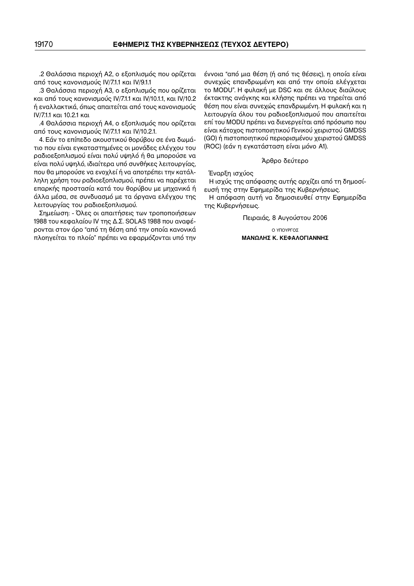.2 Θαλάσσια περιοχή A2, ο εξοπλισμός που ορίζεται από τους κανονισμούς IV/7.1.1 και IV/9.1.1

.3 Θαλάσσια περιοχή A3, ο εξοπλισμός που ορίζεται και από τους κανονισμούς IV/7.1.1 και IV/10.1.1, και IV/10.2 ή εναλλακτικά, όπως απαιτείται από τους κανονισμούς IV/7.1.1 και 10.2.1 και

.4 Θαλάσσια περιοχή A4, ο εξοπλισμός που ορίζεται από τους κανονισμούς IV/7.1.1 και IV/10.2.1.

4. Εάν το επίπεδο ακουστικού θορύβου σε ένα δωμά− τιο που είναι εγκαταστημένες οι μονάδες ελέγχου του ραδιοεξοπλισμού είναι πολύ υψηλό ή θα μπορούσε να είναι πολύ υψηλό, ιδιαίτερα υπό συνθήκες λειτουργίας, που θα μπορούσε να ενοχλεί ή να αποτρέπει την κατάλ− ληλη χρήση του ραδιοεξοπλισμού, πρέπει να παρέχεται επαρκής προστασία κατά του θορύβου με μηχανικά ή άλλα μέσα, σε συνδυασμό με τα όργανα ελέγχου της λειτουργίας του ραδιοεξοπλισμού.

Σημείωση: − Όλες οι απαιτήσεις των τροποποιήσεων 1988 του κεφαλαίου IV της Δ.Σ. SOLAS 1988 που αναφέρονται στον όρο "από τη θέση από την οποία κανονικά πλοηγείται το πλοίο" πρέπει να εφαρμόζονται υπό την

έννοια "από μια θέση (ή από τις θέσεις), η οποία είναι συνεχώς επανδρωμένη και από την οποία ελέγχεται το MODU". Η φυλακή με DSC και σε άλλους διαύλους έκτακτης ανάγκης και κλήσης πρέπει να τηρείται από θέση που είναι συνεχώς επανδρωμένη. Η φυλακή και η λειτουργία όλου του ραδιοεξοπλισμού που απαιτείται επί του MODU πρέπει να διενεργείται από πρόσωπο που είναι κάτοχος πιστοποιητικού Γενικού χειριστού GMDSS (GO) ή πιστοποιητικού περιορισμένου χειριστού GMDSS (ROC) (εάν η εγκατάσταση είναι μόνο Α1).

#### Άρθρο δεύτερο

Έναρξη ισχύος

Η ισχύς της απόφασης αυτής αρχίζει από τη δημοσί− ευσή της στην Εφημερίδα της Κυβερνήσεως.

Η απόφαση αυτή να δημοσιευθεί στην Εφημερίδα της Κυβερνήσεως.

Πειραιάς, 8 Aυγούστου 2006

Ο ΥΠΟΥΡΓΟΣ **ΜΑΝΩΛΗΣ Κ. ΚΕΦΑΛΟΓΙΑΝΝΗΣ**